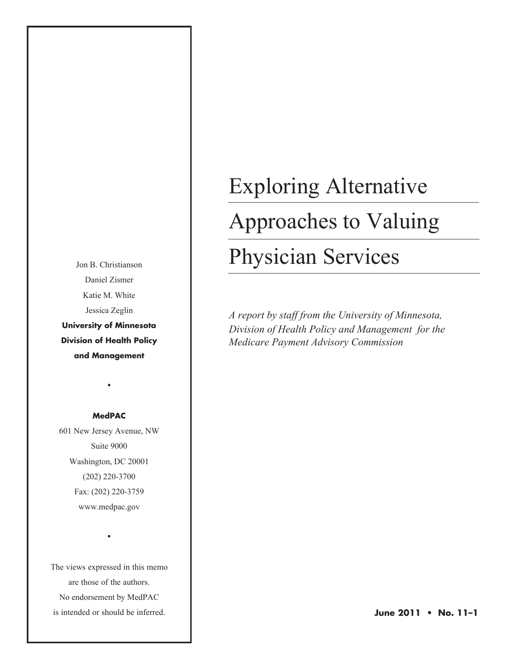Jon B. Christianson Daniel Zismer Katie M. White Jessica Zeglin **University of Minnesota Division of Health Policy and Management**

#### **MedPAC**

•

601 New Jersey Avenue, NW Suite 9000 Washington, DC 20001 (202) 220-3700 Fax: (202) 220-3759 www.medpac.gov

The views expressed in this memo are those of the authors. No endorsement by MedPAC is intended or should be inferred.

•

# Exploring Alternative Approaches to Valuing Physician Services

*A report by staff from the University of Minnesota, Division of Health Policy and Management for the Medicare Payment Advisory Commission*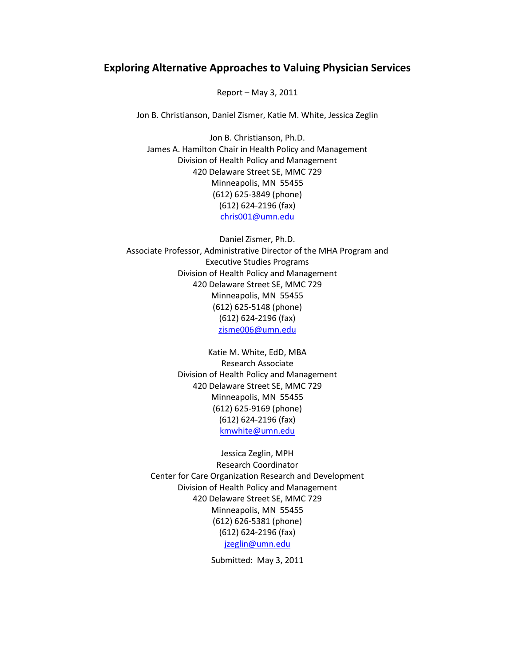### **Exploring Alternative Approaches to Valuing Physician Services**

Report – May 3, 2011

Jon B. Christianson, Daniel Zismer, Katie M. White, Jessica Zeglin

Jon B. Christianson, Ph.D. James A. Hamilton Chair in Health Policy and Management Division of Health Policy and Management 420 Delaware Street SE, MMC 729 Minneapolis, MN 55455 (612) 625-3849 (phone) (612) 624-2196 (fax) [chris001@umn.edu](mailto:chris001@umn.edu)

Daniel Zismer, Ph.D. Associate Professor, Administrative Director of the MHA Program and Executive Studies Programs Division of Health Policy and Management 420 Delaware Street SE, MMC 729 Minneapolis, MN 55455 (612) 625-5148 (phone) (612) 624-2196 (fax) [zisme006@umn.edu](mailto:zisme006@umn.edu)

> Katie M. White, EdD, MBA Research Associate Division of Health Policy and Management 420 Delaware Street SE, MMC 729 Minneapolis, MN 55455 (612) 625-9169 (phone) (612) 624-2196 (fax) [kmwhite@umn.edu](mailto:kmwhite@umn.edu)

Jessica Zeglin, MPH Research Coordinator Center for Care Organization Research and Development Division of Health Policy and Management 420 Delaware Street SE, MMC 729 Minneapolis, MN 55455 (612) 626-5381 (phone) (612) 624-2196 (fax) [jzeglin@umn.edu](mailto:jzeglin@umn.edu)

Submitted: May 3, 2011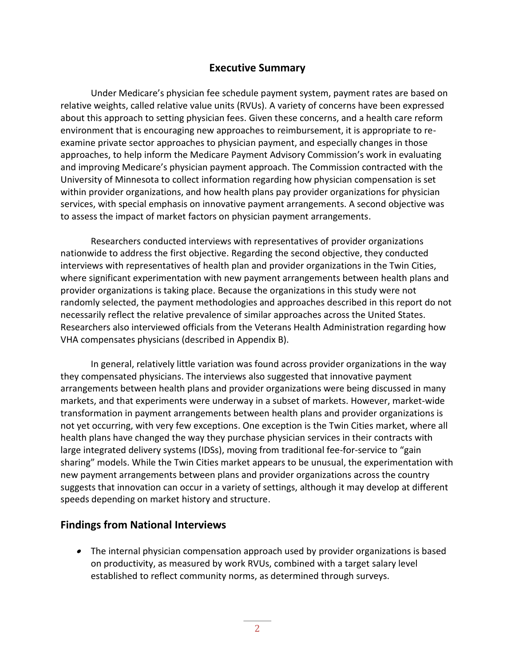# **Executive Summary**

Under Medicare's physician fee schedule payment system, payment rates are based on relative weights, called relative value units (RVUs). A variety of concerns have been expressed about this approach to setting physician fees. Given these concerns, and a health care reform environment that is encouraging new approaches to reimbursement, it is appropriate to reexamine private sector approaches to physician payment, and especially changes in those approaches, to help inform the Medicare Payment Advisory Commission's work in evaluating and improving Medicare's physician payment approach. The Commission contracted with the University of Minnesota to collect information regarding how physician compensation is set within provider organizations, and how health plans pay provider organizations for physician services, with special emphasis on innovative payment arrangements. A second objective was to assess the impact of market factors on physician payment arrangements.

Researchers conducted interviews with representatives of provider organizations nationwide to address the first objective. Regarding the second objective, they conducted interviews with representatives of health plan and provider organizations in the Twin Cities, where significant experimentation with new payment arrangements between health plans and provider organizations is taking place. Because the organizations in this study were not randomly selected, the payment methodologies and approaches described in this report do not necessarily reflect the relative prevalence of similar approaches across the United States. Researchers also interviewed officials from the Veterans Health Administration regarding how VHA compensates physicians (described in Appendix B).

In general, relatively little variation was found across provider organizations in the way they compensated physicians. The interviews also suggested that innovative payment arrangements between health plans and provider organizations were being discussed in many markets, and that experiments were underway in a subset of markets. However, market-wide transformation in payment arrangements between health plans and provider organizations is not yet occurring, with very few exceptions. One exception is the Twin Cities market, where all health plans have changed the way they purchase physician services in their contracts with large integrated delivery systems (IDSs), moving from traditional fee-for-service to "gain sharing" models. While the Twin Cities market appears to be unusual, the experimentation with new payment arrangements between plans and provider organizations across the country suggests that innovation can occur in a variety of settings, although it may develop at different speeds depending on market history and structure.

# **Findings from National Interviews**

 The internal physician compensation approach used by provider organizations is based on productivity, as measured by work RVUs, combined with a target salary level established to reflect community norms, as determined through surveys.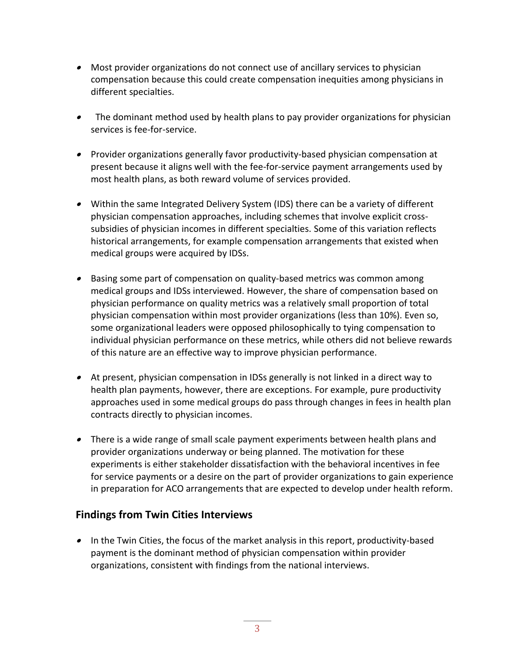- Most provider organizations do not connect use of ancillary services to physician compensation because this could create compensation inequities among physicians in different specialties.
- The dominant method used by health plans to pay provider organizations for physician services is fee-for-service.
- Provider organizations generally favor productivity-based physician compensation at present because it aligns well with the fee-for-service payment arrangements used by most health plans, as both reward volume of services provided.
- Within the same Integrated Delivery System (IDS) there can be a variety of different physician compensation approaches, including schemes that involve explicit crosssubsidies of physician incomes in different specialties. Some of this variation reflects historical arrangements, for example compensation arrangements that existed when medical groups were acquired by IDSs.
- Basing some part of compensation on quality-based metrics was common among medical groups and IDSs interviewed. However, the share of compensation based on physician performance on quality metrics was a relatively small proportion of total physician compensation within most provider organizations (less than 10%). Even so, some organizational leaders were opposed philosophically to tying compensation to individual physician performance on these metrics, while others did not believe rewards of this nature are an effective way to improve physician performance.
- At present, physician compensation in IDSs generally is not linked in a direct way to health plan payments, however, there are exceptions. For example, pure productivity approaches used in some medical groups do pass through changes in fees in health plan contracts directly to physician incomes.
- There is a wide range of small scale payment experiments between health plans and provider organizations underway or being planned. The motivation for these experiments is either stakeholder dissatisfaction with the behavioral incentives in fee for service payments or a desire on the part of provider organizations to gain experience in preparation for ACO arrangements that are expected to develop under health reform.

# **Findings from Twin Cities Interviews**

• In the Twin Cities, the focus of the market analysis in this report, productivity-based payment is the dominant method of physician compensation within provider organizations, consistent with findings from the national interviews.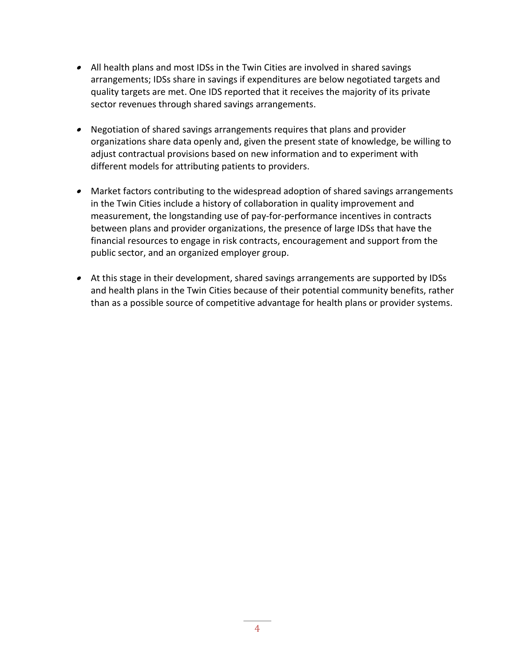- All health plans and most IDSs in the Twin Cities are involved in shared savings arrangements; IDSs share in savings if expenditures are below negotiated targets and quality targets are met. One IDS reported that it receives the majority of its private sector revenues through shared savings arrangements.
- Negotiation of shared savings arrangements requires that plans and provider organizations share data openly and, given the present state of knowledge, be willing to adjust contractual provisions based on new information and to experiment with different models for attributing patients to providers.
- Market factors contributing to the widespread adoption of shared savings arrangements in the Twin Cities include a history of collaboration in quality improvement and measurement, the longstanding use of pay-for-performance incentives in contracts between plans and provider organizations, the presence of large IDSs that have the financial resources to engage in risk contracts, encouragement and support from the public sector, and an organized employer group.
- At this stage in their development, shared savings arrangements are supported by IDSs and health plans in the Twin Cities because of their potential community benefits, rather than as a possible source of competitive advantage for health plans or provider systems.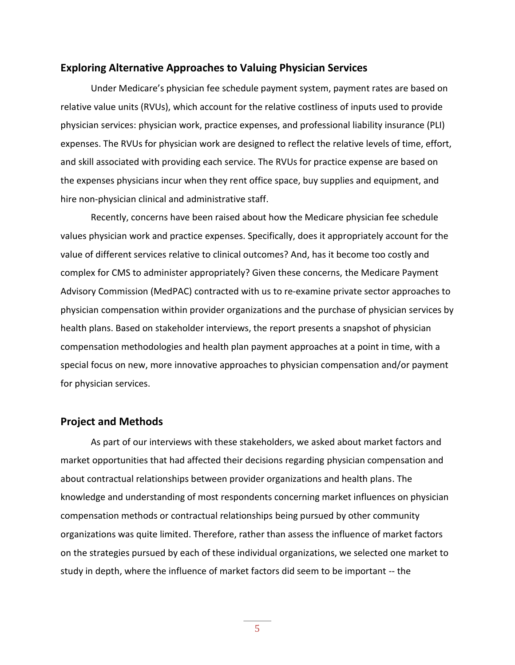#### **Exploring Alternative Approaches to Valuing Physician Services**

Under Medicare's physician fee schedule payment system, payment rates are based on relative value units (RVUs), which account for the relative costliness of inputs used to provide physician services: physician work, practice expenses, and professional liability insurance (PLI) expenses. The RVUs for physician work are designed to reflect the relative levels of time, effort, and skill associated with providing each service. The RVUs for practice expense are based on the expenses physicians incur when they rent office space, buy supplies and equipment, and hire non-physician clinical and administrative staff.

Recently, concerns have been raised about how the Medicare physician fee schedule values physician work and practice expenses. Specifically, does it appropriately account for the value of different services relative to clinical outcomes? And, has it become too costly and complex for CMS to administer appropriately? Given these concerns, the Medicare Payment Advisory Commission (MedPAC) contracted with us to re-examine private sector approaches to physician compensation within provider organizations and the purchase of physician services by health plans. Based on stakeholder interviews, the report presents a snapshot of physician compensation methodologies and health plan payment approaches at a point in time, with a special focus on new, more innovative approaches to physician compensation and/or payment for physician services.

#### **Project and Methods**

As part of our interviews with these stakeholders, we asked about market factors and market opportunities that had affected their decisions regarding physician compensation and about contractual relationships between provider organizations and health plans. The knowledge and understanding of most respondents concerning market influences on physician compensation methods or contractual relationships being pursued by other community organizations was quite limited. Therefore, rather than assess the influence of market factors on the strategies pursued by each of these individual organizations, we selected one market to study in depth, where the influence of market factors did seem to be important -- the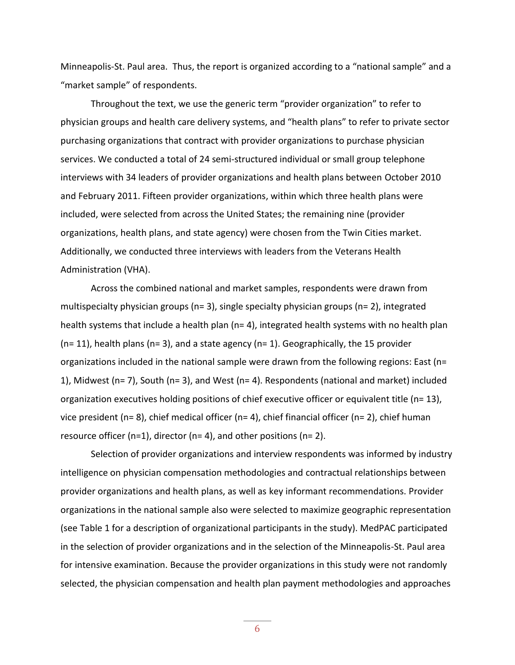Minneapolis-St. Paul area. Thus, the report is organized according to a "national sample" and a "market sample" of respondents.

Throughout the text, we use the generic term "provider organization" to refer to physician groups and health care delivery systems, and "health plans" to refer to private sector purchasing organizations that contract with provider organizations to purchase physician services. We conducted a total of 24 semi-structured individual or small group telephone interviews with 34 leaders of provider organizations and health plans between October 2010 and February 2011. Fifteen provider organizations, within which three health plans were included, were selected from across the United States; the remaining nine (provider organizations, health plans, and state agency) were chosen from the Twin Cities market. Additionally, we conducted three interviews with leaders from the Veterans Health Administration (VHA).

Across the combined national and market samples, respondents were drawn from multispecialty physician groups (n= 3), single specialty physician groups (n= 2), integrated health systems that include a health plan (n= 4), integrated health systems with no health plan  $(n= 11)$ , health plans  $(n= 3)$ , and a state agency  $(n= 1)$ . Geographically, the 15 provider organizations included in the national sample were drawn from the following regions: East (n= 1), Midwest (n= 7), South (n= 3), and West (n= 4). Respondents (national and market) included organization executives holding positions of chief executive officer or equivalent title (n= 13), vice president (n= 8), chief medical officer (n= 4), chief financial officer (n= 2), chief human resource officer (n=1), director (n= 4), and other positions (n= 2).

Selection of provider organizations and interview respondents was informed by industry intelligence on physician compensation methodologies and contractual relationships between provider organizations and health plans, as well as key informant recommendations. Provider organizations in the national sample also were selected to maximize geographic representation (see Table 1 for a description of organizational participants in the study). MedPAC participated in the selection of provider organizations and in the selection of the Minneapolis-St. Paul area for intensive examination. Because the provider organizations in this study were not randomly selected, the physician compensation and health plan payment methodologies and approaches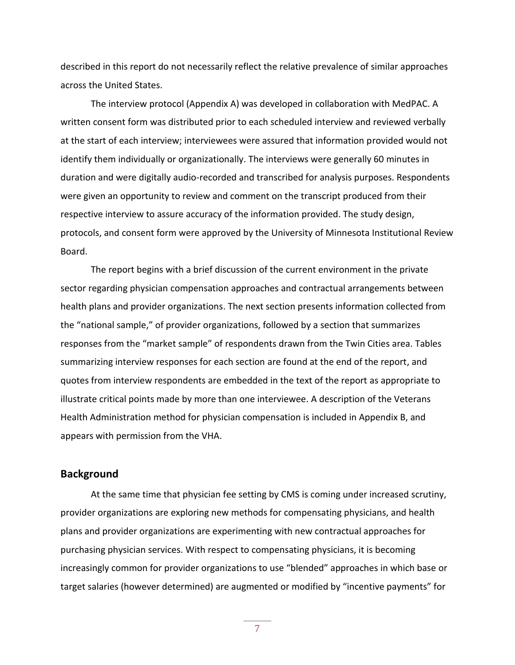described in this report do not necessarily reflect the relative prevalence of similar approaches across the United States.

The interview protocol (Appendix A) was developed in collaboration with MedPAC. A written consent form was distributed prior to each scheduled interview and reviewed verbally at the start of each interview; interviewees were assured that information provided would not identify them individually or organizationally. The interviews were generally 60 minutes in duration and were digitally audio-recorded and transcribed for analysis purposes. Respondents were given an opportunity to review and comment on the transcript produced from their respective interview to assure accuracy of the information provided. The study design, protocols, and consent form were approved by the University of Minnesota Institutional Review Board.

The report begins with a brief discussion of the current environment in the private sector regarding physician compensation approaches and contractual arrangements between health plans and provider organizations. The next section presents information collected from the "national sample," of provider organizations, followed by a section that summarizes responses from the "market sample" of respondents drawn from the Twin Cities area. Tables summarizing interview responses for each section are found at the end of the report, and quotes from interview respondents are embedded in the text of the report as appropriate to illustrate critical points made by more than one interviewee. A description of the Veterans Health Administration method for physician compensation is included in Appendix B, and appears with permission from the VHA.

#### **Background**

At the same time that physician fee setting by CMS is coming under increased scrutiny, provider organizations are exploring new methods for compensating physicians, and health plans and provider organizations are experimenting with new contractual approaches for purchasing physician services. With respect to compensating physicians, it is becoming increasingly common for provider organizations to use "blended" approaches in which base or target salaries (however determined) are augmented or modified by "incentive payments" for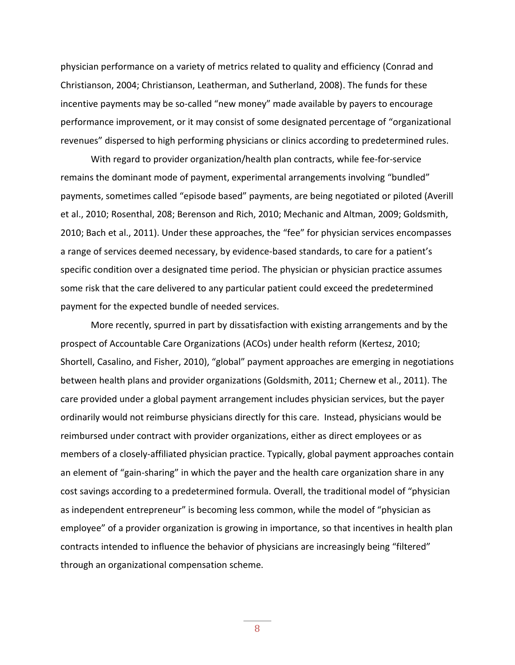physician performance on a variety of metrics related to quality and efficiency (Conrad and Christianson, 2004; Christianson, Leatherman, and Sutherland, 2008). The funds for these incentive payments may be so-called "new money" made available by payers to encourage performance improvement, or it may consist of some designated percentage of "organizational revenues" dispersed to high performing physicians or clinics according to predetermined rules.

With regard to provider organization/health plan contracts, while fee-for-service remains the dominant mode of payment, experimental arrangements involving "bundled" payments, sometimes called "episode based" payments, are being negotiated or piloted (Averill et al., 2010; Rosenthal, 208; Berenson and Rich, 2010; Mechanic and Altman, 2009; Goldsmith, 2010; Bach et al., 2011). Under these approaches, the "fee" for physician services encompasses a range of services deemed necessary, by evidence-based standards, to care for a patient's specific condition over a designated time period. The physician or physician practice assumes some risk that the care delivered to any particular patient could exceed the predetermined payment for the expected bundle of needed services.

More recently, spurred in part by dissatisfaction with existing arrangements and by the prospect of Accountable Care Organizations (ACOs) under health reform (Kertesz, 2010; Shortell, Casalino, and Fisher, 2010), "global" payment approaches are emerging in negotiations between health plans and provider organizations (Goldsmith, 2011; Chernew et al., 2011). The care provided under a global payment arrangement includes physician services, but the payer ordinarily would not reimburse physicians directly for this care. Instead, physicians would be reimbursed under contract with provider organizations, either as direct employees or as members of a closely-affiliated physician practice. Typically, global payment approaches contain an element of "gain-sharing" in which the payer and the health care organization share in any cost savings according to a predetermined formula. Overall, the traditional model of "physician as independent entrepreneur" is becoming less common, while the model of "physician as employee" of a provider organization is growing in importance, so that incentives in health plan contracts intended to influence the behavior of physicians are increasingly being "filtered" through an organizational compensation scheme.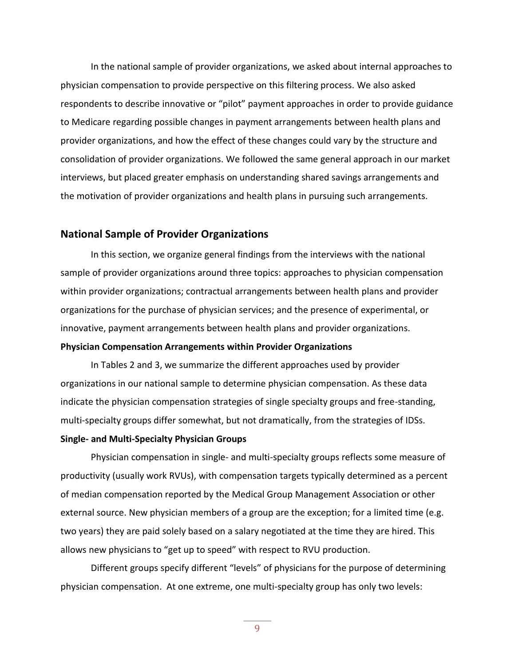In the national sample of provider organizations, we asked about internal approaches to physician compensation to provide perspective on this filtering process. We also asked respondents to describe innovative or "pilot" payment approaches in order to provide guidance to Medicare regarding possible changes in payment arrangements between health plans and provider organizations, and how the effect of these changes could vary by the structure and consolidation of provider organizations. We followed the same general approach in our market interviews, but placed greater emphasis on understanding shared savings arrangements and the motivation of provider organizations and health plans in pursuing such arrangements.

#### **National Sample of Provider Organizations**

In this section, we organize general findings from the interviews with the national sample of provider organizations around three topics: approaches to physician compensation within provider organizations; contractual arrangements between health plans and provider organizations for the purchase of physician services; and the presence of experimental, or innovative, payment arrangements between health plans and provider organizations. **Physician Compensation Arrangements within Provider Organizations**

In Tables 2 and 3, we summarize the different approaches used by provider organizations in our national sample to determine physician compensation. As these data indicate the physician compensation strategies of single specialty groups and free-standing, multi-specialty groups differ somewhat, but not dramatically, from the strategies of IDSs.

#### **Single- and Multi-Specialty Physician Groups**

Physician compensation in single- and multi-specialty groups reflects some measure of productivity (usually work RVUs), with compensation targets typically determined as a percent of median compensation reported by the Medical Group Management Association or other external source. New physician members of a group are the exception; for a limited time (e.g. two years) they are paid solely based on a salary negotiated at the time they are hired. This allows new physicians to "get up to speed" with respect to RVU production.

Different groups specify different "levels" of physicians for the purpose of determining physician compensation. At one extreme, one multi-specialty group has only two levels: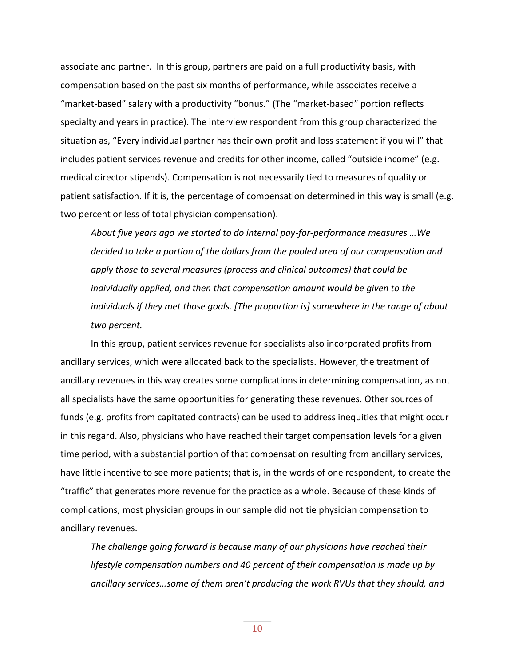associate and partner. In this group, partners are paid on a full productivity basis, with compensation based on the past six months of performance, while associates receive a "market-based" salary with a productivity "bonus." (The "market-based" portion reflects specialty and years in practice). The interview respondent from this group characterized the situation as, "Every individual partner has their own profit and loss statement if you will" that includes patient services revenue and credits for other income, called "outside income" (e.g. medical director stipends). Compensation is not necessarily tied to measures of quality or patient satisfaction. If it is, the percentage of compensation determined in this way is small (e.g. two percent or less of total physician compensation).

*About five years ago we started to do internal pay-for-performance measures …We decided to take a portion of the dollars from the pooled area of our compensation and apply those to several measures (process and clinical outcomes) that could be individually applied, and then that compensation amount would be given to the individuals if they met those goals. [The proportion is] somewhere in the range of about two percent.*

In this group, patient services revenue for specialists also incorporated profits from ancillary services, which were allocated back to the specialists. However, the treatment of ancillary revenues in this way creates some complications in determining compensation, as not all specialists have the same opportunities for generating these revenues. Other sources of funds (e.g. profits from capitated contracts) can be used to address inequities that might occur in this regard. Also, physicians who have reached their target compensation levels for a given time period, with a substantial portion of that compensation resulting from ancillary services, have little incentive to see more patients; that is, in the words of one respondent, to create the "traffic" that generates more revenue for the practice as a whole. Because of these kinds of complications, most physician groups in our sample did not tie physician compensation to ancillary revenues.

*The challenge going forward is because many of our physicians have reached their lifestyle compensation numbers and 40 percent of their compensation is made up by ancillary services…some of them aren't producing the work RVUs that they should, and*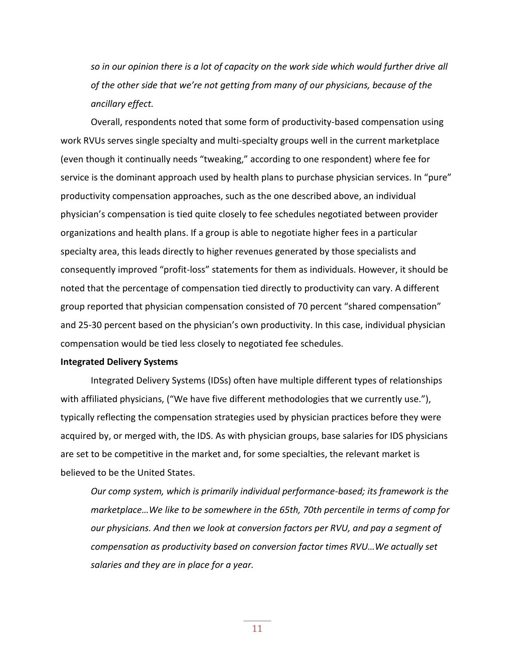*so in our opinion there is a lot of capacity on the work side which would further drive all of the other side that we're not getting from many of our physicians, because of the ancillary effect.* 

Overall, respondents noted that some form of productivity-based compensation using work RVUs serves single specialty and multi-specialty groups well in the current marketplace (even though it continually needs "tweaking," according to one respondent) where fee for service is the dominant approach used by health plans to purchase physician services. In "pure" productivity compensation approaches, such as the one described above, an individual physician's compensation is tied quite closely to fee schedules negotiated between provider organizations and health plans. If a group is able to negotiate higher fees in a particular specialty area, this leads directly to higher revenues generated by those specialists and consequently improved "profit-loss" statements for them as individuals. However, it should be noted that the percentage of compensation tied directly to productivity can vary. A different group reported that physician compensation consisted of 70 percent "shared compensation" and 25-30 percent based on the physician's own productivity. In this case, individual physician compensation would be tied less closely to negotiated fee schedules.

#### **Integrated Delivery Systems**

Integrated Delivery Systems (IDSs) often have multiple different types of relationships with affiliated physicians, ("We have five different methodologies that we currently use."), typically reflecting the compensation strategies used by physician practices before they were acquired by, or merged with, the IDS. As with physician groups, base salaries for IDS physicians are set to be competitive in the market and, for some specialties, the relevant market is believed to be the United States.

*Our comp system, which is primarily individual performance-based; its framework is the marketplace…We like to be somewhere in the 65th, 70th percentile in terms of comp for our physicians. And then we look at conversion factors per RVU, and pay a segment of compensation as productivity based on conversion factor times RVU…We actually set salaries and they are in place for a year.*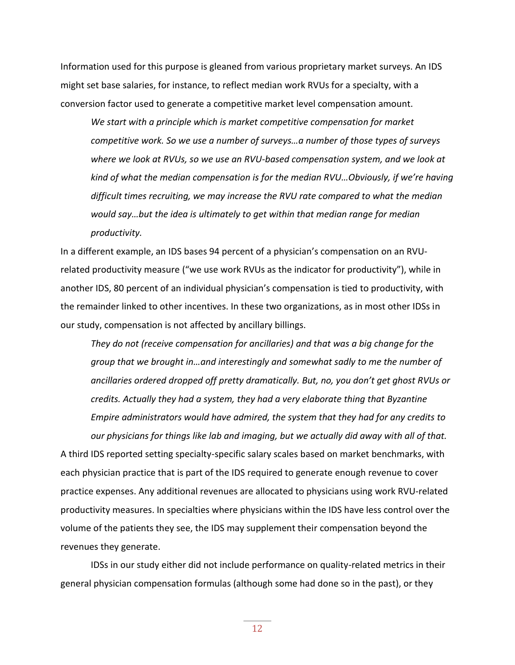Information used for this purpose is gleaned from various proprietary market surveys. An IDS might set base salaries, for instance, to reflect median work RVUs for a specialty, with a conversion factor used to generate a competitive market level compensation amount.

*We start with a principle which is market competitive compensation for market competitive work. So we use a number of surveys…a number of those types of surveys where we look at RVUs, so we use an RVU-based compensation system, and we look at kind of what the median compensation is for the median RVU…Obviously, if we're having difficult times recruiting, we may increase the RVU rate compared to what the median would say…but the idea is ultimately to get within that median range for median productivity.* 

In a different example, an IDS bases 94 percent of a physician's compensation on an RVUrelated productivity measure ("we use work RVUs as the indicator for productivity"), while in another IDS, 80 percent of an individual physician's compensation is tied to productivity, with the remainder linked to other incentives. In these two organizations, as in most other IDSs in our study, compensation is not affected by ancillary billings.

*They do not (receive compensation for ancillaries) and that was a big change for the group that we brought in…and interestingly and somewhat sadly to me the number of ancillaries ordered dropped off pretty dramatically. But, no, you don't get ghost RVUs or credits. Actually they had a system, they had a very elaborate thing that Byzantine Empire administrators would have admired, the system that they had for any credits to our physicians for things like lab and imaging, but we actually did away with all of that.* A third IDS reported setting specialty-specific salary scales based on market benchmarks, with each physician practice that is part of the IDS required to generate enough revenue to cover practice expenses. Any additional revenues are allocated to physicians using work RVU-related productivity measures. In specialties where physicians within the IDS have less control over the volume of the patients they see, the IDS may supplement their compensation beyond the revenues they generate.

IDSs in our study either did not include performance on quality-related metrics in their general physician compensation formulas (although some had done so in the past), or they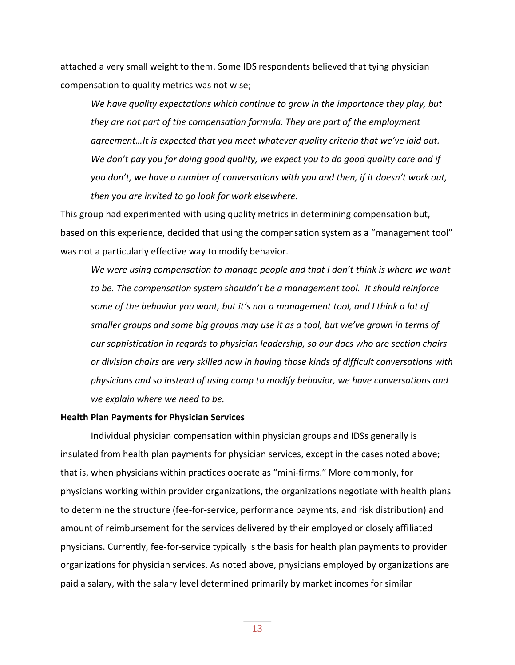attached a very small weight to them. Some IDS respondents believed that tying physician compensation to quality metrics was not wise;

*We have quality expectations which continue to grow in the importance they play, but they are not part of the compensation formula. They are part of the employment agreement…It is expected that you meet whatever quality criteria that we've laid out. We don't pay you for doing good quality, we expect you to do good quality care and if you don't, we have a number of conversations with you and then, if it doesn't work out, then you are invited to go look for work elsewhere.*

This group had experimented with using quality metrics in determining compensation but, based on this experience, decided that using the compensation system as a "management tool" was not a particularly effective way to modify behavior.

*We were using compensation to manage people and that I don't think is where we want to be. The compensation system shouldn't be a management tool. It should reinforce some of the behavior you want, but it's not a management tool, and I think a lot of smaller groups and some big groups may use it as a tool, but we've grown in terms of our sophistication in regards to physician leadership, so our docs who are section chairs or division chairs are very skilled now in having those kinds of difficult conversations with physicians and so instead of using comp to modify behavior, we have conversations and we explain where we need to be.*

#### **Health Plan Payments for Physician Services**

Individual physician compensation within physician groups and IDSs generally is insulated from health plan payments for physician services, except in the cases noted above; that is, when physicians within practices operate as "mini-firms." More commonly, for physicians working within provider organizations, the organizations negotiate with health plans to determine the structure (fee-for-service, performance payments, and risk distribution) and amount of reimbursement for the services delivered by their employed or closely affiliated physicians. Currently, fee-for-service typically is the basis for health plan payments to provider organizations for physician services. As noted above, physicians employed by organizations are paid a salary, with the salary level determined primarily by market incomes for similar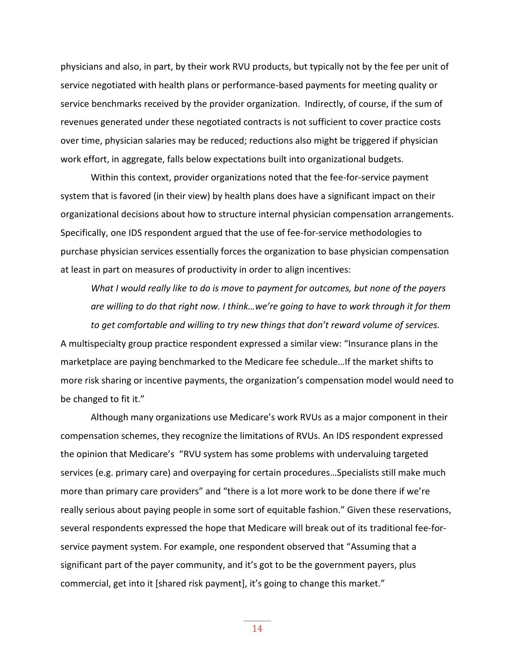physicians and also, in part, by their work RVU products, but typically not by the fee per unit of service negotiated with health plans or performance-based payments for meeting quality or service benchmarks received by the provider organization. Indirectly, of course, if the sum of revenues generated under these negotiated contracts is not sufficient to cover practice costs over time, physician salaries may be reduced; reductions also might be triggered if physician work effort, in aggregate, falls below expectations built into organizational budgets.

Within this context, provider organizations noted that the fee-for-service payment system that is favored (in their view) by health plans does have a significant impact on their organizational decisions about how to structure internal physician compensation arrangements. Specifically, one IDS respondent argued that the use of fee-for-service methodologies to purchase physician services essentially forces the organization to base physician compensation at least in part on measures of productivity in order to align incentives:

*What I would really like to do is move to payment for outcomes, but none of the payers are willing to do that right now. I think…we're going to have to work through it for them to get comfortable and willing to try new things that don't reward volume of services.*

A multispecialty group practice respondent expressed a similar view: "Insurance plans in the marketplace are paying benchmarked to the Medicare fee schedule…If the market shifts to more risk sharing or incentive payments, the organization's compensation model would need to be changed to fit it."

Although many organizations use Medicare's work RVUs as a major component in their compensation schemes, they recognize the limitations of RVUs. An IDS respondent expressed the opinion that Medicare's "RVU system has some problems with undervaluing targeted services (e.g. primary care) and overpaying for certain procedures…Specialists still make much more than primary care providers" and "there is a lot more work to be done there if we're really serious about paying people in some sort of equitable fashion." Given these reservations, several respondents expressed the hope that Medicare will break out of its traditional fee-forservice payment system. For example, one respondent observed that "Assuming that a significant part of the payer community, and it's got to be the government payers, plus commercial, get into it [shared risk payment], it's going to change this market."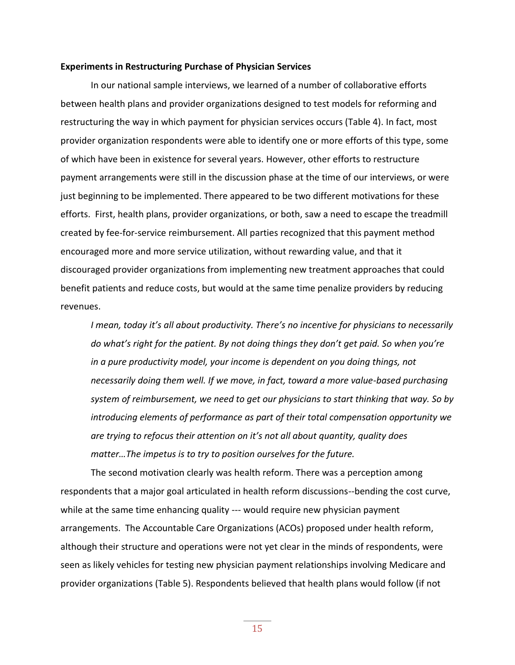#### **Experiments in Restructuring Purchase of Physician Services**

In our national sample interviews, we learned of a number of collaborative efforts between health plans and provider organizations designed to test models for reforming and restructuring the way in which payment for physician services occurs (Table 4). In fact, most provider organization respondents were able to identify one or more efforts of this type, some of which have been in existence for several years. However, other efforts to restructure payment arrangements were still in the discussion phase at the time of our interviews, or were just beginning to be implemented. There appeared to be two different motivations for these efforts. First, health plans, provider organizations, or both, saw a need to escape the treadmill created by fee-for-service reimbursement. All parties recognized that this payment method encouraged more and more service utilization, without rewarding value, and that it discouraged provider organizations from implementing new treatment approaches that could benefit patients and reduce costs, but would at the same time penalize providers by reducing revenues.

*I mean, today it's all about productivity. There's no incentive for physicians to necessarily do what's right for the patient. By not doing things they don't get paid. So when you're in a pure productivity model, your income is dependent on you doing things, not necessarily doing them well. If we move, in fact, toward a more value-based purchasing system of reimbursement, we need to get our physicians to start thinking that way. So by introducing elements of performance as part of their total compensation opportunity we are trying to refocus their attention on it's not all about quantity, quality does matter…The impetus is to try to position ourselves for the future.*

The second motivation clearly was health reform. There was a perception among respondents that a major goal articulated in health reform discussions--bending the cost curve, while at the same time enhancing quality --- would require new physician payment arrangements. The Accountable Care Organizations (ACOs) proposed under health reform, although their structure and operations were not yet clear in the minds of respondents, were seen as likely vehicles for testing new physician payment relationships involving Medicare and provider organizations (Table 5). Respondents believed that health plans would follow (if not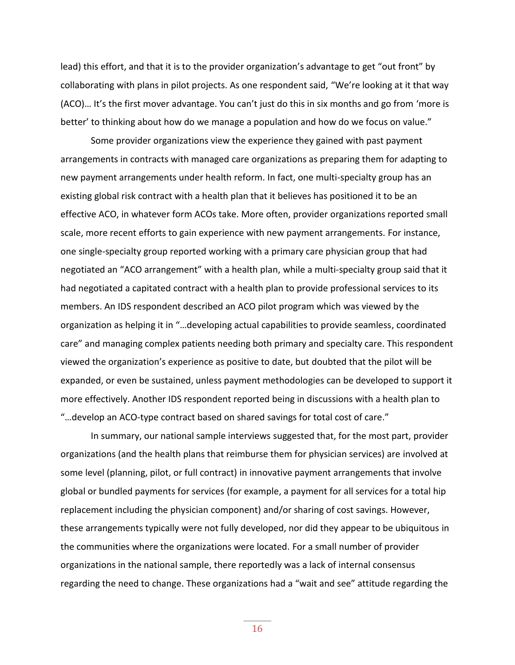lead) this effort, and that it is to the provider organization's advantage to get "out front" by collaborating with plans in pilot projects. As one respondent said, "We're looking at it that way (ACO)… It's the first mover advantage. You can't just do this in six months and go from 'more is better' to thinking about how do we manage a population and how do we focus on value."

Some provider organizations view the experience they gained with past payment arrangements in contracts with managed care organizations as preparing them for adapting to new payment arrangements under health reform. In fact, one multi-specialty group has an existing global risk contract with a health plan that it believes has positioned it to be an effective ACO, in whatever form ACOs take. More often, provider organizations reported small scale, more recent efforts to gain experience with new payment arrangements. For instance, one single-specialty group reported working with a primary care physician group that had negotiated an "ACO arrangement" with a health plan, while a multi-specialty group said that it had negotiated a capitated contract with a health plan to provide professional services to its members. An IDS respondent described an ACO pilot program which was viewed by the organization as helping it in "…developing actual capabilities to provide seamless, coordinated care" and managing complex patients needing both primary and specialty care. This respondent viewed the organization's experience as positive to date, but doubted that the pilot will be expanded, or even be sustained, unless payment methodologies can be developed to support it more effectively. Another IDS respondent reported being in discussions with a health plan to "…develop an ACO-type contract based on shared savings for total cost of care."

In summary, our national sample interviews suggested that, for the most part, provider organizations (and the health plans that reimburse them for physician services) are involved at some level (planning, pilot, or full contract) in innovative payment arrangements that involve global or bundled payments for services (for example, a payment for all services for a total hip replacement including the physician component) and/or sharing of cost savings. However, these arrangements typically were not fully developed, nor did they appear to be ubiquitous in the communities where the organizations were located. For a small number of provider organizations in the national sample, there reportedly was a lack of internal consensus regarding the need to change. These organizations had a "wait and see" attitude regarding the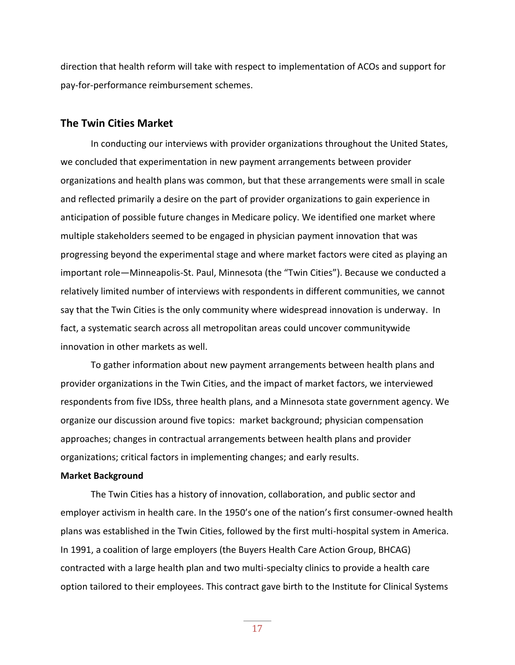direction that health reform will take with respect to implementation of ACOs and support for pay-for-performance reimbursement schemes.

#### **The Twin Cities Market**

In conducting our interviews with provider organizations throughout the United States, we concluded that experimentation in new payment arrangements between provider organizations and health plans was common, but that these arrangements were small in scale and reflected primarily a desire on the part of provider organizations to gain experience in anticipation of possible future changes in Medicare policy. We identified one market where multiple stakeholders seemed to be engaged in physician payment innovation that was progressing beyond the experimental stage and where market factors were cited as playing an important role—Minneapolis-St. Paul, Minnesota (the "Twin Cities"). Because we conducted a relatively limited number of interviews with respondents in different communities, we cannot say that the Twin Cities is the only community where widespread innovation is underway. In fact, a systematic search across all metropolitan areas could uncover communitywide innovation in other markets as well.

To gather information about new payment arrangements between health plans and provider organizations in the Twin Cities, and the impact of market factors, we interviewed respondents from five IDSs, three health plans, and a Minnesota state government agency. We organize our discussion around five topics: market background; physician compensation approaches; changes in contractual arrangements between health plans and provider organizations; critical factors in implementing changes; and early results.

#### **Market Background**

The Twin Cities has a history of innovation, collaboration, and public sector and employer activism in health care. In the 1950's one of the nation's first consumer-owned health plans was established in the Twin Cities, followed by the first multi-hospital system in America. In 1991, a coalition of large employers (the Buyers Health Care Action Group, BHCAG) contracted with a large health plan and two multi-specialty clinics to provide a health care option tailored to their employees. This contract gave birth to the Institute for Clinical Systems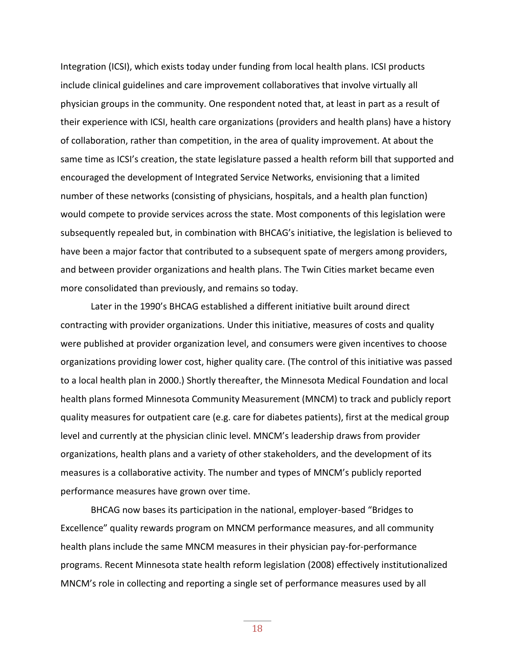Integration (ICSI), which exists today under funding from local health plans. ICSI products include clinical guidelines and care improvement collaboratives that involve virtually all physician groups in the community. One respondent noted that, at least in part as a result of their experience with ICSI, health care organizations (providers and health plans) have a history of collaboration, rather than competition, in the area of quality improvement. At about the same time as ICSI's creation, the state legislature passed a health reform bill that supported and encouraged the development of Integrated Service Networks, envisioning that a limited number of these networks (consisting of physicians, hospitals, and a health plan function) would compete to provide services across the state. Most components of this legislation were subsequently repealed but, in combination with BHCAG's initiative, the legislation is believed to have been a major factor that contributed to a subsequent spate of mergers among providers, and between provider organizations and health plans. The Twin Cities market became even more consolidated than previously, and remains so today.

Later in the 1990's BHCAG established a different initiative built around direct contracting with provider organizations. Under this initiative, measures of costs and quality were published at provider organization level, and consumers were given incentives to choose organizations providing lower cost, higher quality care. (The control of this initiative was passed to a local health plan in 2000.) Shortly thereafter, the Minnesota Medical Foundation and local health plans formed Minnesota Community Measurement (MNCM) to track and publicly report quality measures for outpatient care (e.g. care for diabetes patients), first at the medical group level and currently at the physician clinic level. MNCM's leadership draws from provider organizations, health plans and a variety of other stakeholders, and the development of its measures is a collaborative activity. The number and types of MNCM's publicly reported performance measures have grown over time.

BHCAG now bases its participation in the national, employer-based "Bridges to Excellence" quality rewards program on MNCM performance measures, and all community health plans include the same MNCM measures in their physician pay-for-performance programs. Recent Minnesota state health reform legislation (2008) effectively institutionalized MNCM's role in collecting and reporting a single set of performance measures used by all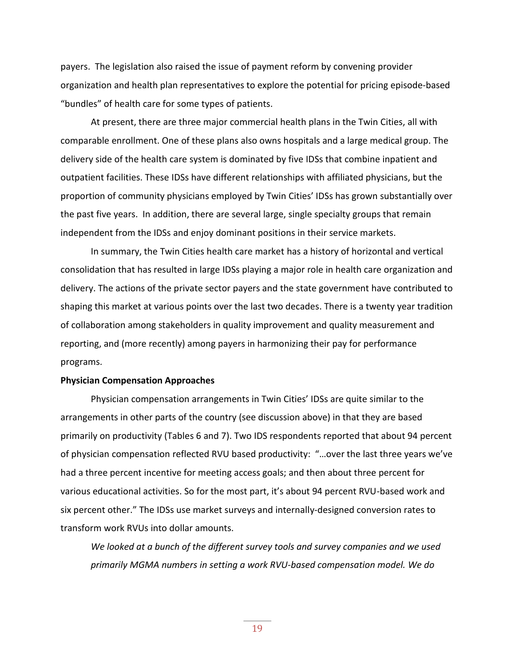payers. The legislation also raised the issue of payment reform by convening provider organization and health plan representatives to explore the potential for pricing episode-based "bundles" of health care for some types of patients.

At present, there are three major commercial health plans in the Twin Cities, all with comparable enrollment. One of these plans also owns hospitals and a large medical group. The delivery side of the health care system is dominated by five IDSs that combine inpatient and outpatient facilities. These IDSs have different relationships with affiliated physicians, but the proportion of community physicians employed by Twin Cities' IDSs has grown substantially over the past five years. In addition, there are several large, single specialty groups that remain independent from the IDSs and enjoy dominant positions in their service markets.

In summary, the Twin Cities health care market has a history of horizontal and vertical consolidation that has resulted in large IDSs playing a major role in health care organization and delivery. The actions of the private sector payers and the state government have contributed to shaping this market at various points over the last two decades. There is a twenty year tradition of collaboration among stakeholders in quality improvement and quality measurement and reporting, and (more recently) among payers in harmonizing their pay for performance programs.

#### **Physician Compensation Approaches**

Physician compensation arrangements in Twin Cities' IDSs are quite similar to the arrangements in other parts of the country (see discussion above) in that they are based primarily on productivity (Tables 6 and 7). Two IDS respondents reported that about 94 percent of physician compensation reflected RVU based productivity: "…over the last three years we've had a three percent incentive for meeting access goals; and then about three percent for various educational activities. So for the most part, it's about 94 percent RVU-based work and six percent other." The IDSs use market surveys and internally-designed conversion rates to transform work RVUs into dollar amounts.

*We looked at a bunch of the different survey tools and survey companies and we used primarily MGMA numbers in setting a work RVU-based compensation model. We do*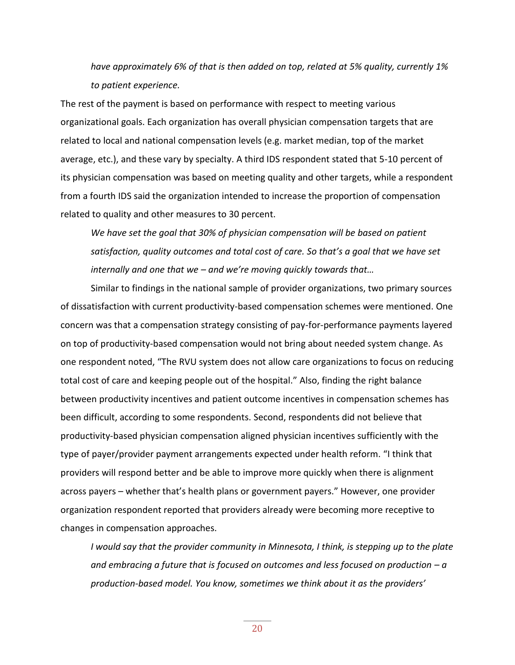*have approximately 6% of that is then added on top, related at 5% quality, currently 1% to patient experience.* 

The rest of the payment is based on performance with respect to meeting various organizational goals. Each organization has overall physician compensation targets that are related to local and national compensation levels (e.g. market median, top of the market average, etc.), and these vary by specialty. A third IDS respondent stated that 5-10 percent of its physician compensation was based on meeting quality and other targets, while a respondent from a fourth IDS said the organization intended to increase the proportion of compensation related to quality and other measures to 30 percent.

*We have set the goal that 30% of physician compensation will be based on patient satisfaction, quality outcomes and total cost of care. So that's a goal that we have set internally and one that we – and we're moving quickly towards that…*

Similar to findings in the national sample of provider organizations, two primary sources of dissatisfaction with current productivity-based compensation schemes were mentioned. One concern was that a compensation strategy consisting of pay-for-performance payments layered on top of productivity-based compensation would not bring about needed system change. As one respondent noted, "The RVU system does not allow care organizations to focus on reducing total cost of care and keeping people out of the hospital." Also, finding the right balance between productivity incentives and patient outcome incentives in compensation schemes has been difficult, according to some respondents. Second, respondents did not believe that productivity-based physician compensation aligned physician incentives sufficiently with the type of payer/provider payment arrangements expected under health reform. "I think that providers will respond better and be able to improve more quickly when there is alignment across payers – whether that's health plans or government payers." However, one provider organization respondent reported that providers already were becoming more receptive to changes in compensation approaches.

*I would say that the provider community in Minnesota, I think, is stepping up to the plate and embracing a future that is focused on outcomes and less focused on production – a production-based model. You know, sometimes we think about it as the providers'*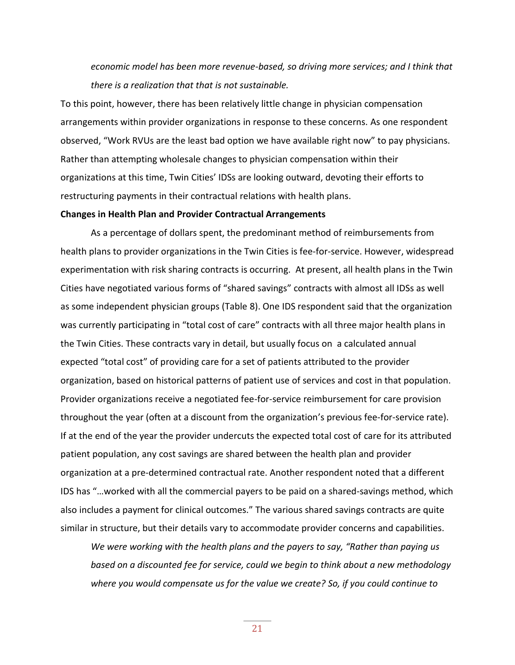*economic model has been more revenue-based, so driving more services; and I think that there is a realization that that is not sustainable.*

To this point, however, there has been relatively little change in physician compensation arrangements within provider organizations in response to these concerns. As one respondent observed, "Work RVUs are the least bad option we have available right now" to pay physicians. Rather than attempting wholesale changes to physician compensation within their organizations at this time, Twin Cities' IDSs are looking outward, devoting their efforts to restructuring payments in their contractual relations with health plans.

#### **Changes in Health Plan and Provider Contractual Arrangements**

As a percentage of dollars spent, the predominant method of reimbursements from health plans to provider organizations in the Twin Cities is fee-for-service. However, widespread experimentation with risk sharing contracts is occurring. At present, all health plans in the Twin Cities have negotiated various forms of "shared savings" contracts with almost all IDSs as well as some independent physician groups (Table 8). One IDS respondent said that the organization was currently participating in "total cost of care" contracts with all three major health plans in the Twin Cities. These contracts vary in detail, but usually focus on a calculated annual expected "total cost" of providing care for a set of patients attributed to the provider organization, based on historical patterns of patient use of services and cost in that population. Provider organizations receive a negotiated fee-for-service reimbursement for care provision throughout the year (often at a discount from the organization's previous fee-for-service rate). If at the end of the year the provider undercuts the expected total cost of care for its attributed patient population, any cost savings are shared between the health plan and provider organization at a pre-determined contractual rate. Another respondent noted that a different IDS has "…worked with all the commercial payers to be paid on a shared-savings method, which also includes a payment for clinical outcomes." The various shared savings contracts are quite similar in structure, but their details vary to accommodate provider concerns and capabilities.

*We were working with the health plans and the payers to say, "Rather than paying us based on a discounted fee for service, could we begin to think about a new methodology where you would compensate us for the value we create? So, if you could continue to*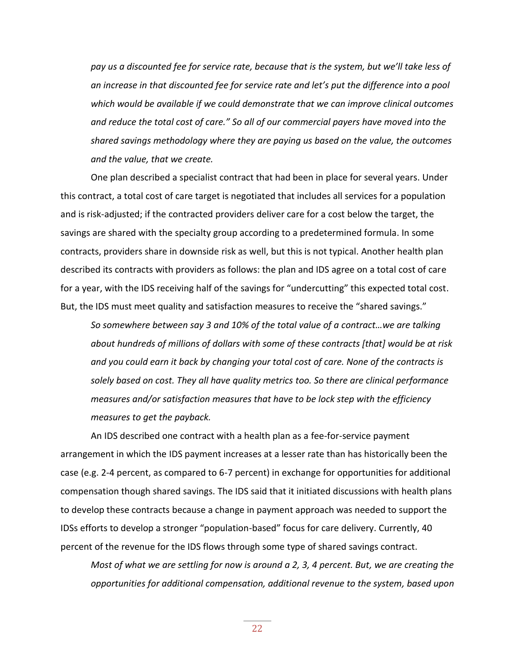*pay us a discounted fee for service rate, because that is the system, but we'll take less of an increase in that discounted fee for service rate and let's put the difference into a pool which would be available if we could demonstrate that we can improve clinical outcomes and reduce the total cost of care." So all of our commercial payers have moved into the shared savings methodology where they are paying us based on the value, the outcomes and the value, that we create.*

One plan described a specialist contract that had been in place for several years. Under this contract, a total cost of care target is negotiated that includes all services for a population and is risk-adjusted; if the contracted providers deliver care for a cost below the target, the savings are shared with the specialty group according to a predetermined formula. In some contracts, providers share in downside risk as well, but this is not typical. Another health plan described its contracts with providers as follows: the plan and IDS agree on a total cost of care for a year, with the IDS receiving half of the savings for "undercutting" this expected total cost. But, the IDS must meet quality and satisfaction measures to receive the "shared savings."

*So somewhere between say 3 and 10% of the total value of a contract…we are talking about hundreds of millions of dollars with some of these contracts [that] would be at risk and you could earn it back by changing your total cost of care. None of the contracts is solely based on cost. They all have quality metrics too. So there are clinical performance measures and/or satisfaction measures that have to be lock step with the efficiency measures to get the payback.*

An IDS described one contract with a health plan as a fee-for-service payment arrangement in which the IDS payment increases at a lesser rate than has historically been the case (e.g. 2-4 percent, as compared to 6-7 percent) in exchange for opportunities for additional compensation though shared savings. The IDS said that it initiated discussions with health plans to develop these contracts because a change in payment approach was needed to support the IDSs efforts to develop a stronger "population-based" focus for care delivery. Currently, 40 percent of the revenue for the IDS flows through some type of shared savings contract.

*Most of what we are settling for now is around a 2, 3, 4 percent. But, we are creating the opportunities for additional compensation, additional revenue to the system, based upon*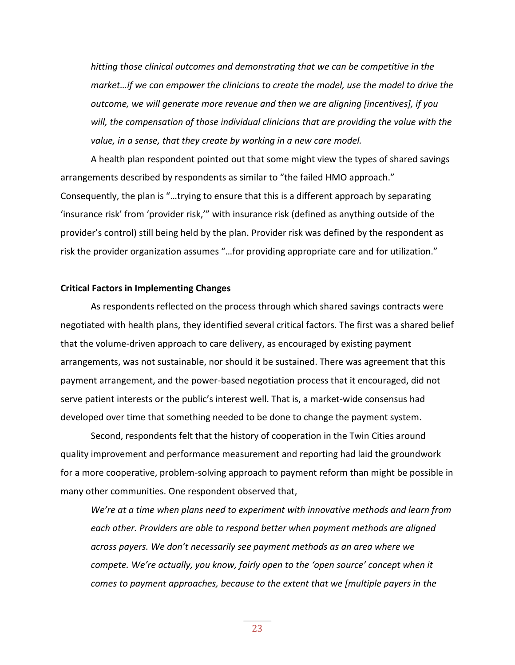*hitting those clinical outcomes and demonstrating that we can be competitive in the market…if we can empower the clinicians to create the model, use the model to drive the outcome, we will generate more revenue and then we are aligning [incentives], if you will, the compensation of those individual clinicians that are providing the value with the value, in a sense, that they create by working in a new care model.*

A health plan respondent pointed out that some might view the types of shared savings arrangements described by respondents as similar to "the failed HMO approach." Consequently, the plan is "…trying to ensure that this is a different approach by separating 'insurance risk' from 'provider risk,'" with insurance risk (defined as anything outside of the provider's control) still being held by the plan. Provider risk was defined by the respondent as risk the provider organization assumes "…for providing appropriate care and for utilization."

#### **Critical Factors in Implementing Changes**

As respondents reflected on the process through which shared savings contracts were negotiated with health plans, they identified several critical factors. The first was a shared belief that the volume-driven approach to care delivery, as encouraged by existing payment arrangements, was not sustainable, nor should it be sustained. There was agreement that this payment arrangement, and the power-based negotiation process that it encouraged, did not serve patient interests or the public's interest well. That is, a market-wide consensus had developed over time that something needed to be done to change the payment system.

Second, respondents felt that the history of cooperation in the Twin Cities around quality improvement and performance measurement and reporting had laid the groundwork for a more cooperative, problem-solving approach to payment reform than might be possible in many other communities. One respondent observed that,

*We're at a time when plans need to experiment with innovative methods and learn from each other. Providers are able to respond better when payment methods are aligned across payers. We don't necessarily see payment methods as an area where we compete. We're actually, you know, fairly open to the 'open source' concept when it comes to payment approaches, because to the extent that we [multiple payers in the*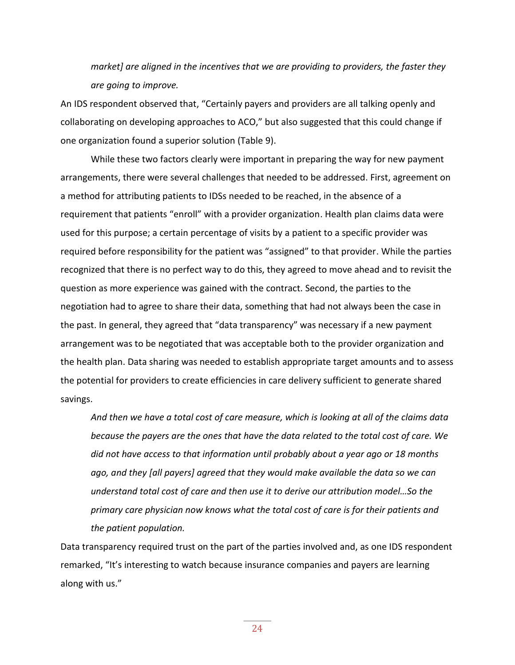*market] are aligned in the incentives that we are providing to providers, the faster they are going to improve.*

An IDS respondent observed that, "Certainly payers and providers are all talking openly and collaborating on developing approaches to ACO," but also suggested that this could change if one organization found a superior solution (Table 9).

While these two factors clearly were important in preparing the way for new payment arrangements, there were several challenges that needed to be addressed. First, agreement on a method for attributing patients to IDSs needed to be reached, in the absence of a requirement that patients "enroll" with a provider organization. Health plan claims data were used for this purpose; a certain percentage of visits by a patient to a specific provider was required before responsibility for the patient was "assigned" to that provider. While the parties recognized that there is no perfect way to do this, they agreed to move ahead and to revisit the question as more experience was gained with the contract. Second, the parties to the negotiation had to agree to share their data, something that had not always been the case in the past. In general, they agreed that "data transparency" was necessary if a new payment arrangement was to be negotiated that was acceptable both to the provider organization and the health plan. Data sharing was needed to establish appropriate target amounts and to assess the potential for providers to create efficiencies in care delivery sufficient to generate shared savings.

*And then we have a total cost of care measure, which is looking at all of the claims data because the payers are the ones that have the data related to the total cost of care. We did not have access to that information until probably about a year ago or 18 months ago, and they [all payers] agreed that they would make available the data so we can understand total cost of care and then use it to derive our attribution model…So the primary care physician now knows what the total cost of care is for their patients and the patient population.* 

Data transparency required trust on the part of the parties involved and, as one IDS respondent remarked, "It's interesting to watch because insurance companies and payers are learning along with us."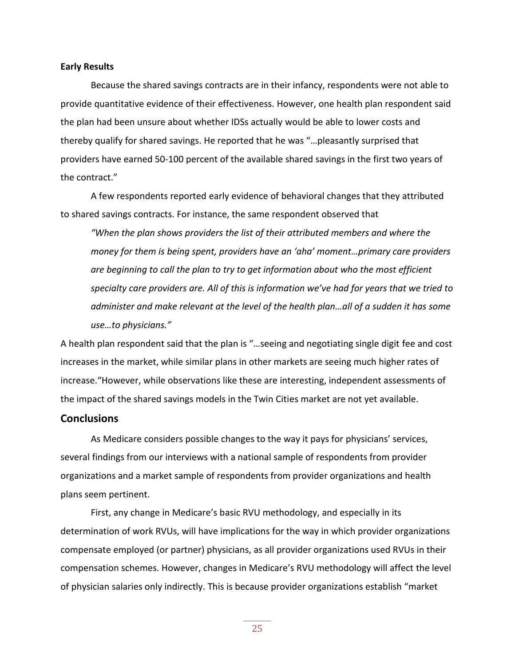#### **Early Results**

Because the shared savings contracts are in their infancy, respondents were not able to provide quantitative evidence of their effectiveness. However, one health plan respondent said the plan had been unsure about whether IDSs actually would be able to lower costs and thereby qualify for shared savings. He reported that he was "…pleasantly surprised that providers have earned 50-100 percent of the available shared savings in the first two years of the contract."

A few respondents reported early evidence of behavioral changes that they attributed to shared savings contracts. For instance, the same respondent observed that

*"When the plan shows providers the list of their attributed members and where the money for them is being spent, providers have an 'aha' moment…primary care providers are beginning to call the plan to try to get information about who the most efficient specialty care providers are. All of this is information we've had for years that we tried to administer and make relevant at the level of the health plan…all of a sudden it has some use…to physicians."*

A health plan respondent said that the plan is "…seeing and negotiating single digit fee and cost increases in the market, while similar plans in other markets are seeing much higher rates of increase."However, while observations like these are interesting, independent assessments of the impact of the shared savings models in the Twin Cities market are not yet available.

#### **Conclusions**

As Medicare considers possible changes to the way it pays for physicians' services, several findings from our interviews with a national sample of respondents from provider organizations and a market sample of respondents from provider organizations and health plans seem pertinent.

First, any change in Medicare's basic RVU methodology, and especially in its determination of work RVUs, will have implications for the way in which provider organizations compensate employed (or partner) physicians, as all provider organizations used RVUs in their compensation schemes. However, changes in Medicare's RVU methodology will affect the level of physician salaries only indirectly. This is because provider organizations establish "market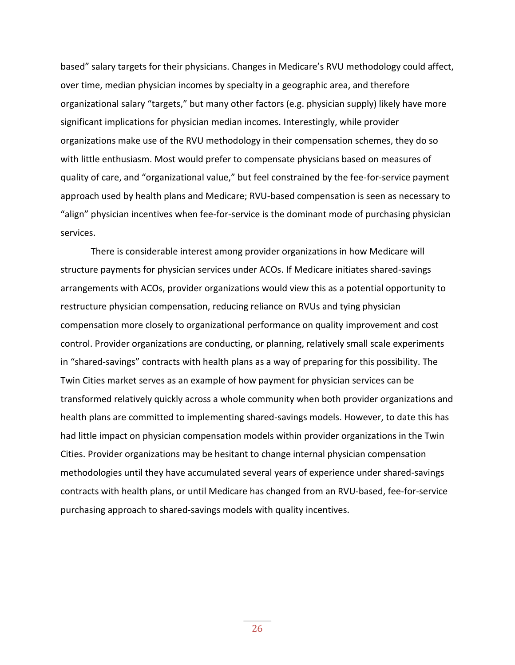based" salary targets for their physicians. Changes in Medicare's RVU methodology could affect, over time, median physician incomes by specialty in a geographic area, and therefore organizational salary "targets," but many other factors (e.g. physician supply) likely have more significant implications for physician median incomes. Interestingly, while provider organizations make use of the RVU methodology in their compensation schemes, they do so with little enthusiasm. Most would prefer to compensate physicians based on measures of quality of care, and "organizational value," but feel constrained by the fee-for-service payment approach used by health plans and Medicare; RVU-based compensation is seen as necessary to "align" physician incentives when fee-for-service is the dominant mode of purchasing physician services.

There is considerable interest among provider organizations in how Medicare will structure payments for physician services under ACOs. If Medicare initiates shared-savings arrangements with ACOs, provider organizations would view this as a potential opportunity to restructure physician compensation, reducing reliance on RVUs and tying physician compensation more closely to organizational performance on quality improvement and cost control. Provider organizations are conducting, or planning, relatively small scale experiments in "shared-savings" contracts with health plans as a way of preparing for this possibility. The Twin Cities market serves as an example of how payment for physician services can be transformed relatively quickly across a whole community when both provider organizations and health plans are committed to implementing shared-savings models. However, to date this has had little impact on physician compensation models within provider organizations in the Twin Cities. Provider organizations may be hesitant to change internal physician compensation methodologies until they have accumulated several years of experience under shared-savings contracts with health plans, or until Medicare has changed from an RVU-based, fee-for-service purchasing approach to shared-savings models with quality incentives.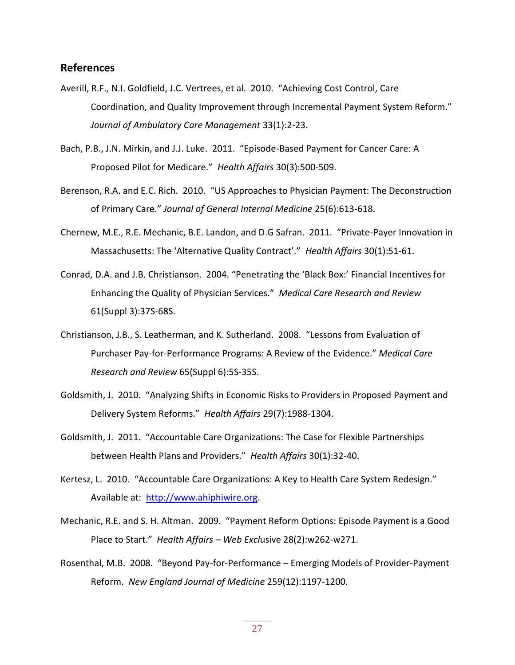#### **References**

- Averill, R.F., N.I. Goldfield, J.C. Vertrees, et al. 2010. "Achieving Cost Control, Care Coordination, and Quality Improvement through Incremental Payment System Reform." *Journal of Ambulatory Care Management* 33(1):2-23.
- Bach, P.B., J.N. Mirkin, and J.J. Luke. 2011. "Episode-Based Payment for Cancer Care: A Proposed Pilot for Medicare." *Health Affairs* 30(3):500-509.
- Berenson, R.A. and E.C. Rich. 2010. "US Approaches to Physician Payment: The Deconstruction of Primary Care." *Journal of General Internal Medicine* 25(6):613-618.
- Chernew, M.E., R.E. Mechanic, B.E. Landon, and D.G Safran. 2011. "Private-Payer Innovation in Massachusetts: The 'Alternative Quality Contract'." *Health Affairs* 30(1):51-61.
- Conrad, D.A. and J.B. Christianson. 2004. "Penetrating the 'Black Box:' Financial Incentives for Enhancing the Quality of Physician Services." *Medical Care Research and Review* 61(Suppl 3):37S-68S.
- Christianson, J.B., S. Leatherman, and K. Sutherland. 2008. "Lessons from Evaluation of Purchaser Pay-for-Performance Programs: A Review of the Evidence." *Medical Care Research and Review* 65(Suppl 6):5S-35S.
- Goldsmith, J. 2010. "Analyzing Shifts in Economic Risks to Providers in Proposed Payment and Delivery System Reforms." *Health Affairs* 29(7):1988-1304.
- Goldsmith, J. 2011. "Accountable Care Organizations: The Case for Flexible Partnerships between Health Plans and Providers." *Health Affairs* 30(1):32-40.
- Kertesz, L. 2010. "Accountable Care Organizations: A Key to Health Care System Redesign." Available at: [http://www.ahiphiwire.org.](http://www.ahiphiwire.org/)
- Mechanic, R.E. and S. H. Altman. 2009. "Payment Reform Options: Episode Payment is a Good Place to Start." *Health Affairs – Web Excl*usive 28(2):w262-w271.
- Rosenthal, M.B. 2008. "Beyond Pay-for-Performance Emerging Models of Provider-Payment Reform. *New England Journal of Medicine* 259(12):1197-1200.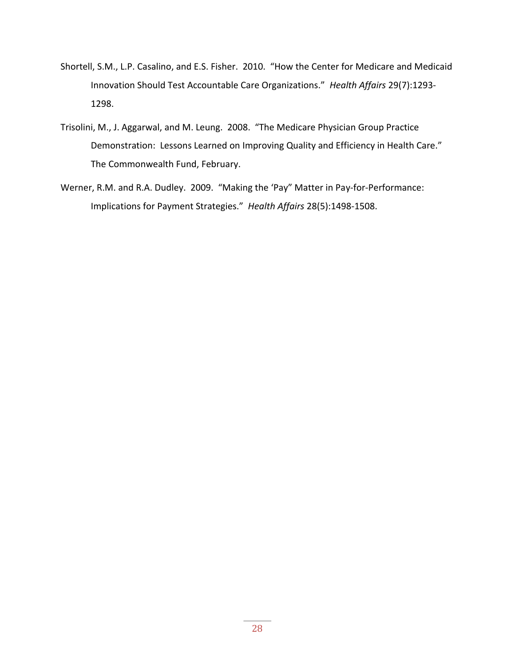- Shortell, S.M., L.P. Casalino, and E.S. Fisher. 2010. "How the Center for Medicare and Medicaid Innovation Should Test Accountable Care Organizations." *Health Affairs* 29(7):1293- 1298.
- Trisolini, M., J. Aggarwal, and M. Leung. 2008. "The Medicare Physician Group Practice Demonstration: Lessons Learned on Improving Quality and Efficiency in Health Care." The Commonwealth Fund, February.
- Werner, R.M. and R.A. Dudley. 2009. "Making the 'Pay" Matter in Pay-for-Performance: Implications for Payment Strategies." *Health Affairs* 28(5):1498-1508.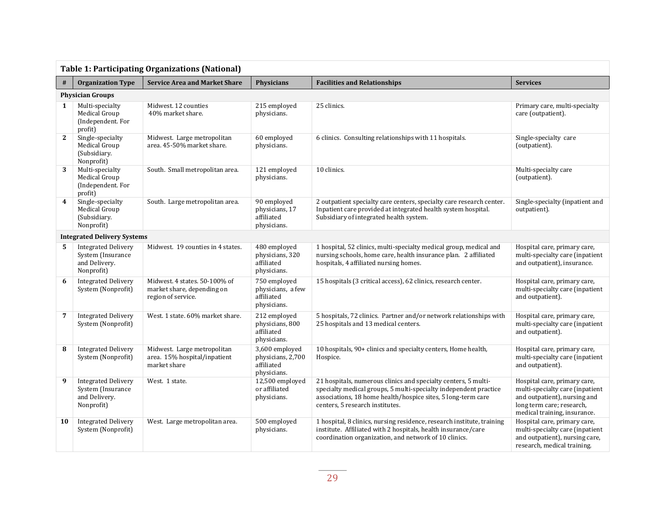|                         | <b>Table 1: Participating Organizations (National)</b>                         |                                                                                   |                                                                  |                                                                                                                                                                                                                                       |                                                                                                                                                              |  |
|-------------------------|--------------------------------------------------------------------------------|-----------------------------------------------------------------------------------|------------------------------------------------------------------|---------------------------------------------------------------------------------------------------------------------------------------------------------------------------------------------------------------------------------------|--------------------------------------------------------------------------------------------------------------------------------------------------------------|--|
| #                       | <b>Organization Type</b>                                                       | <b>Service Area and Market Share</b>                                              | <b>Physicians</b>                                                | <b>Facilities and Relationships</b>                                                                                                                                                                                                   | <b>Services</b>                                                                                                                                              |  |
|                         | <b>Physician Groups</b>                                                        |                                                                                   |                                                                  |                                                                                                                                                                                                                                       |                                                                                                                                                              |  |
| 1                       | Multi-specialty<br>Medical Group<br>(Independent. For<br>profit)               | Midwest, 12 counties<br>40% market share.                                         | 215 employed<br>physicians.                                      | 25 clinics.                                                                                                                                                                                                                           | Primary care, multi-specialty<br>care (outpatient).                                                                                                          |  |
| $\mathbf{2}$            | Single-specialty<br>Medical Group<br>(Subsidiary.<br>Nonprofit)                | Midwest. Large metropolitan<br>area. 45-50% market share.                         | 60 employed<br>physicians.                                       | 6 clinics. Consulting relationships with 11 hospitals.                                                                                                                                                                                | Single-specialty care<br>(outpatient).                                                                                                                       |  |
| 3                       | Multi-specialty<br>Medical Group<br>(Independent. For<br>profit)               | South. Small metropolitan area.                                                   | 121 employed<br>physicians.                                      | 10 clinics.                                                                                                                                                                                                                           | Multi-specialty care<br>(outpatient).                                                                                                                        |  |
| $\overline{\mathbf{4}}$ | Single-specialty<br>Medical Group<br>(Subsidiary.<br>Nonprofit)                | South. Large metropolitan area.                                                   | 90 employed<br>physicians, 17<br>affiliated<br>physicians.       | 2 outpatient specialty care centers, specialty care research center.<br>Inpatient care provided at integrated health system hospital.<br>Subsidiary of integrated health system.                                                      | Single-specialty (inpatient and<br>outpatient).                                                                                                              |  |
|                         | <b>Integrated Delivery Systems</b>                                             |                                                                                   |                                                                  |                                                                                                                                                                                                                                       |                                                                                                                                                              |  |
| 5                       | <b>Integrated Delivery</b><br>System (Insurance<br>and Delivery.<br>Nonprofit) | Midwest. 19 counties in 4 states.                                                 | 480 employed<br>physicians, 320<br>affiliated<br>physicians.     | 1 hospital, 52 clinics, multi-specialty medical group, medical and<br>nursing schools, home care, health insurance plan. 2 affiliated<br>hospitals, 4 affiliated nursing homes.                                                       | Hospital care, primary care,<br>multi-specialty care (inpatient<br>and outpatient), insurance.                                                               |  |
| 6                       | <b>Integrated Delivery</b><br>System (Nonprofit)                               | Midwest. 4 states. 50-100% of<br>market share, depending on<br>region of service. | 750 employed<br>physicians, a few<br>affiliated<br>physicians.   | 15 hospitals (3 critical access), 62 clinics, research center.                                                                                                                                                                        | Hospital care, primary care,<br>multi-specialty care (inpatient<br>and outpatient).                                                                          |  |
| 7                       | <b>Integrated Delivery</b><br>System (Nonprofit)                               | West. 1 state. 60% market share.                                                  | 212 employed<br>physicians, 800<br>affiliated<br>physicians.     | 5 hospitals, 72 clinics. Partner and/or network relationships with<br>25 hospitals and 13 medical centers.                                                                                                                            | Hospital care, primary care,<br>multi-specialty care (inpatient<br>and outpatient).                                                                          |  |
| 8                       | <b>Integrated Delivery</b><br>System (Nonprofit)                               | Midwest. Large metropolitan<br>area. 15% hospital/inpatient<br>market share       | 3,600 employed<br>physicians, 2,700<br>affiliated<br>physicians. | 10 hospitals, 90+ clinics and specialty centers, Home health,<br>Hospice.                                                                                                                                                             | Hospital care, primary care,<br>multi-specialty care (inpatient<br>and outpatient).                                                                          |  |
| 9                       | <b>Integrated Delivery</b><br>System (Insurance<br>and Delivery.<br>Nonprofit) | West. 1 state.                                                                    | 12,500 employed<br>or affiliated<br>physicians.                  | 21 hospitals, numerous clinics and specialty centers, 5 multi-<br>specialty medical groups, 5 multi-specialty independent practice<br>associations, 18 home health/hospice sites, 5 long-term care<br>centers, 5 research institutes. | Hospital care, primary care,<br>multi-specialty care (inpatient<br>and outpatient), nursing and<br>long term care; research,<br>medical training, insurance. |  |
| 10                      | <b>Integrated Delivery</b><br>System (Nonprofit)                               | West. Large metropolitan area.                                                    | 500 employed<br>physicians.                                      | 1 hospital, 8 clinics, nursing residence, research institute, training<br>institute. Affiliated with 2 hospitals, health insurance/care<br>coordination organization, and network of 10 clinics.                                      | Hospital care, primary care,<br>multi-specialty care (inpatient<br>and outpatient), nursing care,<br>research, medical training.                             |  |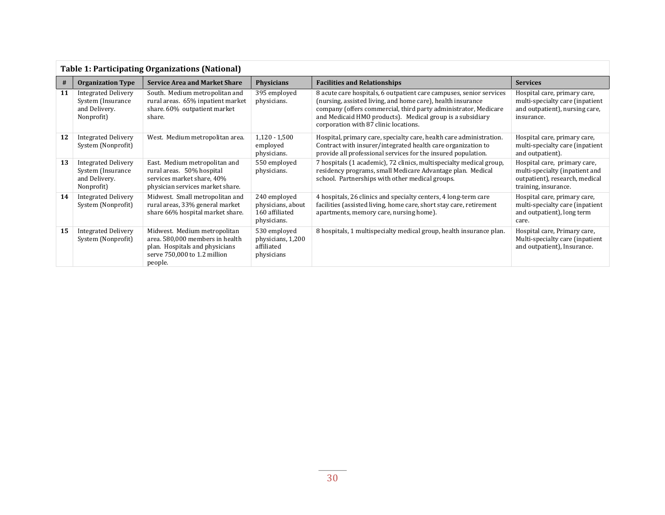|    | <b>Table 1: Participating Organizations (National)</b>                          |                                                                                                                                              |                                                                    |                                                                                                                                                                                                                                                                                                             |                                                                                                                          |  |
|----|---------------------------------------------------------------------------------|----------------------------------------------------------------------------------------------------------------------------------------------|--------------------------------------------------------------------|-------------------------------------------------------------------------------------------------------------------------------------------------------------------------------------------------------------------------------------------------------------------------------------------------------------|--------------------------------------------------------------------------------------------------------------------------|--|
| #  | <b>Organization Type</b>                                                        | <b>Service Area and Market Share</b>                                                                                                         | <b>Physicians</b>                                                  | <b>Facilities and Relationships</b>                                                                                                                                                                                                                                                                         | <b>Services</b>                                                                                                          |  |
| 11 | <b>Integrated Delivery</b><br>System (Insurance)<br>and Delivery.<br>Nonprofit) | South. Medium metropolitan and<br>rural areas. 65% inpatient market<br>share. 60% outpatient market<br>share.                                | 395 employed<br>physicians.                                        | 8 acute care hospitals, 6 outpatient care campuses, senior services<br>(nursing, assisted living, and home care), health insurance<br>company (offers commercial, third party administrator, Medicare<br>and Medicaid HMO products). Medical group is a subsidiary<br>corporation with 87 clinic locations. | Hospital care, primary care,<br>multi-specialty care (inpatient<br>and outpatient), nursing care,<br>insurance.          |  |
| 12 | <b>Integrated Delivery</b><br>System (Nonprofit)                                | West. Medium metropolitan area.                                                                                                              | $1,120 - 1,500$<br>employed<br>physicians.                         | Hospital, primary care, specialty care, health care administration.<br>Contract with insurer/integrated health care organization to<br>provide all professional services for the insured population.                                                                                                        | Hospital care, primary care,<br>multi-specialty care (inpatient<br>and outpatient).                                      |  |
| 13 | <b>Integrated Delivery</b><br>System (Insurance)<br>and Delivery.<br>Nonprofit) | East. Medium metropolitan and<br>rural areas. 50% hospital<br>services market share, 40%<br>physician services market share.                 | 550 employed<br>physicians.                                        | 7 hospitals (1 academic), 72 clinics, multispecialty medical group,<br>residency programs, small Medicare Advantage plan. Medical<br>school. Partnerships with other medical groups.                                                                                                                        | Hospital care, primary care,<br>multi-specialty (inpatient and<br>outpatient), research, medical<br>training, insurance. |  |
| 14 | <b>Integrated Delivery</b><br>System (Nonprofit)                                | Midwest. Small metropolitan and<br>rural areas, 33% general market<br>share 66% hospital market share.                                       | 240 employed<br>physicians, about<br>160 affiliated<br>physicians. | 4 hospitals, 26 clinics and specialty centers, 4 long-term care<br>facilities (assisted living, home care, short stay care, retirement<br>apartments, memory care, nursing home).                                                                                                                           | Hospital care, primary care,<br>multi-specialty care (inpatient<br>and outpatient), long term<br>care.                   |  |
| 15 | <b>Integrated Delivery</b><br>System (Nonprofit)                                | Midwest. Medium metropolitan<br>area. 580,000 members in health<br>plan. Hospitals and physicians<br>serve 750,000 to 1.2 million<br>people. | 530 employed<br>physicians, 1,200<br>affiliated<br>physicians      | 8 hospitals, 1 multispecialty medical group, health insurance plan.                                                                                                                                                                                                                                         | Hospital care, Primary care,<br>Multi-specialty care (inpatient<br>and outpatient), Insurance.                           |  |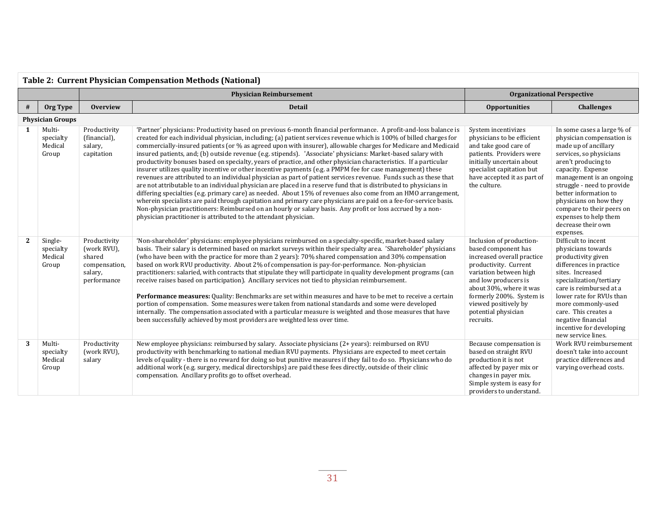| <b>Table 2: Current Physician Compensation Methods (National)</b> |                                          |                                                                                  |                                                                                                                                                                                                                                                                                                                                                                                                                                                                                                                                                                                                                                                                                                                                                                                                                                                                                                                                                                                                                                                                                                                                                                                                                                                                                                                                                                           |                                                                                                                                                                                                                                                                             |                                                                                                                                                                                                                                                                                                                                                              |
|-------------------------------------------------------------------|------------------------------------------|----------------------------------------------------------------------------------|---------------------------------------------------------------------------------------------------------------------------------------------------------------------------------------------------------------------------------------------------------------------------------------------------------------------------------------------------------------------------------------------------------------------------------------------------------------------------------------------------------------------------------------------------------------------------------------------------------------------------------------------------------------------------------------------------------------------------------------------------------------------------------------------------------------------------------------------------------------------------------------------------------------------------------------------------------------------------------------------------------------------------------------------------------------------------------------------------------------------------------------------------------------------------------------------------------------------------------------------------------------------------------------------------------------------------------------------------------------------------|-----------------------------------------------------------------------------------------------------------------------------------------------------------------------------------------------------------------------------------------------------------------------------|--------------------------------------------------------------------------------------------------------------------------------------------------------------------------------------------------------------------------------------------------------------------------------------------------------------------------------------------------------------|
|                                                                   |                                          |                                                                                  |                                                                                                                                                                                                                                                                                                                                                                                                                                                                                                                                                                                                                                                                                                                                                                                                                                                                                                                                                                                                                                                                                                                                                                                                                                                                                                                                                                           | <b>Organizational Perspective</b>                                                                                                                                                                                                                                           |                                                                                                                                                                                                                                                                                                                                                              |
| #                                                                 | Org Type                                 | <b>Overview</b>                                                                  | <b>Detail</b>                                                                                                                                                                                                                                                                                                                                                                                                                                                                                                                                                                                                                                                                                                                                                                                                                                                                                                                                                                                                                                                                                                                                                                                                                                                                                                                                                             | <b>Opportunities</b>                                                                                                                                                                                                                                                        | <b>Challenges</b>                                                                                                                                                                                                                                                                                                                                            |
|                                                                   | <b>Physician Groups</b>                  |                                                                                  |                                                                                                                                                                                                                                                                                                                                                                                                                                                                                                                                                                                                                                                                                                                                                                                                                                                                                                                                                                                                                                                                                                                                                                                                                                                                                                                                                                           |                                                                                                                                                                                                                                                                             |                                                                                                                                                                                                                                                                                                                                                              |
| 1                                                                 | Multi-<br>specialty<br>Medical<br>Group  | Productivity<br>(financial),<br>salary,<br>capitation                            | 'Partner' physicians: Productivity based on previous 6-month financial performance. A profit-and-loss balance is<br>created for each individual physician, including; (a) patient services revenue which is 100% of billed charges for<br>commercially-insured patients (or % as agreed upon with insurer), allowable charges for Medicare and Medicaid<br>insured patients, and; (b) outside revenue (e.g. stipends). 'Associate' physicians: Market-based salary with<br>productivity bonuses based on specialty, years of practice, and other physician characteristics. If a particular<br>insurer utilizes quality incentive or other incentive payments (e.g. a PMPM fee for case management) these<br>revenues are attributed to an individual physician as part of patient services revenue. Funds such as these that<br>are not attributable to an individual physician are placed in a reserve fund that is distributed to physicians in<br>differing specialties (e.g. primary care) as needed. About 15% of revenues also come from an HMO arrangement,<br>wherein specialists are paid through capitation and primary care physicians are paid on a fee-for-service basis.<br>Non-physician practitioners: Reimbursed on an hourly or salary basis. Any profit or loss accrued by a non-<br>physician practitioner is attributed to the attendant physician. | System incentivizes<br>physicians to be efficient<br>and take good care of<br>patients. Providers were<br>initially uncertain about<br>specialist capitation but<br>have accepted it as part of<br>the culture.                                                             | In some cases a large % of<br>physician compensation is<br>made up of ancillary<br>services, so physicians<br>aren't producing to<br>capacity. Expense<br>management is an ongoing<br>struggle - need to provide<br>better information to<br>physicians on how they<br>compare to their peers on<br>expenses to help them<br>decrease their own<br>expenses. |
| $\mathbf{2}$                                                      | Single-<br>specialty<br>Medical<br>Group | Productivity<br>(work RVU),<br>shared<br>compensation,<br>salary,<br>performance | 'Non-shareholder' physicians: employee physicians reimbursed on a specialty-specific, market-based salary<br>basis. Their salary is determined based on market surveys within their specialty area. 'Shareholder' physicians<br>(who have been with the practice for more than 2 years): 70% shared compensation and 30% compensation<br>based on work RVU productivity. About 2% of compensation is pay-for-performance. Non-physician<br>practitioners: salaried, with contracts that stipulate they will participate in quality development programs (can<br>receive raises based on participation). Ancillary services not tied to physician reimbursement.<br>Performance measures: Quality: Benchmarks are set within measures and have to be met to receive a certain<br>portion of compensation. Some measures were taken from national standards and some were developed<br>internally. The compensation associated with a particular measure is weighted and those measures that have<br>been successfully achieved by most providers are weighted less over time.                                                                                                                                                                                                                                                                                              | Inclusion of production-<br>based component has<br>increased overall practice<br>productivity. Current<br>variation between high<br>and low producers is<br>about 30%, where it was<br>formerly 200%. System is<br>viewed positively by<br>potential physician<br>recruits. | Difficult to incent<br>physicians towards<br>productivity given<br>differences in practice<br>sites. Increased<br>specialization/tertiary<br>care is reimbursed at a<br>lower rate for RVUs than<br>more commonly-used<br>care. This creates a<br>negative financial<br>incentive for developing<br>new service lines.                                       |
| 3                                                                 | Multi-<br>specialty<br>Medical<br>Group  | Productivity<br>(work RVU).<br>salary                                            | New employee physicians: reimbursed by salary. Associate physicians (2+ years): reimbursed on RVU<br>productivity with benchmarking to national median RVU payments. Physicians are expected to meet certain<br>levels of quality - there is no reward for doing so but punitive measures if they fail to do so. Physicians who do<br>additional work (e.g. surgery, medical directorships) are paid these fees directly, outside of their clinic<br>compensation. Ancillary profits go to offset overhead.                                                                                                                                                                                                                                                                                                                                                                                                                                                                                                                                                                                                                                                                                                                                                                                                                                                               | Because compensation is<br>based on straight RVU<br>production it is not<br>affected by payer mix or<br>changes in payer mix.<br>Simple system is easy for<br>providers to understand.                                                                                      | Work RVU reimbursement<br>doesn't take into account<br>practice differences and<br>varying overhead costs.                                                                                                                                                                                                                                                   |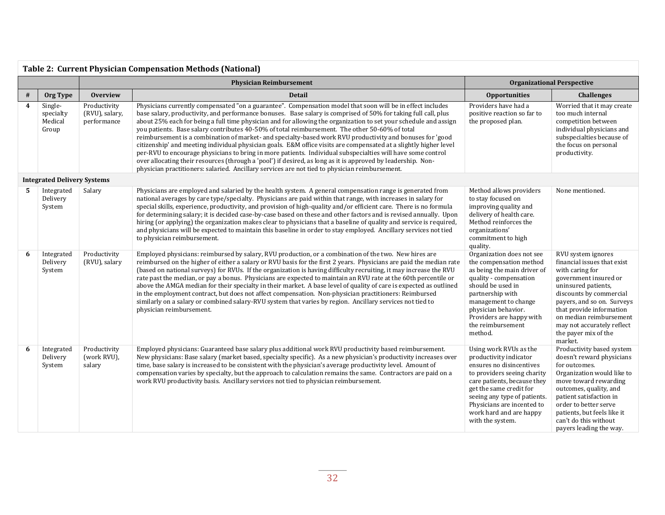|      | <b>Table 2: Current Physician Compensation Methods (National)</b> |                                               |                                                                                                                                                                                                                                                                                                                                                                                                                                                                                                                                                                                                                                                                                                                                                                                                                                                                                                                                                                                                                       |                                                                                                                                                                                                                                                                                    |                                                                                                                                                                                                                                                                                                       |  |  |
|------|-------------------------------------------------------------------|-----------------------------------------------|-----------------------------------------------------------------------------------------------------------------------------------------------------------------------------------------------------------------------------------------------------------------------------------------------------------------------------------------------------------------------------------------------------------------------------------------------------------------------------------------------------------------------------------------------------------------------------------------------------------------------------------------------------------------------------------------------------------------------------------------------------------------------------------------------------------------------------------------------------------------------------------------------------------------------------------------------------------------------------------------------------------------------|------------------------------------------------------------------------------------------------------------------------------------------------------------------------------------------------------------------------------------------------------------------------------------|-------------------------------------------------------------------------------------------------------------------------------------------------------------------------------------------------------------------------------------------------------------------------------------------------------|--|--|
|      |                                                                   |                                               | <b>Physician Reimbursement</b>                                                                                                                                                                                                                                                                                                                                                                                                                                                                                                                                                                                                                                                                                                                                                                                                                                                                                                                                                                                        | <b>Organizational Perspective</b>                                                                                                                                                                                                                                                  |                                                                                                                                                                                                                                                                                                       |  |  |
| $\#$ | Org Type                                                          | <b>Overview</b>                               | <b>Detail</b>                                                                                                                                                                                                                                                                                                                                                                                                                                                                                                                                                                                                                                                                                                                                                                                                                                                                                                                                                                                                         | <b>Opportunities</b>                                                                                                                                                                                                                                                               | <b>Challenges</b>                                                                                                                                                                                                                                                                                     |  |  |
| 4    | Single-<br>specialty<br>Medical<br>Group                          | Productivity<br>(RVU), salary,<br>performance | Physicians currently compensated "on a guarantee". Compensation model that soon will be in effect includes<br>base salary, productivity, and performance bonuses. Base salary is comprised of 50% for taking full call, plus<br>about 25% each for being a full time physician and for allowing the organization to set your schedule and assign<br>you patients. Base salary contributes 40-50% of total reimbursement. The other 50-60% of total<br>reimbursement is a combination of market- and specialty-based work RVU productivity and bonuses for 'good<br>citizenship' and meeting individual physician goals. E&M office visits are compensated at a slightly higher level<br>per-RVU to encourage physicians to bring in more patients. Individual subspecialties will have some control<br>over allocating their resources (through a 'pool') if desired, as long as it is approved by leadership. Non-<br>physician practitioners: salaried. Ancillary services are not tied to physician reimbursement. | Providers have had a<br>positive reaction so far to<br>the proposed plan.                                                                                                                                                                                                          | Worried that it may create<br>too much internal<br>competition between<br>individual physicians and<br>subspecialties because of<br>the focus on personal<br>productivity.                                                                                                                            |  |  |
|      | <b>Integrated Delivery Systems</b>                                |                                               |                                                                                                                                                                                                                                                                                                                                                                                                                                                                                                                                                                                                                                                                                                                                                                                                                                                                                                                                                                                                                       |                                                                                                                                                                                                                                                                                    |                                                                                                                                                                                                                                                                                                       |  |  |
| 5.   | Integrated<br>Delivery<br>System                                  | Salary                                        | Physicians are employed and salaried by the health system. A general compensation range is generated from<br>national averages by care type/specialty. Physicians are paid within that range, with increases in salary for<br>special skills, experience, productivity, and provision of high-quality and/or efficient care. There is no formula<br>for determining salary; it is decided case-by-case based on these and other factors and is revised annually. Upon<br>hiring (or applying) the organization makes clear to physicians that a baseline of quality and service is required,<br>and physicians will be expected to maintain this baseline in order to stay employed. Ancillary services not tied<br>to physician reimbursement.                                                                                                                                                                                                                                                                       | Method allows providers<br>to stay focused on<br>improving quality and<br>delivery of health care.<br>Method reinforces the<br>organizations'<br>commitment to high<br>quality.                                                                                                    | None mentioned.                                                                                                                                                                                                                                                                                       |  |  |
| 6    | Integrated<br>Delivery<br>System                                  | Productivity<br>(RVU), salary                 | Employed physicians: reimbursed by salary, RVU production, or a combination of the two. New hires are<br>reimbursed on the higher of either a salary or RVU basis for the first 2 years. Physicians are paid the median rate<br>(based on national surveys) for RVUs. If the organization is having difficulty recruiting, it may increase the RVU<br>rate past the median, or pay a bonus. Physicians are expected to maintain an RVU rate at the 60th percentile or<br>above the AMGA median for their specialty in their market. A base level of quality of care is expected as outlined<br>in the employment contract, but does not affect compensation. Non-physician practitioners: Reimbursed<br>similarly on a salary or combined salary-RVU system that varies by region. Ancillary services not tied to<br>physician reimbursement.                                                                                                                                                                         | Organization does not see<br>the compensation method<br>as being the main driver of<br>quality - compensation<br>should be used in<br>partnership with<br>management to change<br>physician behavior.<br>Providers are happy with<br>the reimbursement<br>method.                  | RVU system ignores<br>financial issues that exist<br>with caring for<br>government insured or<br>uninsured patients,<br>discounts by commercial<br>payers, and so on. Surveys<br>that provide information<br>on median reimbursement<br>may not accurately reflect<br>the payer mix of the<br>market. |  |  |
| 6    | Integrated<br>Delivery<br>System                                  | Productivity<br>(work RVU),<br>salary         | Employed physicians: Guaranteed base salary plus additional work RVU productivity based reimbursement.<br>New physicians: Base salary (market based, specialty specific). As a new physician's productivity increases over<br>time, base salary is increased to be consistent with the physician's average productivity level. Amount of<br>compensation varies by specialty, but the approach to calculation remains the same. Contractors are paid on a<br>work RVU productivity basis. Ancillary services not tied to physician reimbursement.                                                                                                                                                                                                                                                                                                                                                                                                                                                                     | Using work RVUs as the<br>productivity indicator<br>ensures no disincentives<br>to providers seeing charity<br>care patients, because they<br>get the same credit for<br>seeing any type of patients.<br>Physicians are incented to<br>work hard and are happy<br>with the system. | Productivity based system<br>doesn't reward physicians<br>for outcomes.<br>Organization would like to<br>move toward rewarding<br>outcomes, quality, and<br>patient satisfaction in<br>order to better serve<br>patients, but feels like it<br>can't do this without<br>payers leading the way.       |  |  |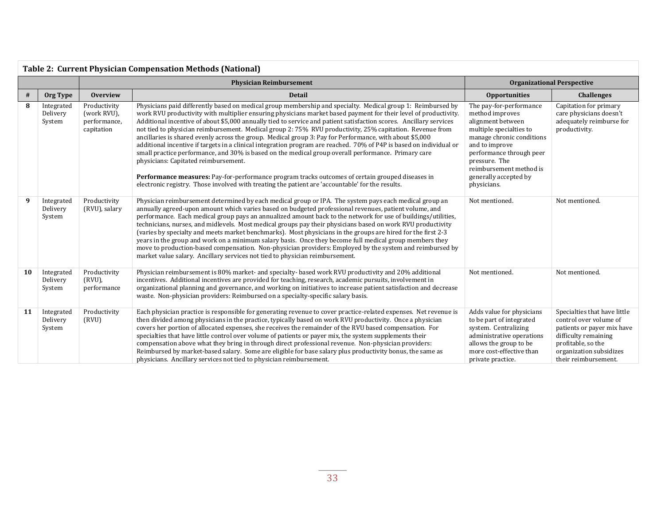| <b>Table 2: Current Physician Compensation Methods (National)</b> |                                  |                                                           |                                                                                                                                                                                                                                                                                                                                                                                                                                                                                                                                                                                                                                                                                                                                                                                                                                                                                                                                                                                                                                                          |                                                                                                                                                                                                                                                           |                                                                                                                                                                                       |  |
|-------------------------------------------------------------------|----------------------------------|-----------------------------------------------------------|----------------------------------------------------------------------------------------------------------------------------------------------------------------------------------------------------------------------------------------------------------------------------------------------------------------------------------------------------------------------------------------------------------------------------------------------------------------------------------------------------------------------------------------------------------------------------------------------------------------------------------------------------------------------------------------------------------------------------------------------------------------------------------------------------------------------------------------------------------------------------------------------------------------------------------------------------------------------------------------------------------------------------------------------------------|-----------------------------------------------------------------------------------------------------------------------------------------------------------------------------------------------------------------------------------------------------------|---------------------------------------------------------------------------------------------------------------------------------------------------------------------------------------|--|
|                                                                   |                                  |                                                           | <b>Physician Reimbursement</b>                                                                                                                                                                                                                                                                                                                                                                                                                                                                                                                                                                                                                                                                                                                                                                                                                                                                                                                                                                                                                           | <b>Organizational Perspective</b>                                                                                                                                                                                                                         |                                                                                                                                                                                       |  |
| #                                                                 | Org Type                         | <b>Overview</b><br><b>Detail</b>                          |                                                                                                                                                                                                                                                                                                                                                                                                                                                                                                                                                                                                                                                                                                                                                                                                                                                                                                                                                                                                                                                          | <b>Opportunities</b>                                                                                                                                                                                                                                      | <b>Challenges</b>                                                                                                                                                                     |  |
| 8                                                                 | Integrated<br>Delivery<br>System | Productivity<br>(work RVU),<br>performance,<br>capitation | Physicians paid differently based on medical group membership and specialty. Medical group 1: Reimbursed by<br>work RVU productivity with multiplier ensuring physicians market based payment for their level of productivity<br>Additional incentive of about \$5,000 annually tied to service and patient satisfaction scores. Ancillary services<br>not tied to physician reimbursement. Medical group 2: 75% RVU productivity, 25% capitation. Revenue from<br>ancillaries is shared evenly across the group. Medical group 3: Pay for Performance, with about \$5,000<br>additional incentive if targets in a clinical integration program are reached. 70% of P4P is based on individual or<br>small practice performance, and 30% is based on the medical group overall performance. Primary care<br>physicians: Capitated reimbursement.<br>Performance measures: Pay-for-performance program tracks outcomes of certain grouped diseases in<br>electronic registry. Those involved with treating the patient are 'accountable' for the results. | The pay-for-performance<br>method improves<br>alignment between<br>multiple specialties to<br>manage chronic conditions<br>and to improve<br>performance through peer<br>pressure. The<br>reimbursement method is<br>generally accepted by<br>physicians. | Capitation for primary<br>care physicians doesn't<br>adequately reimburse for<br>productivity.                                                                                        |  |
| 9                                                                 | Integrated<br>Delivery<br>System | Productivity<br>(RVU), salary                             | Physician reimbursement determined by each medical group or IPA. The system pays each medical group an<br>annually agreed-upon amount which varies based on budgeted professional revenues, patient volume, and<br>performance. Each medical group pays an annualized amount back to the network for use of buildings/utilities,<br>technicians, nurses, and midlevels. Most medical groups pay their physicians based on work RVU productivity<br>(varies by specialty and meets market benchmarks). Most physicians in the groups are hired for the first 2-3<br>years in the group and work on a minimum salary basis. Once they become full medical group members they<br>move to production-based compensation. Non-physician providers: Employed by the system and reimbursed by<br>market value salary. Ancillary services not tied to physician reimbursement.                                                                                                                                                                                   | Not mentioned.                                                                                                                                                                                                                                            | Not mentioned.                                                                                                                                                                        |  |
| 10                                                                | Integrated<br>Delivery<br>System | Productivity<br>$(RVU)$ ,<br>performance                  | Physician reimbursement is 80% market- and specialty- based work RVU productivity and 20% additional<br>incentives. Additional incentives are provided for teaching, research, academic pursuits, involvement in<br>organizational planning and governance, and working on initiatives to increase patient satisfaction and decrease<br>waste. Non-physician providers: Reimbursed on a specialty-specific salary basis.                                                                                                                                                                                                                                                                                                                                                                                                                                                                                                                                                                                                                                 |                                                                                                                                                                                                                                                           | Not mentioned.                                                                                                                                                                        |  |
| 11                                                                | Integrated<br>Delivery<br>System | Productivity<br>(RVU)                                     | Each physician practice is responsible for generating revenue to cover practice-related expenses. Net revenue is<br>then divided among physicians in the practice, typically based on work RVU productivity. Once a physician<br>covers her portion of allocated expenses, she receives the remainder of the RVU based compensation. For<br>specialties that have little control over volume of patients or payer mix, the system supplements their<br>compensation above what they bring in through direct professional revenue. Non-physician providers:<br>Reimbursed by market-based salary. Some are eligible for base salary plus productivity bonus, the same as<br>physicians. Ancillary services not tied to physician reimbursement.                                                                                                                                                                                                                                                                                                           | Adds value for physicians<br>to be part of integrated<br>system. Centralizing<br>administrative operations<br>allows the group to be<br>more cost-effective than<br>private practice.                                                                     | Specialties that have little<br>control over volume of<br>patients or payer mix have<br>difficulty remaining<br>profitable, so the<br>organization subsidizes<br>their reimbursement. |  |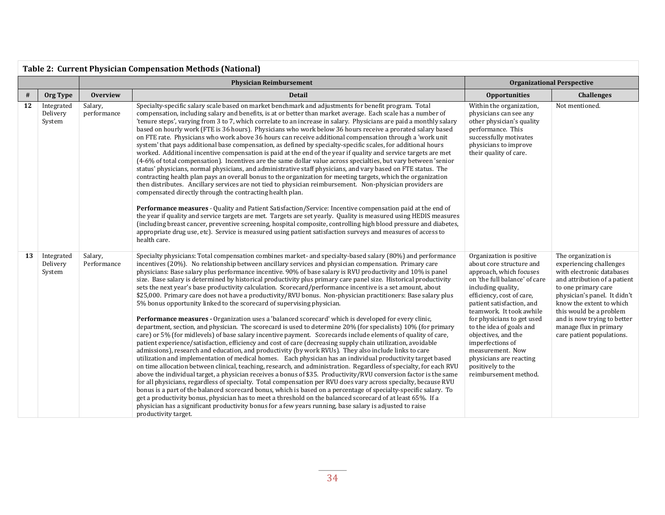| <b>Table 2: Current Physician Compensation Methods (National)</b> |                                  |                        |                                                                                                                                                                                                                                                                                                                                                                                                                                                                                                                                                                                                                                                                                                                                                                                                                                                                                                                                                                                                                                                                                                                                                                                                                                                                                                                                                                                                                                                                                                                                                                                                                                                                                                                                                                                                                                                                                                                                                                                                                                                                                                                                                                                       |                                                                                                                                                                                                                                                                                                                                                                                                                                |                                                                                                                                                                                                                                                                                                                 |  |  |
|-------------------------------------------------------------------|----------------------------------|------------------------|---------------------------------------------------------------------------------------------------------------------------------------------------------------------------------------------------------------------------------------------------------------------------------------------------------------------------------------------------------------------------------------------------------------------------------------------------------------------------------------------------------------------------------------------------------------------------------------------------------------------------------------------------------------------------------------------------------------------------------------------------------------------------------------------------------------------------------------------------------------------------------------------------------------------------------------------------------------------------------------------------------------------------------------------------------------------------------------------------------------------------------------------------------------------------------------------------------------------------------------------------------------------------------------------------------------------------------------------------------------------------------------------------------------------------------------------------------------------------------------------------------------------------------------------------------------------------------------------------------------------------------------------------------------------------------------------------------------------------------------------------------------------------------------------------------------------------------------------------------------------------------------------------------------------------------------------------------------------------------------------------------------------------------------------------------------------------------------------------------------------------------------------------------------------------------------|--------------------------------------------------------------------------------------------------------------------------------------------------------------------------------------------------------------------------------------------------------------------------------------------------------------------------------------------------------------------------------------------------------------------------------|-----------------------------------------------------------------------------------------------------------------------------------------------------------------------------------------------------------------------------------------------------------------------------------------------------------------|--|--|
|                                                                   |                                  |                        | <b>Physician Reimbursement</b>                                                                                                                                                                                                                                                                                                                                                                                                                                                                                                                                                                                                                                                                                                                                                                                                                                                                                                                                                                                                                                                                                                                                                                                                                                                                                                                                                                                                                                                                                                                                                                                                                                                                                                                                                                                                                                                                                                                                                                                                                                                                                                                                                        |                                                                                                                                                                                                                                                                                                                                                                                                                                | <b>Organizational Perspective</b>                                                                                                                                                                                                                                                                               |  |  |
| $\#$                                                              | Org Type                         | <b>Overview</b>        | <b>Detail</b>                                                                                                                                                                                                                                                                                                                                                                                                                                                                                                                                                                                                                                                                                                                                                                                                                                                                                                                                                                                                                                                                                                                                                                                                                                                                                                                                                                                                                                                                                                                                                                                                                                                                                                                                                                                                                                                                                                                                                                                                                                                                                                                                                                         | <b>Opportunities</b>                                                                                                                                                                                                                                                                                                                                                                                                           | <b>Challenges</b>                                                                                                                                                                                                                                                                                               |  |  |
| 12                                                                | Integrated<br>Delivery<br>System | Salary,<br>performance | Specialty-specific salary scale based on market benchmark and adjustments for benefit program. Total<br>compensation, including salary and benefits, is at or better than market average. Each scale has a number of<br>'tenure steps', varying from 3 to 7, which correlate to an increase in salary. Physicians are paid a monthly salary<br>based on hourly work (FTE is 36 hours). Physicians who work below 36 hours receive a prorated salary based<br>on FTE rate. Physicians who work above 36 hours can receive additional compensation through a 'work unit<br>system' that pays additional base compensation, as defined by specialty-specific scales, for additional hours<br>worked. Additional incentive compensation is paid at the end of the year if quality and service targets are met<br>(4-6% of total compensation). Incentives are the same dollar value across specialties, but vary between 'senior<br>status' physicians, normal physicians, and administrative staff physicians, and vary based on FTE status. The<br>contracting health plan pays an overall bonus to the organization for meeting targets, which the organization<br>then distributes. Ancillary services are not tied to physician reimbursement. Non-physician providers are<br>compensated directly through the contracting health plan.<br>Performance measures - Quality and Patient Satisfaction/Service: Incentive compensation paid at the end of<br>the year if quality and service targets are met. Targets are set yearly. Quality is measured using HEDIS measures<br>(including breast cancer, preventive screening, hospital composite, controlling high blood pressure and diabetes,<br>appropriate drug use, etc). Service is measured using patient satisfaction surveys and measures of access to<br>health care.                                                                                                                                                                                                                                                                                                                                                      | Within the organization,<br>physicians can see any<br>other physician's quality<br>performance. This<br>successfully motivates<br>physicians to improve<br>their quality of care.                                                                                                                                                                                                                                              | Not mentioned.                                                                                                                                                                                                                                                                                                  |  |  |
| 13                                                                | Integrated<br>Delivery<br>System | Salary,<br>Performance | Specialty physicians: Total compensation combines market- and specialty-based salary (80%) and performance<br>incentives (20%). No relationship between ancillary services and physician compensation. Primary care<br>physicians: Base salary plus performance incentive. 90% of base salary is RVU productivity and 10% is panel<br>size. Base salary is determined by historical productivity plus primary care panel size. Historical productivity<br>sets the next year's base productivity calculation. Scorecard/performance incentive is a set amount, about<br>\$25,000. Primary care does not have a productivity/RVU bonus. Non-physician practitioners: Base salary plus<br>5% bonus opportunity linked to the scorecard of supervising physician.<br>Performance measures - Organization uses a 'balanced scorecard' which is developed for every clinic,<br>department, section, and physician. The scorecard is used to determine 20% (for specialists) 10% (for primary<br>care) or 5% (for midlevels) of base salary incentive payment. Scorecards include elements of quality of care,<br>patient experience/satisfaction, efficiency and cost of care (decreasing supply chain utilization, avoidable<br>admissions), research and education, and productivity (by work RVUs). They also include links to care<br>utilization and implementation of medical homes. Each physician has an individual productivity target based<br>on time allocation between clinical, teaching, research, and administration. Regardless of specialty, for each RVU<br>above the individual target, a physician receives a bonus of \$35. Productivity/RVU conversion factor is the same<br>for all physicians, regardless of specialty. Total compensation per RVU does vary across specialty, because RVU<br>bonus is a part of the balanced scorecard bonus, which is based on a percentage of specialty-specific salary. To<br>get a productivity bonus, physician has to meet a threshold on the balanced scorecard of at least 65%. If a<br>physician has a significant productivity bonus for a few years running, base salary is adjusted to raise<br>productivity target. | Organization is positive<br>about core structure and<br>approach, which focuses<br>on 'the full balance' of care<br>including quality,<br>efficiency, cost of care,<br>patient satisfaction, and<br>teamwork. It took awhile<br>for physicians to get used<br>to the idea of goals and<br>objectives, and the<br>imperfections of<br>measurement. Now<br>physicians are reacting<br>positively to the<br>reimbursement method. | The organization is<br>experiencing challenges<br>with electronic databases<br>and attribution of a patient<br>to one primary care<br>physician's panel. It didn't<br>know the extent to which<br>this would be a problem<br>and is now trying to better<br>manage flux in primary<br>care patient populations. |  |  |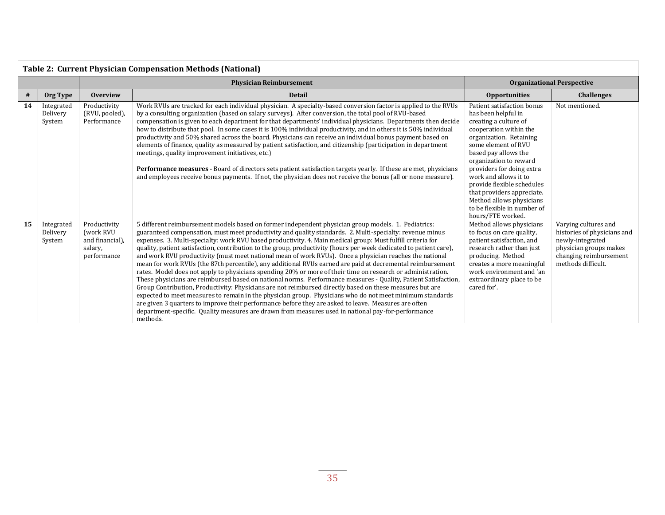| <b>Table 2: Current Physician Compensation Methods (National)</b> |                                  |                                                                        |                                                                                                                                                                                                                                                                                                                                                                                                                                                                                                                                                                                                                                                                                                                                                                                                                                                                                                                                                                                                                                                                                                                                                                                                                                                                                                                                                                  |                                                                                                                                                                                                                                                                                                                                                                                                            |                                                                                                                                                   |  |
|-------------------------------------------------------------------|----------------------------------|------------------------------------------------------------------------|------------------------------------------------------------------------------------------------------------------------------------------------------------------------------------------------------------------------------------------------------------------------------------------------------------------------------------------------------------------------------------------------------------------------------------------------------------------------------------------------------------------------------------------------------------------------------------------------------------------------------------------------------------------------------------------------------------------------------------------------------------------------------------------------------------------------------------------------------------------------------------------------------------------------------------------------------------------------------------------------------------------------------------------------------------------------------------------------------------------------------------------------------------------------------------------------------------------------------------------------------------------------------------------------------------------------------------------------------------------|------------------------------------------------------------------------------------------------------------------------------------------------------------------------------------------------------------------------------------------------------------------------------------------------------------------------------------------------------------------------------------------------------------|---------------------------------------------------------------------------------------------------------------------------------------------------|--|
|                                                                   |                                  |                                                                        | <b>Organizational Perspective</b>                                                                                                                                                                                                                                                                                                                                                                                                                                                                                                                                                                                                                                                                                                                                                                                                                                                                                                                                                                                                                                                                                                                                                                                                                                                                                                                                |                                                                                                                                                                                                                                                                                                                                                                                                            |                                                                                                                                                   |  |
| #                                                                 | Org Type                         | <b>Overview</b>                                                        | <b>Detail</b>                                                                                                                                                                                                                                                                                                                                                                                                                                                                                                                                                                                                                                                                                                                                                                                                                                                                                                                                                                                                                                                                                                                                                                                                                                                                                                                                                    | <b>Opportunities</b>                                                                                                                                                                                                                                                                                                                                                                                       | <b>Challenges</b>                                                                                                                                 |  |
| 14                                                                | Integrated<br>Delivery<br>System | Productivity<br>(RVU, pooled)<br>Performance                           | Work RVUs are tracked for each individual physician. A specialty-based conversion factor is applied to the RVUs<br>by a consulting organization (based on salary surveys). After conversion, the total pool of RVU-based<br>compensation is given to each department for that departments' individual physicians. Departments then decide<br>how to distribute that pool. In some cases it is 100% individual productivity, and in others it is 50% individual<br>productivity and 50% shared across the board. Physicians can receive an individual bonus payment based on<br>elements of finance, quality as measured by patient satisfaction, and citizenship (participation in department<br>meetings, quality improvement initiatives, etc.)<br>Performance measures - Board of directors sets patient satisfaction targets yearly. If these are met, physicians<br>and employees receive bonus payments. If not, the physician does not receive the bonus (all or none measure).                                                                                                                                                                                                                                                                                                                                                                           | Patient satisfaction bonus<br>has been helpful in<br>creating a culture of<br>cooperation within the<br>organization. Retaining<br>some element of RVU<br>based pay allows the<br>organization to reward<br>providers for doing extra<br>work and allows it to<br>provide flexible schedules<br>that providers appreciate.<br>Method allows physicians<br>to be flexible in number of<br>hours/FTE worked. | Not mentioned.                                                                                                                                    |  |
| 15                                                                | Integrated<br>Delivery<br>System | Productivity<br>(work RVU<br>and financial).<br>salary,<br>performance | 5 different reimbursement models based on former independent physician group models. 1. Pediatrics:<br>guaranteed compensation, must meet productivity and quality standards. 2. Multi-specialty: revenue minus<br>expenses. 3. Multi-specialty: work RVU based productivity. 4. Main medical group: Must fulfill criteria for<br>quality, patient satisfaction, contribution to the group, productivity (hours per week dedicated to patient care),<br>and work RVU productivity (must meet national mean of work RVUs). Once a physician reaches the national<br>mean for work RVUs (the 87th percentile), any additional RVUs earned are paid at decremental reimbursement<br>rates. Model does not apply to physicians spending 20% or more of their time on research or administration.<br>These physicians are reimbursed based on national norms. Performance measures - Quality, Patient Satisfaction,<br>Group Contribution, Productivity: Physicians are not reimbursed directly based on these measures but are<br>expected to meet measures to remain in the physician group. Physicians who do not meet minimum standards<br>are given 3 quarters to improve their performance before they are asked to leave. Measures are often<br>department-specific. Quality measures are drawn from measures used in national pay-for-performance<br>methods. | Method allows physicians<br>to focus on care quality,<br>patient satisfaction, and<br>research rather than just<br>producing. Method<br>creates a more meaningful<br>work environment and 'an<br>extraordinary place to be<br>cared for'.                                                                                                                                                                  | Varying cultures and<br>histories of physicians and<br>newly-integrated<br>physician groups makes<br>changing reimbursement<br>methods difficult. |  |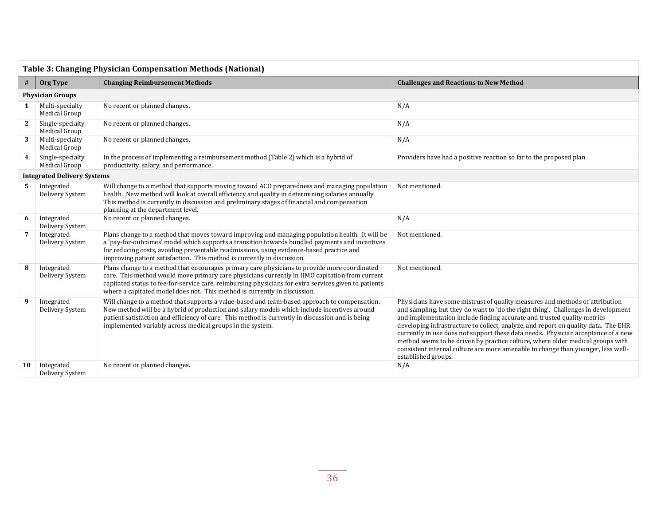| <b>Table 3: Changing Physician Compensation Methods (National)</b> |                                    |                                                                                                                                                                                                                                                                                                                                                                                     |                                                                                                                                                                                                                                                                                                                                                                                                                                                                                                                                                                                                                      |  |
|--------------------------------------------------------------------|------------------------------------|-------------------------------------------------------------------------------------------------------------------------------------------------------------------------------------------------------------------------------------------------------------------------------------------------------------------------------------------------------------------------------------|----------------------------------------------------------------------------------------------------------------------------------------------------------------------------------------------------------------------------------------------------------------------------------------------------------------------------------------------------------------------------------------------------------------------------------------------------------------------------------------------------------------------------------------------------------------------------------------------------------------------|--|
| #                                                                  | Org Type                           | <b>Changing Reimbursement Methods</b>                                                                                                                                                                                                                                                                                                                                               | <b>Challenges and Reactions to New Method</b>                                                                                                                                                                                                                                                                                                                                                                                                                                                                                                                                                                        |  |
|                                                                    | <b>Physician Groups</b>            |                                                                                                                                                                                                                                                                                                                                                                                     |                                                                                                                                                                                                                                                                                                                                                                                                                                                                                                                                                                                                                      |  |
| 1                                                                  | Multi-specialty<br>Medical Group   | No recent or planned changes.                                                                                                                                                                                                                                                                                                                                                       | N/A                                                                                                                                                                                                                                                                                                                                                                                                                                                                                                                                                                                                                  |  |
| 2                                                                  | Single-specialty<br>Medical Group  | No recent or planned changes.                                                                                                                                                                                                                                                                                                                                                       | N/A                                                                                                                                                                                                                                                                                                                                                                                                                                                                                                                                                                                                                  |  |
| 3                                                                  | Multi-specialty<br>Medical Group   | No recent or planned changes.                                                                                                                                                                                                                                                                                                                                                       | N/A                                                                                                                                                                                                                                                                                                                                                                                                                                                                                                                                                                                                                  |  |
| 4                                                                  | Single-specialty<br>Medical Group  | In the process of implementing a reimbursement method (Table 2) which is a hybrid of<br>productivity, salary, and performance.                                                                                                                                                                                                                                                      | Providers have had a positive reaction so far to the proposed plan.                                                                                                                                                                                                                                                                                                                                                                                                                                                                                                                                                  |  |
|                                                                    | <b>Integrated Delivery Systems</b> |                                                                                                                                                                                                                                                                                                                                                                                     |                                                                                                                                                                                                                                                                                                                                                                                                                                                                                                                                                                                                                      |  |
| 5.                                                                 | Integrated<br>Delivery System      | Will change to a method that supports moving toward ACO preparedness and managing population<br>health. New method will look at overall efficiency and quality in determining salaries annually.<br>This method is currently in discussion and preliminary stages of financial and compensation<br>planning at the department level.                                                | Not mentioned.                                                                                                                                                                                                                                                                                                                                                                                                                                                                                                                                                                                                       |  |
|                                                                    | Integrated<br>Delivery System      | No recent or planned changes.                                                                                                                                                                                                                                                                                                                                                       | N/A                                                                                                                                                                                                                                                                                                                                                                                                                                                                                                                                                                                                                  |  |
|                                                                    | Integrated<br>Delivery System      | Plans change to a method that moves toward improving and managing population health. It will be<br>a 'pay-for-outcomes' model which supports a transition towards bundled payments and incentives<br>for reducing costs, avoiding preventable readmissions, using evidence-based practice and<br>improving patient satisfaction. This method is currently in discussion.            | Not mentioned.                                                                                                                                                                                                                                                                                                                                                                                                                                                                                                                                                                                                       |  |
| 8                                                                  | Integrated<br>Delivery System      | Plans change to a method that encourages primary care physicians to provide more coordinated<br>care. This method would move primary care physicians currently in HMO capitation from current<br>capitated status to fee-for-service care, reimbursing physicians for extra services given to patients<br>where a capitated model does not. This method is currently in discussion. | Not mentioned.                                                                                                                                                                                                                                                                                                                                                                                                                                                                                                                                                                                                       |  |
| 9                                                                  | Integrated<br>Delivery System      | Will change to a method that supports a value-based and team-based approach to compensation.<br>New method will be a hybrid of production and salary models which include incentives around<br>patient satisfaction and efficiency of care. This method is currently in discussion and is being<br>implemented variably across medical groups in the system.                        | Physicians have some mistrust of quality measures and methods of attribution<br>and sampling, but they do want to 'do the right thing'. Challenges in development<br>and implementation include finding accurate and trusted quality metrics<br>developing infrastructure to collect, analyze, and report on quality data. The EHR<br>currently in use does not support these data needs. Physician acceptance of a new<br>method seems to be driven by practice culture, where older medical groups with<br>consistent internal culture are more amenable to change than younger, less well-<br>established groups. |  |
| 10                                                                 | Integrated<br>Delivery System      | No recent or planned changes.                                                                                                                                                                                                                                                                                                                                                       | N/A                                                                                                                                                                                                                                                                                                                                                                                                                                                                                                                                                                                                                  |  |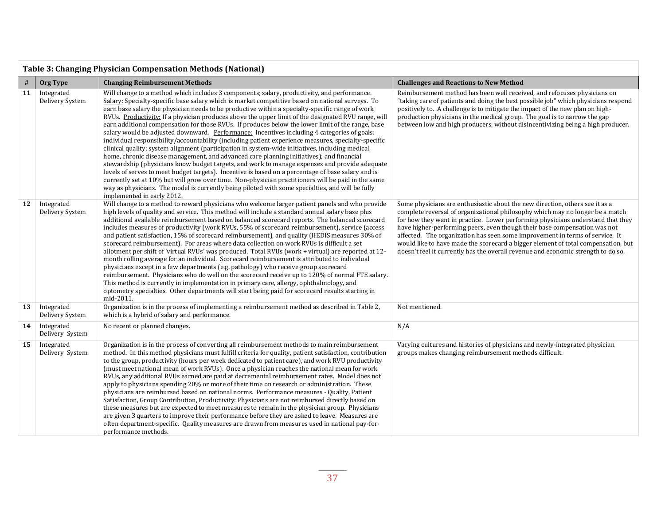|    | <b>Table 3: Changing Physician Compensation Methods (National)</b> |                                                                                                                                                                                                                                                                                                                                                                                                                                                                                                                                                                                                                                                                                                                                                                                                                                                                                                                                                                                                                                                                                                                                                                                                                                                                                                                                                                    |                                                                                                                                                                                                                                                                                                                                                                                                                                                                                                                                                                                         |  |  |  |  |
|----|--------------------------------------------------------------------|--------------------------------------------------------------------------------------------------------------------------------------------------------------------------------------------------------------------------------------------------------------------------------------------------------------------------------------------------------------------------------------------------------------------------------------------------------------------------------------------------------------------------------------------------------------------------------------------------------------------------------------------------------------------------------------------------------------------------------------------------------------------------------------------------------------------------------------------------------------------------------------------------------------------------------------------------------------------------------------------------------------------------------------------------------------------------------------------------------------------------------------------------------------------------------------------------------------------------------------------------------------------------------------------------------------------------------------------------------------------|-----------------------------------------------------------------------------------------------------------------------------------------------------------------------------------------------------------------------------------------------------------------------------------------------------------------------------------------------------------------------------------------------------------------------------------------------------------------------------------------------------------------------------------------------------------------------------------------|--|--|--|--|
| #  | Org Type                                                           | <b>Changing Reimbursement Methods</b>                                                                                                                                                                                                                                                                                                                                                                                                                                                                                                                                                                                                                                                                                                                                                                                                                                                                                                                                                                                                                                                                                                                                                                                                                                                                                                                              | <b>Challenges and Reactions to New Method</b>                                                                                                                                                                                                                                                                                                                                                                                                                                                                                                                                           |  |  |  |  |
| 11 | Integrated<br>Delivery System                                      | Will change to a method which includes 3 components; salary, productivity, and performance.<br>Salary: Specialty-specific base salary which is market competitive based on national surveys. To<br>earn base salary the physician needs to be productive within a specialty-specific range of work<br>RVUs. Productivity: If a physician produces above the upper limit of the designated RVU range, will<br>earn additional compensation for those RVUs. If produces below the lower limit of the range, base<br>salary would be adjusted downward. Performance: Incentives including 4 categories of goals:<br>individual responsibility/accountability (including patient experience measures, specialty-specific<br>clinical quality; system alignment (participation in system-wide initiatives, including medical<br>home, chronic disease management, and advanced care planning initiatives); and financial<br>stewardship (physicians know budget targets, and work to manage expenses and provide adequate<br>levels of serves to meet budget targets). Incentive is based on a percentage of base salary and is<br>currently set at 10% but will grow over time. Non-physician practitioners will be paid in the same<br>way as physicians. The model is currently being piloted with some specialties, and will be fully<br>implemented in early 2012. | Reimbursement method has been well received, and refocuses physicians on<br>"taking care of patients and doing the best possible job" which physicians respond<br>positively to. A challenge is to mitigate the impact of the new plan on high-<br>production physicians in the medical group. The goal is to narrow the gap<br>between low and high producers, without disincentivizing being a high producer.                                                                                                                                                                         |  |  |  |  |
| 12 | Integrated<br>Delivery System                                      | Will change to a method to reward physicians who welcome larger patient panels and who provide<br>high levels of quality and service. This method will include a standard annual salary base plus<br>additional available reimbursement based on balanced scorecard reports. The balanced scorecard<br>includes measures of productivity (work RVUs, 55% of scorecard reimbursement), service (access<br>and patient satisfaction, 15% of scorecard reimbursement), and quality (HEDIS measures 30% of<br>scorecard reimbursement). For areas where data collection on work RVUs is difficult a set<br>allotment per shift of 'virtual RVUs' was produced. Total RVUs (work + virtual) are reported at 12-<br>month rolling average for an individual. Scorecard reimbursement is attributed to individual<br>physicians except in a few departments (e.g. pathology) who receive group scorecard<br>reimbursement. Physicians who do well on the scorecard receive up to 120% of normal FTE salary.<br>This method is currently in implementation in primary care, allergy, ophthalmology, and<br>optometry specialties. Other departments will start being paid for scorecard results starting in<br>mid-2011.                                                                                                                                                   | Some physicians are enthusiastic about the new direction, others see it as a<br>complete reversal of organizational philosophy which may no longer be a match<br>for how they want in practice. Lower performing physicians understand that they<br>have higher-performing peers, even though their base compensation was not<br>affected. The organization has seen some improvement in terms of service. It<br>would like to have made the scorecard a bigger element of total compensation, but<br>doesn't feel it currently has the overall revenue and economic strength to do so. |  |  |  |  |
| 13 | Integrated<br>Delivery System                                      | Organization is in the process of implementing a reimbursement method as described in Table 2,<br>which is a hybrid of salary and performance.                                                                                                                                                                                                                                                                                                                                                                                                                                                                                                                                                                                                                                                                                                                                                                                                                                                                                                                                                                                                                                                                                                                                                                                                                     | Not mentioned.                                                                                                                                                                                                                                                                                                                                                                                                                                                                                                                                                                          |  |  |  |  |
| 14 | Integrated<br>Delivery System                                      | No recent or planned changes.                                                                                                                                                                                                                                                                                                                                                                                                                                                                                                                                                                                                                                                                                                                                                                                                                                                                                                                                                                                                                                                                                                                                                                                                                                                                                                                                      | N/A                                                                                                                                                                                                                                                                                                                                                                                                                                                                                                                                                                                     |  |  |  |  |
| 15 | Integrated<br>Delivery System                                      | Organization is in the process of converting all reimbursement methods to main reimbursement<br>method. In this method physicians must fulfill criteria for quality, patient satisfaction, contribution<br>to the group, productivity (hours per week dedicated to patient care), and work RVU productivity<br>(must meet national mean of work RVUs). Once a physician reaches the national mean for work<br>RVUs, any additional RVUs earned are paid at decremental reimbursement rates. Model does not<br>apply to physicians spending 20% or more of their time on research or administration. These<br>physicians are reimbursed based on national norms. Performance measures - Quality, Patient<br>Satisfaction, Group Contribution, Productivity: Physicians are not reimbursed directly based on<br>these measures but are expected to meet measures to remain in the physician group. Physicians<br>are given 3 quarters to improve their performance before they are asked to leave. Measures are<br>often department-specific. Quality measures are drawn from measures used in national pay-for-<br>performance methods.                                                                                                                                                                                                                             | Varying cultures and histories of physicians and newly-integrated physician<br>groups makes changing reimbursement methods difficult.                                                                                                                                                                                                                                                                                                                                                                                                                                                   |  |  |  |  |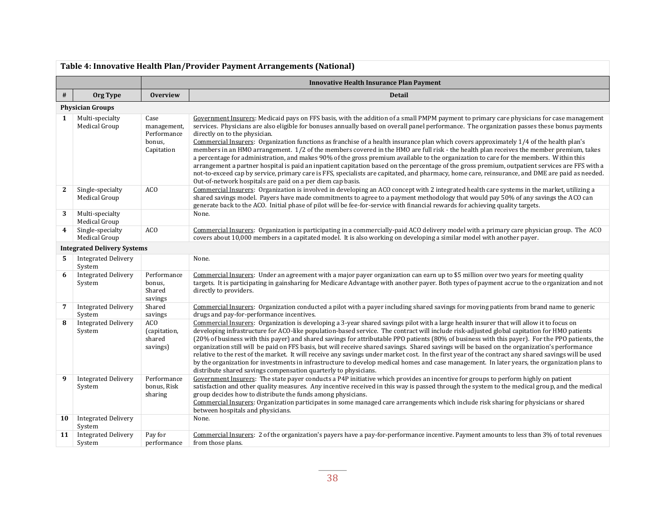|                         | Table 4: Innovative Health Plan/Provider Payment Arrangements (National) |                                                            |                                                                                                                                                                                                                                                                                                                                                                                                                                                                                                                                                                                                                                                                                                                                                                                                                                                                                                                                                                                                                                                                                                                                |  |  |  |
|-------------------------|--------------------------------------------------------------------------|------------------------------------------------------------|--------------------------------------------------------------------------------------------------------------------------------------------------------------------------------------------------------------------------------------------------------------------------------------------------------------------------------------------------------------------------------------------------------------------------------------------------------------------------------------------------------------------------------------------------------------------------------------------------------------------------------------------------------------------------------------------------------------------------------------------------------------------------------------------------------------------------------------------------------------------------------------------------------------------------------------------------------------------------------------------------------------------------------------------------------------------------------------------------------------------------------|--|--|--|
|                         |                                                                          | <b>Innovative Health Insurance Plan Payment</b>            |                                                                                                                                                                                                                                                                                                                                                                                                                                                                                                                                                                                                                                                                                                                                                                                                                                                                                                                                                                                                                                                                                                                                |  |  |  |
| $\#$                    | Org Type                                                                 | <b>Overview</b>                                            | <b>Detail</b>                                                                                                                                                                                                                                                                                                                                                                                                                                                                                                                                                                                                                                                                                                                                                                                                                                                                                                                                                                                                                                                                                                                  |  |  |  |
|                         | <b>Physician Groups</b>                                                  |                                                            |                                                                                                                                                                                                                                                                                                                                                                                                                                                                                                                                                                                                                                                                                                                                                                                                                                                                                                                                                                                                                                                                                                                                |  |  |  |
| 1                       | Multi-specialty<br>Medical Group                                         | Case<br>management,<br>Performance<br>bonus,<br>Capitation | Government Insurers: Medicaid pays on FFS basis, with the addition of a small PMPM payment to primary care physicians for case management<br>services. Physicians are also eligible for bonuses annually based on overall panel performance. The organization passes these bonus payments<br>directly on to the physician.<br>Commercial Insurers: Organization functions as franchise of a health insurance plan which covers approximately 1/4 of the health plan's<br>members in an HMO arrangement. 1/2 of the members covered in the HMO are full risk - the health plan receives the member premium, takes<br>a percentage for administration, and makes 90% of the gross premium available to the organization to care for the members. Within this<br>arrangement a partner hospital is paid an inpatient capitation based on the percentage of the gross premium, outpatient services are FFS with a<br>not-to-exceed cap by service, primary care is FFS, specialists are capitated, and pharmacy, home care, reinsurance, and DME are paid as needed.<br>Out-of-network hospitals are paid on a per diem cap basis. |  |  |  |
| 2                       | Single-specialty<br>Medical Group                                        | AC <sub>O</sub>                                            | Commercial Insurers: Organization is involved in developing an ACO concept with 2 integrated health care systems in the market, utilizing a<br>shared savings model. Payers have made commitments to agree to a payment methodology that would pay 50% of any savings the ACO can<br>generate back to the ACO. Initial phase of pilot will be fee-for-service with financial rewards for achieving quality targets.                                                                                                                                                                                                                                                                                                                                                                                                                                                                                                                                                                                                                                                                                                            |  |  |  |
| 3                       | Multi-specialty<br>Medical Group                                         |                                                            | None.                                                                                                                                                                                                                                                                                                                                                                                                                                                                                                                                                                                                                                                                                                                                                                                                                                                                                                                                                                                                                                                                                                                          |  |  |  |
| $\overline{\mathbf{4}}$ | Single-specialty<br>Medical Group                                        | AC <sub>O</sub>                                            | Commercial Insurers: Organization is participating in a commercially-paid ACO delivery model with a primary care physician group. The ACO<br>covers about 10,000 members in a capitated model. It is also working on developing a similar model with another payer.                                                                                                                                                                                                                                                                                                                                                                                                                                                                                                                                                                                                                                                                                                                                                                                                                                                            |  |  |  |
|                         | <b>Integrated Delivery Systems</b>                                       |                                                            |                                                                                                                                                                                                                                                                                                                                                                                                                                                                                                                                                                                                                                                                                                                                                                                                                                                                                                                                                                                                                                                                                                                                |  |  |  |
| 5.                      | <b>Integrated Delivery</b><br>System                                     |                                                            | None.                                                                                                                                                                                                                                                                                                                                                                                                                                                                                                                                                                                                                                                                                                                                                                                                                                                                                                                                                                                                                                                                                                                          |  |  |  |
| 6                       | <b>Integrated Delivery</b><br>System                                     | Performance<br>bonus,<br>Shared<br>savings                 | Commercial Insurers: Under an agreement with a major payer organization can earn up to \$5 million over two years for meeting quality<br>targets. It is participating in gainsharing for Medicare Advantage with another payer. Both types of payment accrue to the organization and not<br>directly to providers.                                                                                                                                                                                                                                                                                                                                                                                                                                                                                                                                                                                                                                                                                                                                                                                                             |  |  |  |
| 7                       | <b>Integrated Delivery</b><br>System                                     | Shared<br>savings                                          | Commercial Insurers: Organization conducted a pilot with a payer including shared savings for moving patients from brand name to generic<br>drugs and pay-for-performance incentives.                                                                                                                                                                                                                                                                                                                                                                                                                                                                                                                                                                                                                                                                                                                                                                                                                                                                                                                                          |  |  |  |
| 8                       | <b>Integrated Delivery</b><br>System                                     | AC <sub>O</sub><br>(capitation,<br>shared<br>savings)      | Commercial Insurers: Organization is developing a 3-year shared savings pilot with a large health insurer that will allow it to focus on<br>developing infrastructure for ACO-like population-based service. The contract will include risk-adjusted global capitation for HMO patients<br>(20% of business with this payer) and shared savings for attributable PPO patients (80% of business with this payer). For the PPO patients, the<br>organization still will be paid on FFS basis, but will receive shared savings. Shared savings will be based on the organization's performance<br>relative to the rest of the market. It will receive any savings under market cost. In the first year of the contract any shared savings will be used<br>by the organization for investments in infrastructure to develop medical homes and case management. In later years, the organization plans to<br>distribute shared savings compensation quarterly to physicians.                                                                                                                                                        |  |  |  |
| 9                       | <b>Integrated Delivery</b><br>System                                     | Performance<br>bonus, Risk<br>sharing                      | Government Insurers: The state payer conducts a P4P initiative which provides an incentive for groups to perform highly on patient<br>satisfaction and other quality measures. Any incentive received in this way is passed through the system to the medical group, and the medical<br>group decides how to distribute the funds among physicians.<br>Commercial Insurers: Organization participates in some managed care arrangements which include risk sharing for physicians or shared<br>between hospitals and physicians.                                                                                                                                                                                                                                                                                                                                                                                                                                                                                                                                                                                               |  |  |  |
| 10                      | <b>Integrated Delivery</b><br>System                                     |                                                            | None.                                                                                                                                                                                                                                                                                                                                                                                                                                                                                                                                                                                                                                                                                                                                                                                                                                                                                                                                                                                                                                                                                                                          |  |  |  |
| 11                      | <b>Integrated Delivery</b><br>System                                     | Pay for<br>performance                                     | Commercial Insurers: 2 of the organization's payers have a pay-for-performance incentive. Payment amounts to less than 3% of total revenues<br>from those plans.                                                                                                                                                                                                                                                                                                                                                                                                                                                                                                                                                                                                                                                                                                                                                                                                                                                                                                                                                               |  |  |  |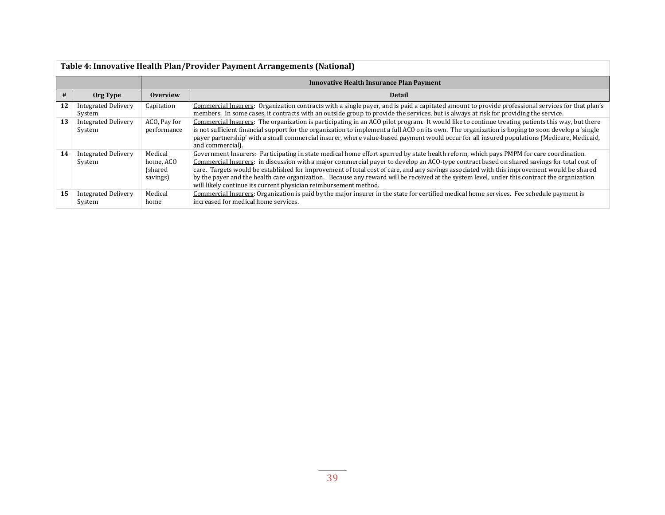|    | Table 4: Innovative Health Plan/Provider Payment Arrangements (National) |                                              |                                                                                                                                                                                                                                                                                                                                                                                                                                                                                                                                                                                                                                                        |  |  |
|----|--------------------------------------------------------------------------|----------------------------------------------|--------------------------------------------------------------------------------------------------------------------------------------------------------------------------------------------------------------------------------------------------------------------------------------------------------------------------------------------------------------------------------------------------------------------------------------------------------------------------------------------------------------------------------------------------------------------------------------------------------------------------------------------------------|--|--|
|    |                                                                          |                                              | <b>Innovative Health Insurance Plan Payment</b>                                                                                                                                                                                                                                                                                                                                                                                                                                                                                                                                                                                                        |  |  |
| #  | Org Type                                                                 | <b>Overview</b>                              | Detail                                                                                                                                                                                                                                                                                                                                                                                                                                                                                                                                                                                                                                                 |  |  |
| 12 | <b>Integrated Delivery</b><br>System                                     | Capitation                                   | Commercial Insurers: Organization contracts with a single payer, and is paid a capitated amount to provide professional services for that plan's<br>members. In some cases, it contracts with an outside group to provide the services, but is always at risk for providing the service.                                                                                                                                                                                                                                                                                                                                                               |  |  |
| 13 | <b>Integrated Delivery</b><br>System                                     | ACO, Pay for<br>performance                  | Commercial Insurers: The organization is participating in an ACO pilot program. It would like to continue treating patients this way, but there<br>is not sufficient financial support for the organization to implement a full ACO on its own. The organization is hoping to soon develop a 'single<br>payer partnership' with a small commercial insurer, where value-based payment would occur for all insured populations (Medicare, Medicaid,<br>and commercial).                                                                                                                                                                                 |  |  |
| 14 | <b>Integrated Delivery</b><br>System                                     | Medical<br>home, ACO<br>(shared)<br>savings) | Government Insurers: Participating in state medical home effort spurred by state health reform, which pays PMPM for care coordination.<br>Commercial Insurers: in discussion with a major commercial payer to develop an ACO-type contract based on shared savings for total cost of<br>care. Targets would be established for improvement of total cost of care, and any savings associated with this improvement would be shared<br>by the payer and the health care organization. Because any reward will be received at the system level, under this contract the organization<br>will likely continue its current physician reimbursement method. |  |  |
| 15 | <b>Integrated Delivery</b><br>System                                     | Medical<br>home                              | Commercial Insurers: Organization is paid by the major insurer in the state for certified medical home services. Fee schedule payment is<br>increased for medical home services.                                                                                                                                                                                                                                                                                                                                                                                                                                                                       |  |  |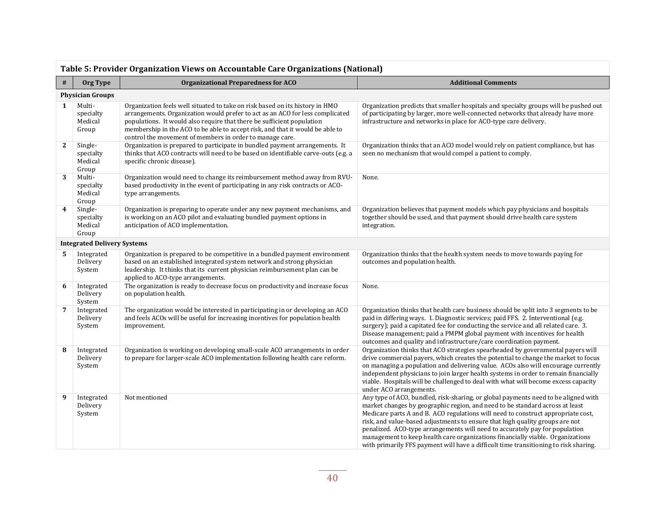|    | Table 5: Provider Organization Views on Accountable Care Organizations (National) |                                                                                                                                                                                                                                                                                                                                                                                      |                                                                                                                                                                                                                                                                                                                                                                                                                                                                                                                                                                                                 |  |  |  |  |
|----|-----------------------------------------------------------------------------------|--------------------------------------------------------------------------------------------------------------------------------------------------------------------------------------------------------------------------------------------------------------------------------------------------------------------------------------------------------------------------------------|-------------------------------------------------------------------------------------------------------------------------------------------------------------------------------------------------------------------------------------------------------------------------------------------------------------------------------------------------------------------------------------------------------------------------------------------------------------------------------------------------------------------------------------------------------------------------------------------------|--|--|--|--|
| #  | Org Type                                                                          | <b>Organizational Preparedness for ACO</b>                                                                                                                                                                                                                                                                                                                                           | <b>Additional Comments</b>                                                                                                                                                                                                                                                                                                                                                                                                                                                                                                                                                                      |  |  |  |  |
|    | <b>Physician Groups</b>                                                           |                                                                                                                                                                                                                                                                                                                                                                                      |                                                                                                                                                                                                                                                                                                                                                                                                                                                                                                                                                                                                 |  |  |  |  |
| 1  | Multi-<br>specialty<br>Medical<br>Group                                           | Organization feels well situated to take on risk based on its history in HMO<br>arrangements. Organization would prefer to act as an ACO for less complicated<br>populations. It would also require that there be sufficient population<br>membership in the ACO to be able to accept risk, and that it would be able to<br>control the movement of members in order to manage care. | Organization predicts that smaller hospitals and specialty groups will be pushed out<br>of participating by larger, more well-connected networks that already have more<br>infrastructure and networks in place for ACO-type care delivery.                                                                                                                                                                                                                                                                                                                                                     |  |  |  |  |
| 2  | Single-<br>specialty<br>Medical<br>Group                                          | Organization is prepared to participate in bundled payment arrangements. It<br>thinks that ACO contracts will need to be based on identifiable carve-outs (e.g. a<br>specific chronic disease).                                                                                                                                                                                      | Organization thinks that an ACO model would rely on patient compliance, but has<br>seen no mechanism that would compel a patient to comply.                                                                                                                                                                                                                                                                                                                                                                                                                                                     |  |  |  |  |
| 3  | Multi-<br>specialty<br>Medical<br>Group                                           | Organization would need to change its reimbursement method away from RVU-<br>based productivity in the event of participating in any risk contracts or ACO-<br>type arrangements.                                                                                                                                                                                                    | None.                                                                                                                                                                                                                                                                                                                                                                                                                                                                                                                                                                                           |  |  |  |  |
| 4  | Single-<br>specialty<br>Medical<br>Group                                          | Organization is preparing to operate under any new payment mechanisms, and<br>is working on an ACO pilot and evaluating bundled payment options in<br>anticipation of ACO implementation.                                                                                                                                                                                            | Organization believes that payment models which pay physicians and hospitals<br>together should be used, and that payment should drive health care system<br>integration.                                                                                                                                                                                                                                                                                                                                                                                                                       |  |  |  |  |
|    | <b>Integrated Delivery Systems</b>                                                |                                                                                                                                                                                                                                                                                                                                                                                      |                                                                                                                                                                                                                                                                                                                                                                                                                                                                                                                                                                                                 |  |  |  |  |
| 5. | Integrated<br>Delivery<br>System                                                  | Organization is prepared to be competitive in a bundled payment environment<br>based on an established integrated system network and strong physician<br>leadership. It thinks that its current physician reimbursement plan can be<br>applied to ACO-type arrangements.                                                                                                             | Organization thinks that the health system needs to move towards paying for<br>outcomes and population health.                                                                                                                                                                                                                                                                                                                                                                                                                                                                                  |  |  |  |  |
| 6  | Integrated<br>Delivery<br>System                                                  | The organization is ready to decrease focus on productivity and increase focus<br>on population health.                                                                                                                                                                                                                                                                              | None.                                                                                                                                                                                                                                                                                                                                                                                                                                                                                                                                                                                           |  |  |  |  |
| 7  | Integrated<br>Delivery<br>System                                                  | The organization would be interested in participating in or developing an ACO<br>and feels ACOs will be useful for increasing incentives for population health<br>improvement.                                                                                                                                                                                                       | Organization thinks that health care business should be split into 3 segments to be<br>paid in differing ways. 1. Diagnostic services; paid FFS. 2. Interventional (e.g.<br>surgery); paid a capitated fee for conducting the service and all related care. 3.<br>Disease management; paid a PMPM global payment with incentives for health<br>outcomes and quality and infrastructure/care coordination payment.                                                                                                                                                                               |  |  |  |  |
| 8  | Integrated<br>Delivery<br>System                                                  | Organization is working on developing small-scale ACO arrangements in order<br>to prepare for larger-scale ACO implementation following health care reform.                                                                                                                                                                                                                          | Organization thinks that ACO strategies spearheaded by governmental payers will<br>drive commercial payers, which creates the potential to change the market to focus<br>on managing a population and delivering value. ACOs also will encourage currently<br>independent physicians to join larger health systems in order to remain financially<br>viable. Hospitals will be challenged to deal with what will become excess capacity<br>under ACO arrangements.                                                                                                                              |  |  |  |  |
| 9  | Integrated<br>Delivery<br>System                                                  | Not mentioned                                                                                                                                                                                                                                                                                                                                                                        | Any type of ACO, bundled, risk-sharing, or global payments need to be aligned with<br>market changes by geographic region, and need to be standard across at least<br>Medicare parts A and B. ACO regulations will need to construct appropriate cost,<br>risk, and value-based adjustments to ensure that high quality groups are not<br>penalized. ACO-type arrangements will need to accurately pay for population<br>management to keep health care organizations financially viable. Organizations<br>with primarily FFS payment will have a difficult time transitioning to risk sharing. |  |  |  |  |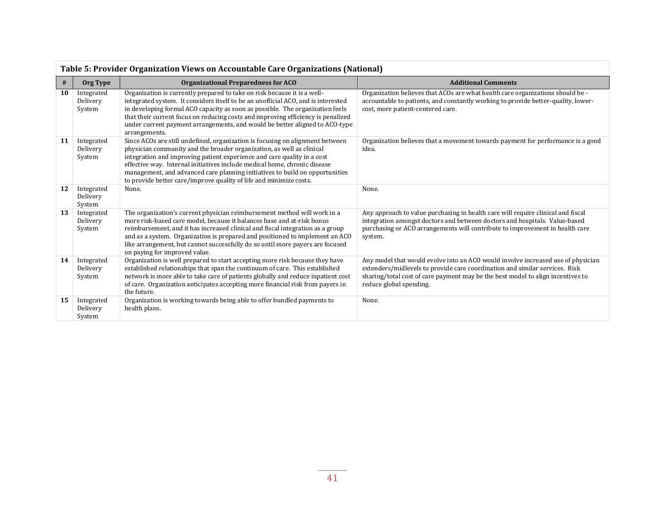|    | Table 5: Provider Organization Views on Accountable Care Organizations (National) |                                                                                                                                                                                                                                                                                                                                                                                                                                                                      |                                                                                                                                                                                                                                                                               |  |  |  |
|----|-----------------------------------------------------------------------------------|----------------------------------------------------------------------------------------------------------------------------------------------------------------------------------------------------------------------------------------------------------------------------------------------------------------------------------------------------------------------------------------------------------------------------------------------------------------------|-------------------------------------------------------------------------------------------------------------------------------------------------------------------------------------------------------------------------------------------------------------------------------|--|--|--|
| #  | Org Type                                                                          | <b>Organizational Preparedness for ACO</b>                                                                                                                                                                                                                                                                                                                                                                                                                           | <b>Additional Comments</b>                                                                                                                                                                                                                                                    |  |  |  |
| 10 | Integrated<br>Delivery<br>System                                                  | Organization is currently prepared to take on risk because it is a well-<br>integrated system. It considers itself to be an unofficial ACO, and is interested<br>in developing formal ACO capacity as soon as possible. The organization feels<br>that their current focus on reducing costs and improving efficiency is penalized<br>under current payment arrangements, and would be better aligned to ACO-type<br>arrangements.                                   | Organization believes that ACOs are what health care organizations should be -<br>accountable to patients, and constantly working to provide better-quality, lower-<br>cost, more patient-centered care.                                                                      |  |  |  |
| 11 | Integrated<br>Delivery<br>System                                                  | Since ACOs are still undefined, organization is focusing on alignment between<br>physician community and the broader organization, as well as clinical<br>integration and improving patient experience and care quality in a cost<br>effective way. Internal initiatives include medical home, chronic disease<br>management, and advanced care planning initiatives to build on opportunities<br>to provide better care/improve quality of life and minimize costs. | Organization believes that a movement towards payment for performance is a good<br>idea.                                                                                                                                                                                      |  |  |  |
| 12 | Integrated<br>Delivery<br>System                                                  | None.                                                                                                                                                                                                                                                                                                                                                                                                                                                                | None.                                                                                                                                                                                                                                                                         |  |  |  |
| 13 | Integrated<br>Delivery<br>System                                                  | The organization's current physician reimbursement method will work in a<br>more risk-based care model, because it balances base and at-risk bonus<br>reimbursement, and it has increased clinical and fiscal integration as a group<br>and as a system. Organization is prepared and positioned to implement an ACO<br>like arrangement, but cannot successfully do so until more payers are focused<br>on paying for improved value.                               | Any approach to value purchasing in health care will require clinical and fiscal<br>integration amongst doctors and between doctors and hospitals. Value-based<br>purchasing or ACO arrangements will contribute to improvement in health care<br>system.                     |  |  |  |
| 14 | Integrated<br>Delivery<br>System                                                  | Organization is well prepared to start accepting more risk because they have<br>established relationships that span the continuum of care. This established<br>network is more able to take care of patients globally and reduce inpatient cost<br>of care. Organization anticipates accepting more financial risk from payers in<br>the future.                                                                                                                     | Any model that would evolve into an ACO would involve increased use of physician<br>extenders/midlevels to provide care coordination and similar services. Risk<br>sharing/total cost of care payment may be the best model to align incentives to<br>reduce global spending. |  |  |  |
| 15 | Integrated<br>Delivery<br>System                                                  | Organization is working towards being able to offer bundled payments to<br>health plans.                                                                                                                                                                                                                                                                                                                                                                             | None.                                                                                                                                                                                                                                                                         |  |  |  |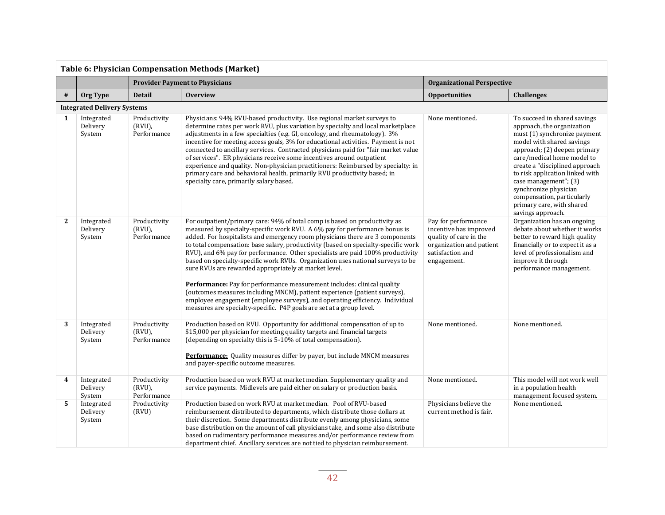| <b>Table 6: Physician Compensation Methods (Market)</b> |                                    |                                          |                                                                                                                                                                                                                                                                                                                                                                                                                                                                                                                                                                                                                                                                                                                                                                                                                                                                              |                                                                                                                                        |                                                                                                                                                                                                                                                                                                                                                                                              |
|---------------------------------------------------------|------------------------------------|------------------------------------------|------------------------------------------------------------------------------------------------------------------------------------------------------------------------------------------------------------------------------------------------------------------------------------------------------------------------------------------------------------------------------------------------------------------------------------------------------------------------------------------------------------------------------------------------------------------------------------------------------------------------------------------------------------------------------------------------------------------------------------------------------------------------------------------------------------------------------------------------------------------------------|----------------------------------------------------------------------------------------------------------------------------------------|----------------------------------------------------------------------------------------------------------------------------------------------------------------------------------------------------------------------------------------------------------------------------------------------------------------------------------------------------------------------------------------------|
|                                                         |                                    | <b>Provider Payment to Physicians</b>    |                                                                                                                                                                                                                                                                                                                                                                                                                                                                                                                                                                                                                                                                                                                                                                                                                                                                              | <b>Organizational Perspective</b>                                                                                                      |                                                                                                                                                                                                                                                                                                                                                                                              |
| #                                                       | Org Type                           | <b>Detail</b>                            | <b>Overview</b>                                                                                                                                                                                                                                                                                                                                                                                                                                                                                                                                                                                                                                                                                                                                                                                                                                                              | <b>Opportunities</b>                                                                                                                   | <b>Challenges</b>                                                                                                                                                                                                                                                                                                                                                                            |
|                                                         | <b>Integrated Delivery Systems</b> |                                          |                                                                                                                                                                                                                                                                                                                                                                                                                                                                                                                                                                                                                                                                                                                                                                                                                                                                              |                                                                                                                                        |                                                                                                                                                                                                                                                                                                                                                                                              |
| 1                                                       | Integrated<br>Delivery<br>System   | Productivity<br>(RVU),<br>Performance    | Physicians: 94% RVU-based productivity. Use regional market surveys to<br>determine rates per work RVU, plus variation by specialty and local marketplace<br>adjustments in a few specialties (e.g. GI, oncology, and rheumatology). 3%<br>incentive for meeting access goals, 3% for educational activities. Payment is not<br>connected to ancillary services. Contracted physicians paid for "fair market value<br>of services". ER physicians receive some incentives around outpatient<br>experience and quality. Non-physician practitioners: Reimbursed by specialty: in<br>primary care and behavioral health, primarily RVU productivity based; in<br>specialty care, primarily salary based.                                                                                                                                                                       | None mentioned.                                                                                                                        | To succeed in shared savings<br>approach, the organization<br>must (1) synchronize payment<br>model with shared savings<br>approach; (2) deepen primary<br>care/medical home model to<br>create a "disciplined approach<br>to risk application linked with<br>case management"; (3)<br>synchronize physician<br>compensation, particularly<br>primary care, with shared<br>savings approach. |
| $\mathbf{2}$                                            | Integrated<br>Delivery<br>System   | Productivity<br>(RVU),<br>Performance    | For outpatient/primary care: 94% of total comp is based on productivity as<br>measured by specialty-specific work RVU. A 6% pay for performance bonus is<br>added. For hospitalists and emergency room physicians there are 3 components<br>to total compensation: base salary, productivity (based on specialty-specific work<br>RVU), and 6% pay for performance. Other specialists are paid 100% productivity<br>based on specialty-specific work RVUs. Organization uses national surveys to be<br>sure RVUs are rewarded appropriately at market level.<br>Performance: Pay for performance measurement includes: clinical quality<br>(outcomes measures including MNCM), patient experience (patient surveys),<br>employee engagement (employee surveys), and operating efficiency. Individual<br>measures are specialty-specific. P4P goals are set at a group level. | Pay for performance<br>incentive has improved<br>quality of care in the<br>organization and patient<br>satisfaction and<br>engagement. | Organization has an ongoing<br>debate about whether it works<br>better to reward high quality<br>financially or to expect it as a<br>level of professionalism and<br>improve it through<br>performance management.                                                                                                                                                                           |
| 3                                                       | Integrated<br>Delivery<br>System   | Productivity<br>$(RVU)$ ,<br>Performance | Production based on RVU. Opportunity for additional compensation of up to<br>\$15,000 per physician for meeting quality targets and financial targets<br>(depending on specialty this is 5-10% of total compensation).<br>Performance: Quality measures differ by payer, but include MNCM measures<br>and payer-specific outcome measures.                                                                                                                                                                                                                                                                                                                                                                                                                                                                                                                                   | None mentioned.                                                                                                                        | None mentioned.                                                                                                                                                                                                                                                                                                                                                                              |
| 4                                                       | Integrated<br>Delivery<br>System   | Productivity<br>(RVU),<br>Performance    | Production based on work RVU at market median. Supplementary quality and<br>service payments. Midlevels are paid either on salary or production basis.                                                                                                                                                                                                                                                                                                                                                                                                                                                                                                                                                                                                                                                                                                                       | None mentioned.                                                                                                                        | This model will not work well<br>in a population health<br>management focused system.                                                                                                                                                                                                                                                                                                        |
| 5                                                       | Integrated<br>Delivery<br>System   | Productivity<br>(RVU)                    | Production based on work RVU at market median. Pool of RVU-based<br>reimbursement distributed to departments, which distribute those dollars at<br>their discretion. Some departments distribute evenly among physicians, some<br>base distribution on the amount of call physicians take, and some also distribute<br>based on rudimentary performance measures and/or performance review from<br>department chief. Ancillary services are not tied to physician reimbursement.                                                                                                                                                                                                                                                                                                                                                                                             | Physicians believe the<br>current method is fair.                                                                                      | None mentioned.                                                                                                                                                                                                                                                                                                                                                                              |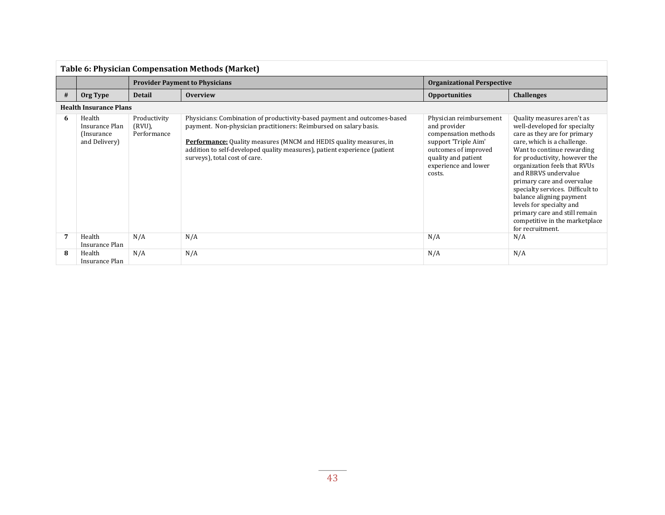| <b>Table 6: Physician Compensation Methods (Market)</b> |                                                          |                                          |                                                                                                                                                                                                                                                                                                                                          |                                                                                                                                                                          |                                                                                                                                                                                                                                                                                                                                                                                                                                                                   |
|---------------------------------------------------------|----------------------------------------------------------|------------------------------------------|------------------------------------------------------------------------------------------------------------------------------------------------------------------------------------------------------------------------------------------------------------------------------------------------------------------------------------------|--------------------------------------------------------------------------------------------------------------------------------------------------------------------------|-------------------------------------------------------------------------------------------------------------------------------------------------------------------------------------------------------------------------------------------------------------------------------------------------------------------------------------------------------------------------------------------------------------------------------------------------------------------|
|                                                         |                                                          |                                          | <b>Provider Payment to Physicians</b>                                                                                                                                                                                                                                                                                                    | <b>Organizational Perspective</b>                                                                                                                                        |                                                                                                                                                                                                                                                                                                                                                                                                                                                                   |
| #                                                       | Org Type                                                 | <b>Detail</b>                            | <b>Overview</b>                                                                                                                                                                                                                                                                                                                          | <b>Opportunities</b>                                                                                                                                                     | <b>Challenges</b>                                                                                                                                                                                                                                                                                                                                                                                                                                                 |
|                                                         | <b>Health Insurance Plans</b>                            |                                          |                                                                                                                                                                                                                                                                                                                                          |                                                                                                                                                                          |                                                                                                                                                                                                                                                                                                                                                                                                                                                                   |
| 6                                                       | Health<br>Insurance Plan<br>(Insurance)<br>and Delivery) | Productivity<br>$(RVU)$ ,<br>Performance | Physicians: Combination of productivity-based payment and outcomes-based<br>payment. Non-physician practitioners: Reimbursed on salary basis.<br><b>Performance:</b> Quality measures (MNCM and HEDIS quality measures, in<br>addition to self-developed quality measures), patient experience (patient<br>surveys), total cost of care. | Physician reimbursement<br>and provider<br>compensation methods<br>support 'Triple Aim'<br>outcomes of improved<br>quality and patient<br>experience and lower<br>costs. | Quality measures aren't as<br>well-developed for specialty<br>care as they are for primary<br>care, which is a challenge.<br>Want to continue rewarding<br>for productivity, however the<br>organization feels that RVUs<br>and RBRVS undervalue<br>primary care and overvalue<br>specialty services. Difficult to<br>balance aligning payment<br>levels for specialty and<br>primary care and still remain<br>competitive in the marketplace<br>for recruitment. |
| 7                                                       | Health<br>Insurance Plan                                 | N/A                                      | N/A                                                                                                                                                                                                                                                                                                                                      | N/A                                                                                                                                                                      | N/A                                                                                                                                                                                                                                                                                                                                                                                                                                                               |
| 8                                                       | Health<br>Insurance Plan                                 | N/A                                      | N/A                                                                                                                                                                                                                                                                                                                                      | N/A                                                                                                                                                                      | N/A                                                                                                                                                                                                                                                                                                                                                                                                                                                               |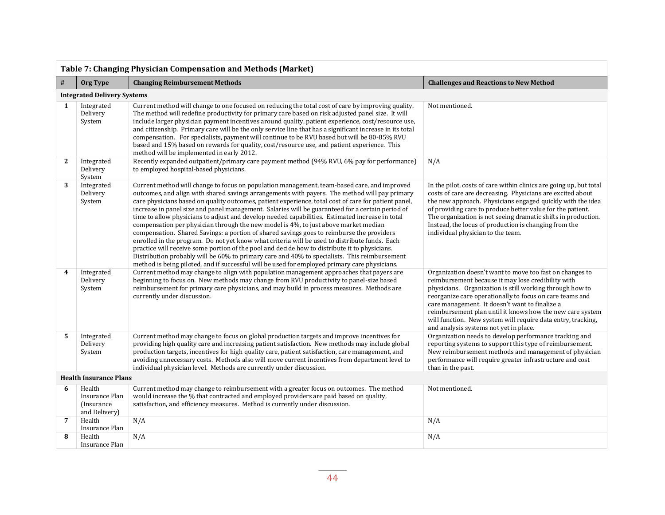| Table 7: Changing Physician Compensation and Methods (Market) |                                                          |                                                                                                                                                                                                                                                                                                                                                                                                                                                                                                                                                                                                                                                                                                                                                                                                                                                                                                                                                                                                                                                                                                    |                                                                                                                                                                                                                                                                                                                                                                                                                                                                 |  |  |  |  |  |
|---------------------------------------------------------------|----------------------------------------------------------|----------------------------------------------------------------------------------------------------------------------------------------------------------------------------------------------------------------------------------------------------------------------------------------------------------------------------------------------------------------------------------------------------------------------------------------------------------------------------------------------------------------------------------------------------------------------------------------------------------------------------------------------------------------------------------------------------------------------------------------------------------------------------------------------------------------------------------------------------------------------------------------------------------------------------------------------------------------------------------------------------------------------------------------------------------------------------------------------------|-----------------------------------------------------------------------------------------------------------------------------------------------------------------------------------------------------------------------------------------------------------------------------------------------------------------------------------------------------------------------------------------------------------------------------------------------------------------|--|--|--|--|--|
| $\#$                                                          | Org Type                                                 | <b>Changing Reimbursement Methods</b><br><b>Challenges and Reactions to New Method</b>                                                                                                                                                                                                                                                                                                                                                                                                                                                                                                                                                                                                                                                                                                                                                                                                                                                                                                                                                                                                             |                                                                                                                                                                                                                                                                                                                                                                                                                                                                 |  |  |  |  |  |
|                                                               | <b>Integrated Delivery Systems</b>                       |                                                                                                                                                                                                                                                                                                                                                                                                                                                                                                                                                                                                                                                                                                                                                                                                                                                                                                                                                                                                                                                                                                    |                                                                                                                                                                                                                                                                                                                                                                                                                                                                 |  |  |  |  |  |
| $\mathbf{1}$                                                  | Integrated<br>Delivery<br>System                         | Current method will change to one focused on reducing the total cost of care by improving quality.<br>The method will redefine productivity for primary care based on risk adjusted panel size. It will<br>include larger physician payment incentives around quality, patient experience, cost/resource use,<br>and citizenship. Primary care will be the only service line that has a significant increase in its total<br>compensation. For specialists, payment will continue to be RVU based but will be 80-85% RVU<br>based and 15% based on rewards for quality, cost/resource use, and patient experience. This<br>method will be implemented in early 2012.                                                                                                                                                                                                                                                                                                                                                                                                                               | Not mentioned.                                                                                                                                                                                                                                                                                                                                                                                                                                                  |  |  |  |  |  |
| $\mathbf{2}$                                                  | Integrated<br>Delivery<br>System                         | Recently expanded outpatient/primary care payment method (94% RVU, 6% pay for performance)<br>to employed hospital-based physicians.                                                                                                                                                                                                                                                                                                                                                                                                                                                                                                                                                                                                                                                                                                                                                                                                                                                                                                                                                               | N/A                                                                                                                                                                                                                                                                                                                                                                                                                                                             |  |  |  |  |  |
| 3                                                             | Integrated<br>Delivery<br>System                         | Current method will change to focus on population management, team-based care, and improved<br>outcomes, and align with shared savings arrangements with payers. The method will pay primary<br>care physicians based on quality outcomes, patient experience, total cost of care for patient panel,<br>increase in panel size and panel management. Salaries will be guaranteed for a certain period of<br>time to allow physicians to adjust and develop needed capabilities. Estimated increase in total<br>compensation per physician through the new model is 4%, to just above market median<br>compensation. Shared Savings: a portion of shared savings goes to reimburse the providers<br>enrolled in the program. Do not yet know what criteria will be used to distribute funds. Each<br>practice will receive some portion of the pool and decide how to distribute it to physicians.<br>Distribution probably will be 60% to primary care and 40% to specialists. This reimbursement<br>method is being piloted, and if successful will be used for employed primary care physicians. | In the pilot, costs of care within clinics are going up, but total<br>costs of care are decreasing. Physicians are excited about<br>the new approach. Physicians engaged quickly with the idea<br>of providing care to produce better value for the patient.<br>The organization is not seeing dramatic shifts in production.<br>Instead, the locus of production is changing from the<br>individual physician to the team.                                     |  |  |  |  |  |
| 4                                                             | Integrated<br>Delivery<br>System                         | Current method may change to align with population management approaches that payers are<br>beginning to focus on. New methods may change from RVU productivity to panel-size based<br>reimbursement for primary care physicians, and may build in process measures. Methods are<br>currently under discussion.                                                                                                                                                                                                                                                                                                                                                                                                                                                                                                                                                                                                                                                                                                                                                                                    | Organization doesn't want to move too fast on changes to<br>reimbursement because it may lose credibility with<br>physicians. Organization is still working through how to<br>reorganize care operationally to focus on care teams and<br>care management. It doesn't want to finalize a<br>reimbursement plan until it knows how the new care system<br>will function. New system will require data entry, tracking,<br>and analysis systems not yet in place. |  |  |  |  |  |
| 5                                                             | Integrated<br>Delivery<br>System                         | Current method may change to focus on global production targets and improve incentives for<br>providing high quality care and increasing patient satisfaction. New methods may include global<br>production targets, incentives for high quality care, patient satisfaction, care management, and<br>avoiding unnecessary costs. Methods also will move current incentives from department level to<br>individual physician level. Methods are currently under discussion.                                                                                                                                                                                                                                                                                                                                                                                                                                                                                                                                                                                                                         | Organization needs to develop performance tracking and<br>reporting systems to support this type of reimbursement.<br>New reimbursement methods and management of physician<br>performance will require greater infrastructure and cost<br>than in the past.                                                                                                                                                                                                    |  |  |  |  |  |
| <b>Health Insurance Plans</b>                                 |                                                          |                                                                                                                                                                                                                                                                                                                                                                                                                                                                                                                                                                                                                                                                                                                                                                                                                                                                                                                                                                                                                                                                                                    |                                                                                                                                                                                                                                                                                                                                                                                                                                                                 |  |  |  |  |  |
| 6                                                             | Health<br>Insurance Plan<br>(Insurance)<br>and Delivery) | Current method may change to reimbursement with a greater focus on outcomes. The method<br>would increase the % that contracted and employed providers are paid based on quality,<br>satisfaction, and efficiency measures. Method is currently under discussion.                                                                                                                                                                                                                                                                                                                                                                                                                                                                                                                                                                                                                                                                                                                                                                                                                                  | Not mentioned.                                                                                                                                                                                                                                                                                                                                                                                                                                                  |  |  |  |  |  |
| $\overline{7}$                                                | Health<br>Insurance Plan                                 | N/A                                                                                                                                                                                                                                                                                                                                                                                                                                                                                                                                                                                                                                                                                                                                                                                                                                                                                                                                                                                                                                                                                                | N/A                                                                                                                                                                                                                                                                                                                                                                                                                                                             |  |  |  |  |  |
| 8                                                             | Health<br>Insurance Plan                                 | N/A                                                                                                                                                                                                                                                                                                                                                                                                                                                                                                                                                                                                                                                                                                                                                                                                                                                                                                                                                                                                                                                                                                | N/A                                                                                                                                                                                                                                                                                                                                                                                                                                                             |  |  |  |  |  |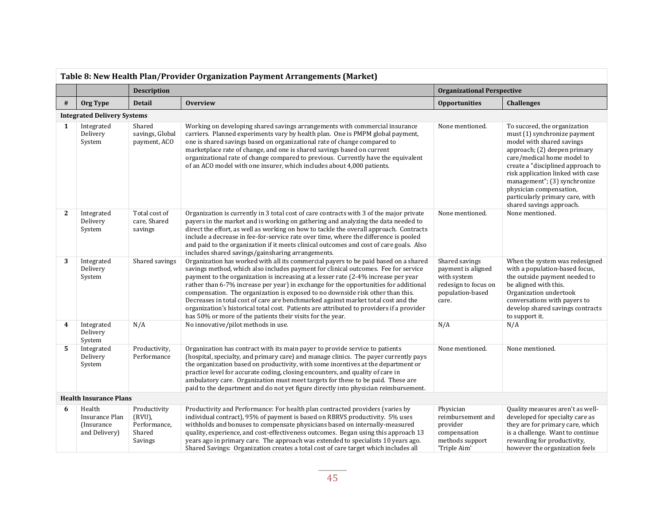| Table 8: New Health Plan/Provider Organization Payment Arrangements (Market) |                                                          |                                                                |                                                                                                                                                                                                                                                                                                                                                                                                                                                                                                                                                                                                                                                                                          |                                                                                                          |                                                                                                                                                                                                                                                                                                                                                             |
|------------------------------------------------------------------------------|----------------------------------------------------------|----------------------------------------------------------------|------------------------------------------------------------------------------------------------------------------------------------------------------------------------------------------------------------------------------------------------------------------------------------------------------------------------------------------------------------------------------------------------------------------------------------------------------------------------------------------------------------------------------------------------------------------------------------------------------------------------------------------------------------------------------------------|----------------------------------------------------------------------------------------------------------|-------------------------------------------------------------------------------------------------------------------------------------------------------------------------------------------------------------------------------------------------------------------------------------------------------------------------------------------------------------|
|                                                                              |                                                          | <b>Description</b>                                             |                                                                                                                                                                                                                                                                                                                                                                                                                                                                                                                                                                                                                                                                                          | <b>Organizational Perspective</b>                                                                        |                                                                                                                                                                                                                                                                                                                                                             |
| #                                                                            | Org Type                                                 | <b>Detail</b>                                                  | <b>Overview</b>                                                                                                                                                                                                                                                                                                                                                                                                                                                                                                                                                                                                                                                                          | <b>Opportunities</b>                                                                                     | <b>Challenges</b>                                                                                                                                                                                                                                                                                                                                           |
|                                                                              | <b>Integrated Delivery Systems</b>                       |                                                                |                                                                                                                                                                                                                                                                                                                                                                                                                                                                                                                                                                                                                                                                                          |                                                                                                          |                                                                                                                                                                                                                                                                                                                                                             |
| 1                                                                            | Integrated<br>Delivery<br>System                         | Shared<br>savings, Global<br>payment, ACO                      | Working on developing shared savings arrangements with commercial insurance<br>carriers. Planned experiments vary by health plan. One is PMPM global payment,<br>one is shared savings based on organizational rate of change compared to<br>marketplace rate of change, and one is shared savings based on current<br>organizational rate of change compared to previous. Currently have the equivalent<br>of an ACO model with one insurer, which includes about 4,000 patients.                                                                                                                                                                                                       | None mentioned.                                                                                          | To succeed, the organization<br>must (1) synchronize payment<br>model with shared savings<br>approach; (2) deepen primary<br>care/medical home model to<br>create a "disciplined approach to<br>risk application linked with case<br>management"; (3) synchronize<br>physician compensation,<br>particularly primary care, with<br>shared savings approach. |
| $\mathbf{2}$                                                                 | Integrated<br>Delivery<br>System                         | Total cost of<br>care, Shared<br>savings                       | Organization is currently in 3 total cost of care contracts with 3 of the major private<br>payers in the market and is working on gathering and analyzing the data needed to<br>direct the effort, as well as working on how to tackle the overall approach. Contracts<br>include a decrease in fee-for-service rate over time, where the difference is pooled<br>and paid to the organization if it meets clinical outcomes and cost of care goals. Also<br>includes shared savings/gainsharing arrangements.                                                                                                                                                                           | None mentioned.                                                                                          | None mentioned.                                                                                                                                                                                                                                                                                                                                             |
| 3                                                                            | Integrated<br>Delivery<br>System                         | Shared savings                                                 | Organization has worked with all its commercial payers to be paid based on a shared<br>savings method, which also includes payment for clinical outcomes. Fee for service<br>payment to the organization is increasing at a lesser rate (2-4% increase per year<br>rather than 6-7% increase per year) in exchange for the opportunities for additional<br>compensation. The organization is exposed to no downside risk other than this.<br>Decreases in total cost of care are benchmarked against market total cost and the<br>organization's historical total cost. Patients are attributed to providers if a provider<br>has 50% or more of the patients their visits for the year. | Shared savings<br>payment is aligned<br>with system<br>redesign to focus on<br>population-based<br>care. | When the system was redesigned<br>with a population-based focus,<br>the outside payment needed to<br>be aligned with this.<br>Organization undertook<br>conversations with payers to<br>develop shared savings contracts<br>to support it.                                                                                                                  |
| $\overline{\mathbf{4}}$                                                      | Integrated<br>Delivery<br>System                         | N/A                                                            | No innovative/pilot methods in use.                                                                                                                                                                                                                                                                                                                                                                                                                                                                                                                                                                                                                                                      | N/A                                                                                                      | N/A                                                                                                                                                                                                                                                                                                                                                         |
| 5                                                                            | Integrated<br>Delivery<br>System                         | Productivity,<br>Performance                                   | Organization has contract with its main payer to provide service to patients<br>(hospital, specialty, and primary care) and manage clinics. The payer currently pays<br>the organization based on productivity, with some incentives at the department or<br>practice level for accurate coding, closing encounters, and quality of care in<br>ambulatory care. Organization must meet targets for these to be paid. These are<br>paid to the department and do not yet figure directly into physician reimbursement.                                                                                                                                                                    | None mentioned.                                                                                          | None mentioned.                                                                                                                                                                                                                                                                                                                                             |
|                                                                              | <b>Health Insurance Plans</b>                            |                                                                |                                                                                                                                                                                                                                                                                                                                                                                                                                                                                                                                                                                                                                                                                          |                                                                                                          |                                                                                                                                                                                                                                                                                                                                                             |
| 6                                                                            | Health<br>Insurance Plan<br>(Insurance)<br>and Delivery) | Productivity<br>$(RVU)$ ,<br>Performance.<br>Shared<br>Savings | Productivity and Performance: For health plan contracted providers (varies by<br>individual contract), 95% of payment is based on RBRVS productivity. 5% uses<br>withholds and bonuses to compensate physicians based on internally-measured<br>quality, experience, and cost-effectiveness outcomes. Began using this approach 13<br>years ago in primary care. The approach was extended to specialists 10 years ago.<br>Shared Savings: Organization creates a total cost of care target which includes all                                                                                                                                                                           | Physician<br>reimbursement and<br>provider<br>compensation<br>methods support<br>'Triple Aim'            | Quality measures aren't as well-<br>developed for specialty care as<br>they are for primary care, which<br>is a challenge. Want to continue<br>rewarding for productivity,<br>however the organization feels                                                                                                                                                |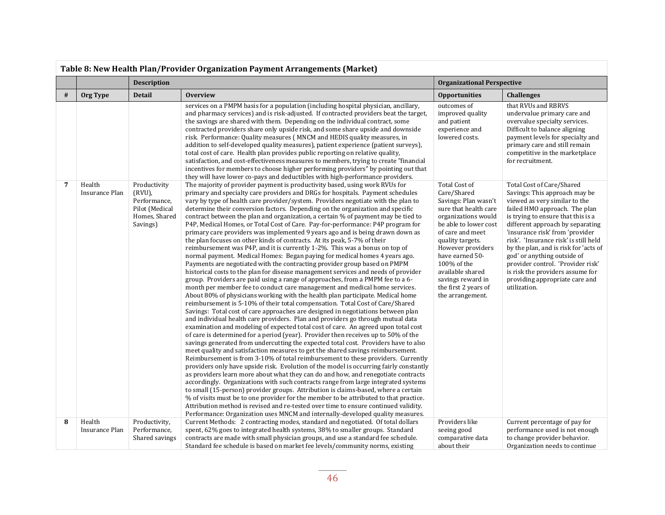|   | Table 8: New Health Plan/Provider Organization Payment Arrangements (Market) |                                                                                       |                                                                                                                                                                                                                                                                                                                                                                                                                                                                                                                                                                                                                                                                                                                                                                                                                                                                                                                                                                                                                                                                                                                                                                                                                                                                                                                                                                                                                                                                                                                                                                                                                                                                                                                                                                                                                                                                                                                                                                                                                                                                                                                                                                                                                                                                                                                                                                                                                                                                                                                                                                                            |                                                                                                                                                                                                                                                                                                                   |                                                                                                                                                                                                                                                                                                                                                                                                                                                                                       |  |
|---|------------------------------------------------------------------------------|---------------------------------------------------------------------------------------|--------------------------------------------------------------------------------------------------------------------------------------------------------------------------------------------------------------------------------------------------------------------------------------------------------------------------------------------------------------------------------------------------------------------------------------------------------------------------------------------------------------------------------------------------------------------------------------------------------------------------------------------------------------------------------------------------------------------------------------------------------------------------------------------------------------------------------------------------------------------------------------------------------------------------------------------------------------------------------------------------------------------------------------------------------------------------------------------------------------------------------------------------------------------------------------------------------------------------------------------------------------------------------------------------------------------------------------------------------------------------------------------------------------------------------------------------------------------------------------------------------------------------------------------------------------------------------------------------------------------------------------------------------------------------------------------------------------------------------------------------------------------------------------------------------------------------------------------------------------------------------------------------------------------------------------------------------------------------------------------------------------------------------------------------------------------------------------------------------------------------------------------------------------------------------------------------------------------------------------------------------------------------------------------------------------------------------------------------------------------------------------------------------------------------------------------------------------------------------------------------------------------------------------------------------------------------------------------|-------------------------------------------------------------------------------------------------------------------------------------------------------------------------------------------------------------------------------------------------------------------------------------------------------------------|---------------------------------------------------------------------------------------------------------------------------------------------------------------------------------------------------------------------------------------------------------------------------------------------------------------------------------------------------------------------------------------------------------------------------------------------------------------------------------------|--|
|   |                                                                              | <b>Description</b>                                                                    | <b>Organizational Perspective</b>                                                                                                                                                                                                                                                                                                                                                                                                                                                                                                                                                                                                                                                                                                                                                                                                                                                                                                                                                                                                                                                                                                                                                                                                                                                                                                                                                                                                                                                                                                                                                                                                                                                                                                                                                                                                                                                                                                                                                                                                                                                                                                                                                                                                                                                                                                                                                                                                                                                                                                                                                          |                                                                                                                                                                                                                                                                                                                   |                                                                                                                                                                                                                                                                                                                                                                                                                                                                                       |  |
| # | Org Type                                                                     | <b>Detail</b>                                                                         | <b>Overview</b>                                                                                                                                                                                                                                                                                                                                                                                                                                                                                                                                                                                                                                                                                                                                                                                                                                                                                                                                                                                                                                                                                                                                                                                                                                                                                                                                                                                                                                                                                                                                                                                                                                                                                                                                                                                                                                                                                                                                                                                                                                                                                                                                                                                                                                                                                                                                                                                                                                                                                                                                                                            | <b>Opportunities</b>                                                                                                                                                                                                                                                                                              | <b>Challenges</b>                                                                                                                                                                                                                                                                                                                                                                                                                                                                     |  |
|   |                                                                              |                                                                                       | services on a PMPM basis for a population (including hospital physician, ancillary,<br>and pharmacy services) and is risk-adjusted. If contracted providers beat the target,<br>the savings are shared with them. Depending on the individual contract, some<br>contracted providers share only upside risk, and some share upside and downside<br>risk. Performance: Quality measures (MNCM and HEDIS quality measures, in<br>addition to self-developed quality measures), patient experience (patient surveys),<br>total cost of care. Health plan provides public reporting on relative quality,<br>satisfaction, and cost-effectiveness measures to members, trying to create "financial"<br>incentives for members to choose higher performing providers" by pointing out that<br>they will have lower co-pays and deductibles with high-performance providers.                                                                                                                                                                                                                                                                                                                                                                                                                                                                                                                                                                                                                                                                                                                                                                                                                                                                                                                                                                                                                                                                                                                                                                                                                                                                                                                                                                                                                                                                                                                                                                                                                                                                                                                      | outcomes of<br>improved quality<br>and patient<br>experience and<br>lowered costs.                                                                                                                                                                                                                                | that RVUs and RBRVS<br>undervalue primary care and<br>overvalue specialty services.<br>Difficult to balance aligning<br>payment levels for specialty and<br>primary care and still remain<br>competitive in the marketplace<br>for recruitment.                                                                                                                                                                                                                                       |  |
| 7 | Health<br>Insurance Plan                                                     | Productivity<br>(RVU),<br>Performance,<br>Pilot (Medical<br>Homes, Shared<br>Savings) | The majority of provider payment is productivity based, using work RVUs for<br>primary and specialty care providers and DRGs for hospitals. Payment schedules<br>vary by type of health care provider/system. Providers negotiate with the plan to<br>determine their conversion factors. Depending on the organization and specific<br>contract between the plan and organization, a certain % of payment may be tied to<br>P4P, Medical Homes, or Total Cost of Care. Pay-for-performance: P4P program for<br>primary care providers was implemented 9 years ago and is being drawn down as<br>the plan focuses on other kinds of contracts. At its peak, 5-7% of their<br>reimbursement was P4P, and it is currently 1-2%. This was a bonus on top of<br>normal payment. Medical Homes: Began paying for medical homes 4 years ago.<br>Payments are negotiated with the contracting provider group based on PMPM<br>historical costs to the plan for disease management services and needs of provider<br>group. Providers are paid using a range of approaches, from a PMPM fee to a 6-<br>month per member fee to conduct care management and medical home services.<br>About 80% of physicians working with the health plan participate. Medical home<br>reimbursement is 5-10% of their total compensation. Total Cost of Care/Shared<br>Savings: Total cost of care approaches are designed in negotiations between plan<br>and individual health care providers. Plan and providers go through mutual data<br>examination and modeling of expected total cost of care. An agreed upon total cost<br>of care is determined for a period (year). Provider then receives up to 50% of the<br>savings generated from undercutting the expected total cost. Providers have to also<br>meet quality and satisfaction measures to get the shared savings reimbursement.<br>Reimbursement is from 3-10% of total reimbursement to these providers. Currently<br>providers only have upside risk. Evolution of the model is occurring fairly constantly<br>as providers learn more about what they can do and how, and renegotiate contracts<br>accordingly. Organizations with such contracts range from large integrated systems<br>to small (15-person) provider groups. Attribution is claims-based, where a certain<br>% of visits must be to one provider for the member to be attributed to that practice.<br>Attribution method is revised and re-tested over time to ensure continued validity.<br>Performance: Organization uses MNCM and internally-developed quality measures. | Total Cost of<br>Care/Shared<br>Savings: Plan wasn't<br>sure that health care<br>organizations would<br>be able to lower cost<br>of care and meet<br>quality targets.<br>However providers<br>have earned 50-<br>100% of the<br>available shared<br>savings reward in<br>the first 2 years of<br>the arrangement. | Total Cost of Care/Shared<br>Savings: This approach may be<br>viewed as very similar to the<br>failed HMO approach. The plan<br>is trying to ensure that this is a<br>different approach by separating<br>'insurance risk' from 'provider<br>risk'. 'Insurance risk' is still held<br>by the plan, and is risk for 'acts of<br>god' or anything outside of<br>provider control. 'Provider risk'<br>is risk the providers assume for<br>providing appropriate care and<br>utilization. |  |
| 8 | Health<br>Insurance Plan                                                     | Productivity,<br>Performance,<br>Shared savings                                       | Current Methods: 2 contracting modes, standard and negotiated. Of total dollars<br>spent, 62% goes to integrated health systems, 38% to smaller groups. Standard<br>contracts are made with small physician groups, and use a standard fee schedule.<br>Standard fee schedule is based on market fee levels/community norms, existing                                                                                                                                                                                                                                                                                                                                                                                                                                                                                                                                                                                                                                                                                                                                                                                                                                                                                                                                                                                                                                                                                                                                                                                                                                                                                                                                                                                                                                                                                                                                                                                                                                                                                                                                                                                                                                                                                                                                                                                                                                                                                                                                                                                                                                                      | Providers like<br>seeing good<br>comparative data<br>about their                                                                                                                                                                                                                                                  | Current percentage of pay for<br>performance used is not enough<br>to change provider behavior.<br>Organization needs to continue                                                                                                                                                                                                                                                                                                                                                     |  |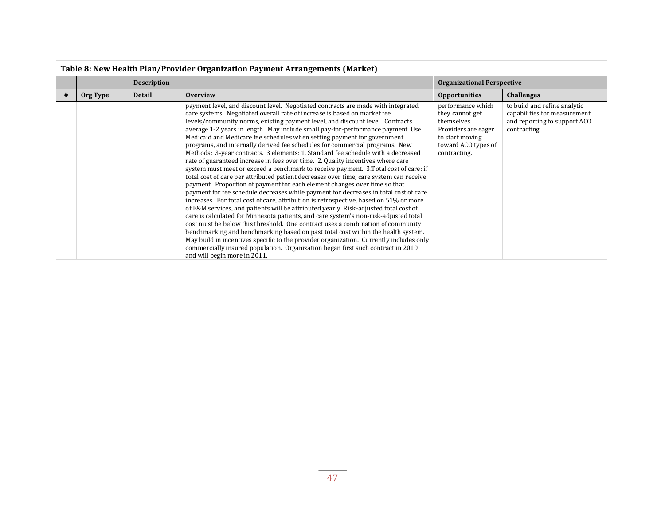|   | Table 8: New Health Plan/Provider Organization Payment Arrangements (Market) |                    |                                                                                                                                                                                                                                                                                                                                                                                                                                                                                                                                                                                                                                                                                                                                                                                                                                                                                                                                                                                                                                                                                                                                                                                                                                                                                                                                                                                                                                                                                                                                                                                                                                                                                       |                                                                                                                                      |                                                                                                              |  |  |
|---|------------------------------------------------------------------------------|--------------------|---------------------------------------------------------------------------------------------------------------------------------------------------------------------------------------------------------------------------------------------------------------------------------------------------------------------------------------------------------------------------------------------------------------------------------------------------------------------------------------------------------------------------------------------------------------------------------------------------------------------------------------------------------------------------------------------------------------------------------------------------------------------------------------------------------------------------------------------------------------------------------------------------------------------------------------------------------------------------------------------------------------------------------------------------------------------------------------------------------------------------------------------------------------------------------------------------------------------------------------------------------------------------------------------------------------------------------------------------------------------------------------------------------------------------------------------------------------------------------------------------------------------------------------------------------------------------------------------------------------------------------------------------------------------------------------|--------------------------------------------------------------------------------------------------------------------------------------|--------------------------------------------------------------------------------------------------------------|--|--|
|   |                                                                              | <b>Description</b> |                                                                                                                                                                                                                                                                                                                                                                                                                                                                                                                                                                                                                                                                                                                                                                                                                                                                                                                                                                                                                                                                                                                                                                                                                                                                                                                                                                                                                                                                                                                                                                                                                                                                                       | <b>Organizational Perspective</b>                                                                                                    |                                                                                                              |  |  |
| # | Org Type                                                                     | <b>Detail</b>      | <b>Overview</b>                                                                                                                                                                                                                                                                                                                                                                                                                                                                                                                                                                                                                                                                                                                                                                                                                                                                                                                                                                                                                                                                                                                                                                                                                                                                                                                                                                                                                                                                                                                                                                                                                                                                       | <b>Opportunities</b>                                                                                                                 | <b>Challenges</b>                                                                                            |  |  |
|   |                                                                              |                    | payment level, and discount level. Negotiated contracts are made with integrated<br>care systems. Negotiated overall rate of increase is based on market fee<br>levels/community norms, existing payment level, and discount level. Contracts<br>average 1-2 years in length. May include small pay-for-performance payment. Use<br>Medicaid and Medicare fee schedules when setting payment for government<br>programs, and internally derived fee schedules for commercial programs. New<br>Methods: 3-year contracts. 3 elements: 1. Standard fee schedule with a decreased<br>rate of guaranteed increase in fees over time. 2. Quality incentives where care<br>system must meet or exceed a benchmark to receive payment. 3. Total cost of care: if<br>total cost of care per attributed patient decreases over time, care system can receive<br>payment. Proportion of payment for each element changes over time so that<br>payment for fee schedule decreases while payment for decreases in total cost of care<br>increases. For total cost of care, attribution is retrospective, based on 51% or more<br>of E&M services, and patients will be attributed yearly. Risk-adjusted total cost of<br>care is calculated for Minnesota patients, and care system's non-risk-adjusted total<br>cost must be below this threshold. One contract uses a combination of community<br>benchmarking and benchmarking based on past total cost within the health system.<br>May build in incentives specific to the provider organization. Currently includes only<br>commercially insured population. Organization began first such contract in 2010<br>and will begin more in 2011. | performance which<br>they cannot get<br>themselves.<br>Providers are eager<br>to start moving<br>toward ACO types of<br>contracting. | to build and refine analytic<br>capabilities for measurement<br>and reporting to support ACO<br>contracting. |  |  |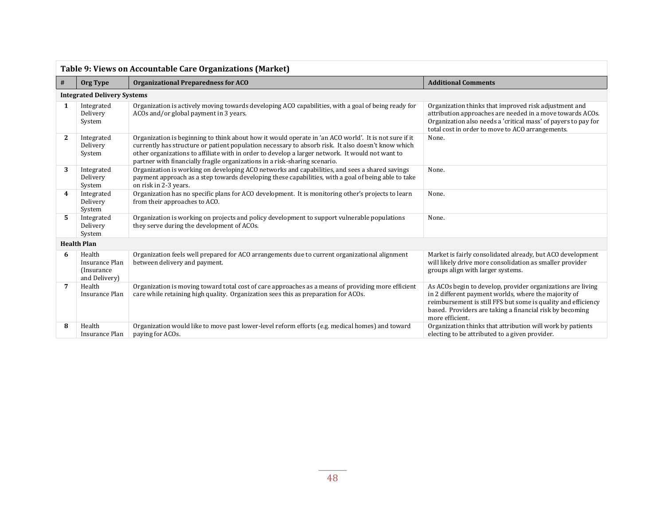| Table 9: Views on Accountable Care Organizations (Market) |                                                          |                                                                                                                                                                                                                                                                                                                                                                                               |                                                                                                                                                                                                                                                                     |  |  |  |  |  |
|-----------------------------------------------------------|----------------------------------------------------------|-----------------------------------------------------------------------------------------------------------------------------------------------------------------------------------------------------------------------------------------------------------------------------------------------------------------------------------------------------------------------------------------------|---------------------------------------------------------------------------------------------------------------------------------------------------------------------------------------------------------------------------------------------------------------------|--|--|--|--|--|
| $\#$                                                      | Org Type                                                 | <b>Organizational Preparedness for ACO</b>                                                                                                                                                                                                                                                                                                                                                    | <b>Additional Comments</b>                                                                                                                                                                                                                                          |  |  |  |  |  |
|                                                           | <b>Integrated Delivery Systems</b>                       |                                                                                                                                                                                                                                                                                                                                                                                               |                                                                                                                                                                                                                                                                     |  |  |  |  |  |
| 1                                                         | Integrated<br>Delivery<br>System                         | Organization is actively moving towards developing ACO capabilities, with a goal of being ready for<br>ACOs and/or global payment in 3 years.                                                                                                                                                                                                                                                 | Organization thinks that improved risk adjustment and<br>attribution approaches are needed in a move towards ACOs.<br>Organization also needs a 'critical mass' of payers to pay for<br>total cost in order to move to ACO arrangements.                            |  |  |  |  |  |
| $\mathbf{2}$                                              | Integrated<br>Delivery<br>System                         | Organization is beginning to think about how it would operate in 'an ACO world'. It is not sure if it<br>currently has structure or patient population necessary to absorb risk. It also doesn't know which<br>other organizations to affiliate with in order to develop a larger network. It would not want to<br>partner with financially fragile organizations in a risk-sharing scenario. | None.                                                                                                                                                                                                                                                               |  |  |  |  |  |
| 3                                                         | Integrated<br>Delivery<br>System                         | Organization is working on developing ACO networks and capabilities, and sees a shared savings<br>payment approach as a step towards developing these capabilities, with a goal of being able to take<br>on risk in 2-3 years.                                                                                                                                                                | None.                                                                                                                                                                                                                                                               |  |  |  |  |  |
| 4                                                         | Integrated<br>Delivery<br>System                         | Organization has no specific plans for ACO development. It is monitoring other's projects to learn<br>from their approaches to ACO.                                                                                                                                                                                                                                                           | None.                                                                                                                                                                                                                                                               |  |  |  |  |  |
| 5                                                         | Integrated<br>Delivery<br>System                         | Organization is working on projects and policy development to support vulnerable populations<br>they serve during the development of ACOs.                                                                                                                                                                                                                                                    | None.                                                                                                                                                                                                                                                               |  |  |  |  |  |
|                                                           | <b>Health Plan</b>                                       |                                                                                                                                                                                                                                                                                                                                                                                               |                                                                                                                                                                                                                                                                     |  |  |  |  |  |
| 6                                                         | Health<br>Insurance Plan<br>(Insurance)<br>and Delivery) | Organization feels well prepared for ACO arrangements due to current organizational alignment<br>between delivery and payment.                                                                                                                                                                                                                                                                | Market is fairly consolidated already, but ACO development<br>will likely drive more consolidation as smaller provider<br>groups align with larger systems.                                                                                                         |  |  |  |  |  |
| 7                                                         | Health<br><b>Insurance Plan</b>                          | Organization is moving toward total cost of care approaches as a means of providing more efficient<br>care while retaining high quality. Organization sees this as preparation for ACOs.                                                                                                                                                                                                      | As ACOs begin to develop, provider organizations are living<br>in 2 different payment worlds, where the majority of<br>reimbursement is still FFS but some is quality and efficiency<br>based. Providers are taking a financial risk by becoming<br>more efficient. |  |  |  |  |  |
| 8                                                         | Health<br>Insurance Plan                                 | Organization would like to move past lower-level reform efforts (e.g. medical homes) and toward<br>paying for ACOs.                                                                                                                                                                                                                                                                           | Organization thinks that attribution will work by patients<br>electing to be attributed to a given provider.                                                                                                                                                        |  |  |  |  |  |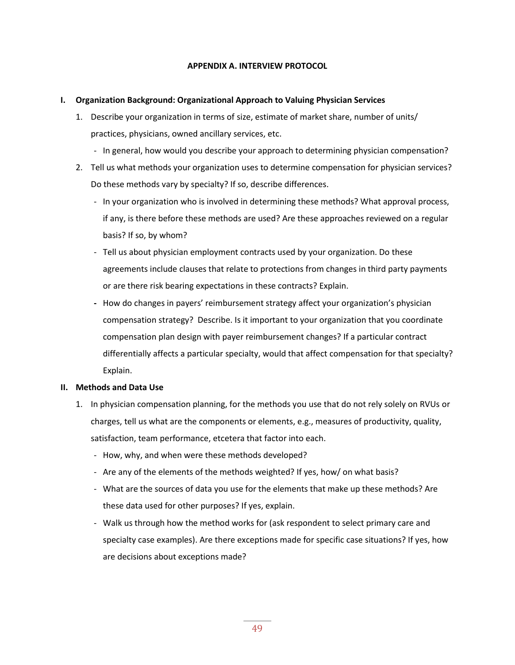#### **APPENDIX A. INTERVIEW PROTOCOL**

#### **I. Organization Background: Organizational Approach to Valuing Physician Services**

- 1. Describe your organization in terms of size, estimate of market share, number of units/ practices, physicians, owned ancillary services, etc.
	- In general, how would you describe your approach to determining physician compensation?
- 2. Tell us what methods your organization uses to determine compensation for physician services? Do these methods vary by specialty? If so, describe differences.
	- In your organization who is involved in determining these methods? What approval process, if any, is there before these methods are used? Are these approaches reviewed on a regular basis? If so, by whom?
	- Tell us about physician employment contracts used by your organization. Do these agreements include clauses that relate to protections from changes in third party payments or are there risk bearing expectations in these contracts? Explain.
	- **-** How do changes in payers' reimbursement strategy affect your organization's physician compensation strategy? Describe. Is it important to your organization that you coordinate compensation plan design with payer reimbursement changes? If a particular contract differentially affects a particular specialty, would that affect compensation for that specialty? Explain.

#### **II. Methods and Data Use**

- 1. In physician compensation planning, for the methods you use that do not rely solely on RVUs or charges, tell us what are the components or elements, e.g., measures of productivity, quality, satisfaction, team performance, etcetera that factor into each.
	- How, why, and when were these methods developed?
	- Are any of the elements of the methods weighted? If yes, how/ on what basis?
	- What are the sources of data you use for the elements that make up these methods? Are these data used for other purposes? If yes, explain.
	- Walk us through how the method works for (ask respondent to select primary care and specialty case examples). Are there exceptions made for specific case situations? If yes, how are decisions about exceptions made?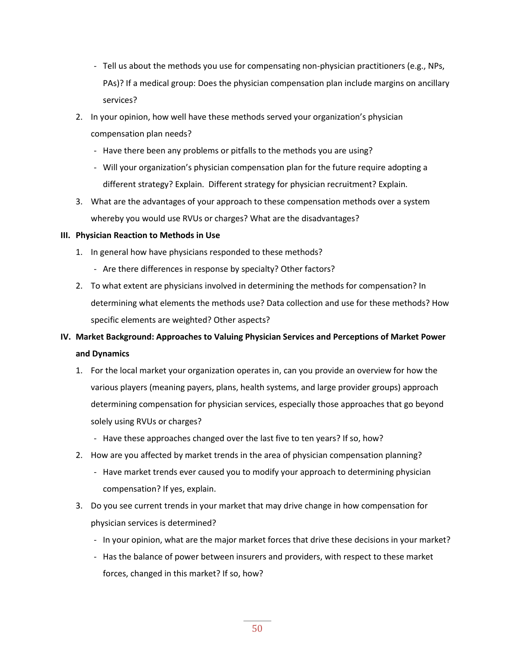- Tell us about the methods you use for compensating non-physician practitioners (e.g., NPs, PAs)? If a medical group: Does the physician compensation plan include margins on ancillary services?
- 2. In your opinion, how well have these methods served your organization's physician compensation plan needs?
	- Have there been any problems or pitfalls to the methods you are using?
	- Will your organization's physician compensation plan for the future require adopting a different strategy? Explain. Different strategy for physician recruitment? Explain.
- 3. What are the advantages of your approach to these compensation methods over a system whereby you would use RVUs or charges? What are the disadvantages?

#### **III. Physician Reaction to Methods in Use**

- 1. In general how have physicians responded to these methods?
	- Are there differences in response by specialty? Other factors?
- 2. To what extent are physicians involved in determining the methods for compensation? In determining what elements the methods use? Data collection and use for these methods? How specific elements are weighted? Other aspects?

# **IV. Market Background: Approaches to Valuing Physician Services and Perceptions of Market Power and Dynamics**

- 1. For the local market your organization operates in, can you provide an overview for how the various players (meaning payers, plans, health systems, and large provider groups) approach determining compensation for physician services, especially those approaches that go beyond solely using RVUs or charges?
	- Have these approaches changed over the last five to ten years? If so, how?
- 2. How are you affected by market trends in the area of physician compensation planning?
	- Have market trends ever caused you to modify your approach to determining physician compensation? If yes, explain.
- 3. Do you see current trends in your market that may drive change in how compensation for physician services is determined?
	- In your opinion, what are the major market forces that drive these decisions in your market?
	- Has the balance of power between insurers and providers, with respect to these market forces, changed in this market? If so, how?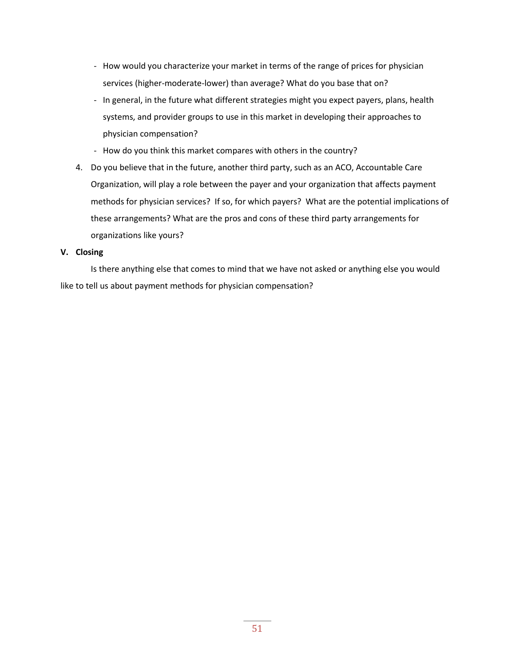- How would you characterize your market in terms of the range of prices for physician services (higher-moderate-lower) than average? What do you base that on?
- In general, in the future what different strategies might you expect payers, plans, health systems, and provider groups to use in this market in developing their approaches to physician compensation?
- How do you think this market compares with others in the country?
- 4. Do you believe that in the future, another third party, such as an ACO, Accountable Care Organization, will play a role between the payer and your organization that affects payment methods for physician services? If so, for which payers? What are the potential implications of these arrangements? What are the pros and cons of these third party arrangements for organizations like yours?

#### **V. Closing**

Is there anything else that comes to mind that we have not asked or anything else you would like to tell us about payment methods for physician compensation?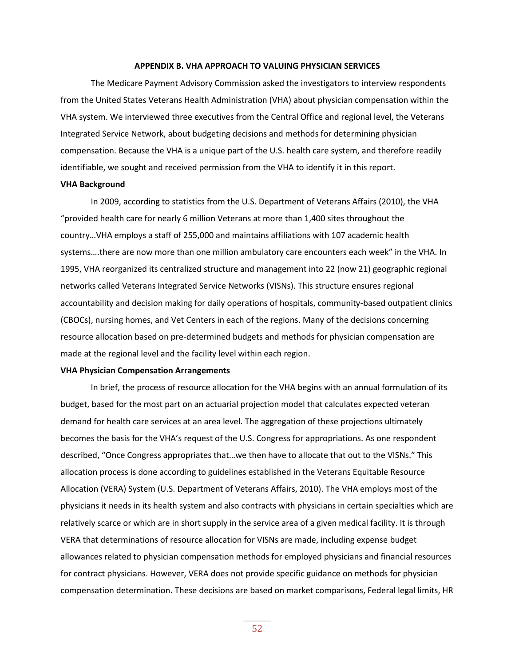#### **APPENDIX B. VHA APPROACH TO VALUING PHYSICIAN SERVICES**

The Medicare Payment Advisory Commission asked the investigators to interview respondents from the United States Veterans Health Administration (VHA) about physician compensation within the VHA system. We interviewed three executives from the Central Office and regional level, the Veterans Integrated Service Network, about budgeting decisions and methods for determining physician compensation. Because the VHA is a unique part of the U.S. health care system, and therefore readily identifiable, we sought and received permission from the VHA to identify it in this report.

#### **VHA Background**

In 2009, according to statistics from the U.S. Department of Veterans Affairs (2010), the VHA "provided health care for nearly 6 million Veterans at more than 1,400 sites throughout the country…VHA employs a staff of 255,000 and maintains affiliations with 107 academic health systems….there are now more than one million ambulatory care encounters each week" in the VHA. In 1995, VHA reorganized its centralized structure and management into 22 (now 21) geographic regional networks called Veterans Integrated Service Networks (VISNs). This structure ensures regional accountability and decision making for daily operations of hospitals, community-based outpatient clinics (CBOCs), nursing homes, and Vet Centers in each of the regions. Many of the decisions concerning resource allocation based on pre-determined budgets and methods for physician compensation are made at the regional level and the facility level within each region.

#### **VHA Physician Compensation Arrangements**

In brief, the process of resource allocation for the VHA begins with an annual formulation of its budget, based for the most part on an actuarial projection model that calculates expected veteran demand for health care services at an area level. The aggregation of these projections ultimately becomes the basis for the VHA's request of the U.S. Congress for appropriations. As one respondent described, "Once Congress appropriates that…we then have to allocate that out to the VISNs." This allocation process is done according to guidelines established in the Veterans Equitable Resource Allocation (VERA) System (U.S. Department of Veterans Affairs, 2010). The VHA employs most of the physicians it needs in its health system and also contracts with physicians in certain specialties which are relatively scarce or which are in short supply in the service area of a given medical facility. It is through VERA that determinations of resource allocation for VISNs are made, including expense budget allowances related to physician compensation methods for employed physicians and financial resources for contract physicians. However, VERA does not provide specific guidance on methods for physician compensation determination. These decisions are based on market comparisons, Federal legal limits, HR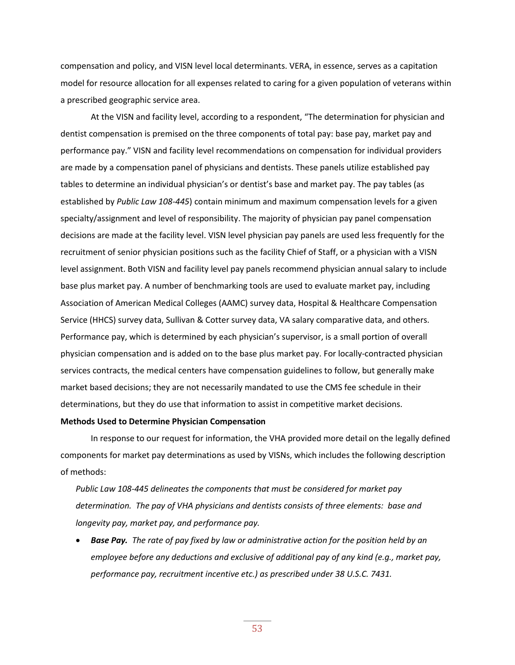compensation and policy, and VISN level local determinants. VERA, in essence, serves as a capitation model for resource allocation for all expenses related to caring for a given population of veterans within a prescribed geographic service area.

At the VISN and facility level, according to a respondent, "The determination for physician and dentist compensation is premised on the three components of total pay: base pay, market pay and performance pay." VISN and facility level recommendations on compensation for individual providers are made by a compensation panel of physicians and dentists. These panels utilize established pay tables to determine an individual physician's or dentist's base and market pay. The pay tables (as established by *Public Law 108-445*) contain minimum and maximum compensation levels for a given specialty/assignment and level of responsibility. The majority of physician pay panel compensation decisions are made at the facility level. VISN level physician pay panels are used less frequently for the recruitment of senior physician positions such as the facility Chief of Staff, or a physician with a VISN level assignment. Both VISN and facility level pay panels recommend physician annual salary to include base plus market pay. A number of benchmarking tools are used to evaluate market pay, including Association of American Medical Colleges (AAMC) survey data, Hospital & Healthcare Compensation Service (HHCS) survey data, Sullivan & Cotter survey data, VA salary comparative data, and others. Performance pay, which is determined by each physician's supervisor, is a small portion of overall physician compensation and is added on to the base plus market pay. For locally-contracted physician services contracts, the medical centers have compensation guidelines to follow, but generally make market based decisions; they are not necessarily mandated to use the CMS fee schedule in their determinations, but they do use that information to assist in competitive market decisions.

#### **Methods Used to Determine Physician Compensation**

In response to our request for information, the VHA provided more detail on the legally defined components for market pay determinations as used by VISNs, which includes the following description of methods:

*Public Law 108-445 delineates the components that must be considered for market pay determination. The pay of VHA physicians and dentists consists of three elements: base and longevity pay, market pay, and performance pay.* 

 *Base Pay. The rate of pay fixed by law or administrative action for the position held by an employee before any deductions and exclusive of additional pay of any kind (e.g., market pay, performance pay, recruitment incentive etc.) as prescribed under 38 U.S.C. 7431.*